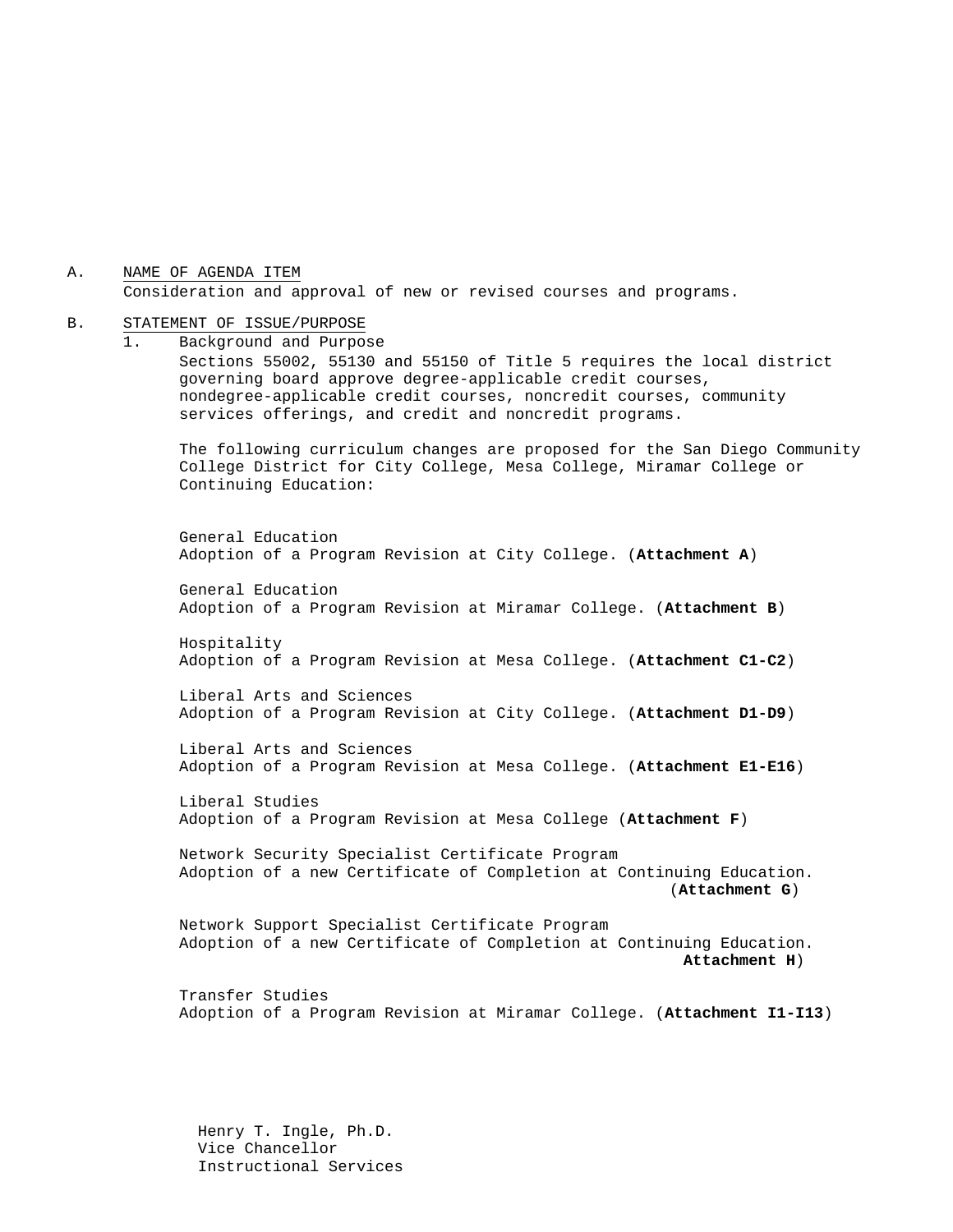A. NAME OF AGENDA ITEM Consideration and approval of new or revised courses and programs.

#### B. STATEMENT OF ISSUE/PURPOSE

1. Background and Purpose Sections 55002, 55130 and 55150 of Title 5 requires the local district governing board approve degree-applicable credit courses, nondegree-applicable credit courses, noncredit courses, community services offerings, and credit and noncredit programs. The following curriculum changes are proposed for the San Diego Community College District for City College, Mesa College, Miramar College or Continuing Education: General Education Adoption of a Program Revision at City College. (**Attachment A**) General Education Adoption of a Program Revision at Miramar College. (**Attachment B**) Hospitality Adoption of a Program Revision at Mesa College. (**Attachment C1-C2**) Liberal Arts and Sciences Adoption of a Program Revision at City College. (**Attachment D1-D9**) Liberal Arts and Sciences Adoption of a Program Revision at Mesa College. (**Attachment E1-E16**) Liberal Studies Adoption of a Program Revision at Mesa College (**Attachment F**) Network Security Specialist Certificate Program Adoption of a new Certificate of Completion at Continuing Education. (**Attachment G**) Network Support Specialist Certificate Program Adoption of a new Certificate of Completion at Continuing Education. **Attachment H**) Transfer Studies Adoption of a Program Revision at Miramar College. (**Attachment I1-I13**)

 Henry T. Ingle, Ph.D. Vice Chancellor Instructional Services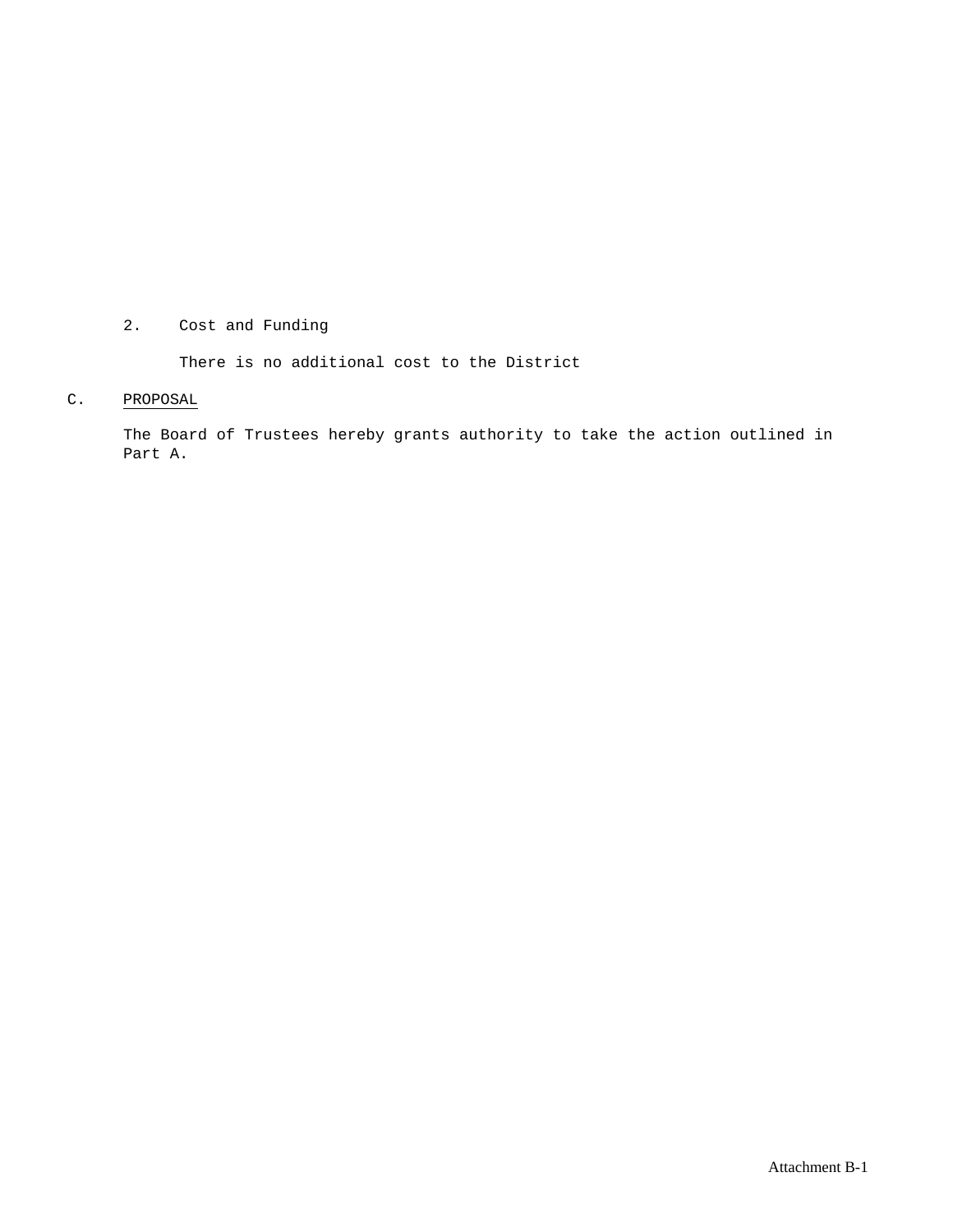#### 2. Cost and Funding

There is no additional cost to the District

#### C. PROPOSAL

The Board of Trustees hereby grants authority to take the action outlined in Part A.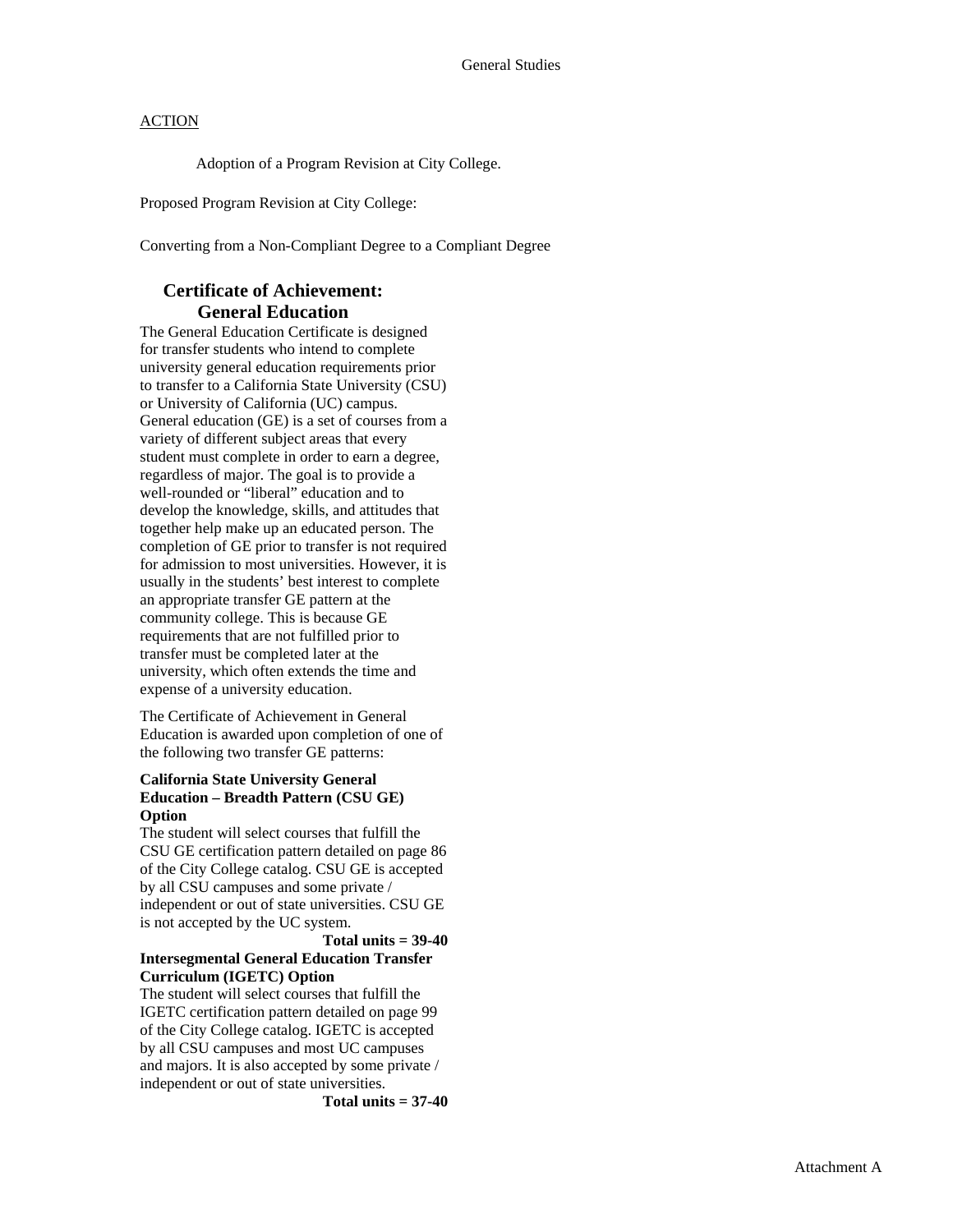Adoption of a Program Revision at City College.

Proposed Program Revision at City College:

Converting from a Non-Compliant Degree to a Compliant Degree

#### **Certificate of Achievement: General Education**

The General Education Certificate is designed for transfer students who intend to complete university general education requirements prior to transfer to a California State University (CSU) or University of California (UC) campus. General education (GE) is a set of courses from a variety of different subject areas that every student must complete in order to earn a degree, regardless of major. The goal is to provide a well-rounded or "liberal" education and to develop the knowledge, skills, and attitudes that together help make up an educated person. The completion of GE prior to transfer is not required for admission to most universities. However, it is usually in the students' best interest to complete an appropriate transfer GE pattern at the community college. This is because GE requirements that are not fulfilled prior to transfer must be completed later at the university, which often extends the time and expense of a university education.

The Certificate of Achievement in General Education is awarded upon completion of one of the following two transfer GE patterns:

#### **California State University General Education – Breadth Pattern (CSU GE) Option**

The student will select courses that fulfill the CSU GE certification pattern detailed on page 86 of the City College catalog. CSU GE is accepted by all CSU campuses and some private / independent or out of state universities. CSU GE is not accepted by the UC system.

#### **Total units = 39-40 Intersegmental General Education Transfer Curriculum (IGETC) Option**

The student will select courses that fulfill the IGETC certification pattern detailed on page 99 of the City College catalog. IGETC is accepted by all CSU campuses and most UC campuses and majors. It is also accepted by some private / independent or out of state universities.

**Total units = 37-40**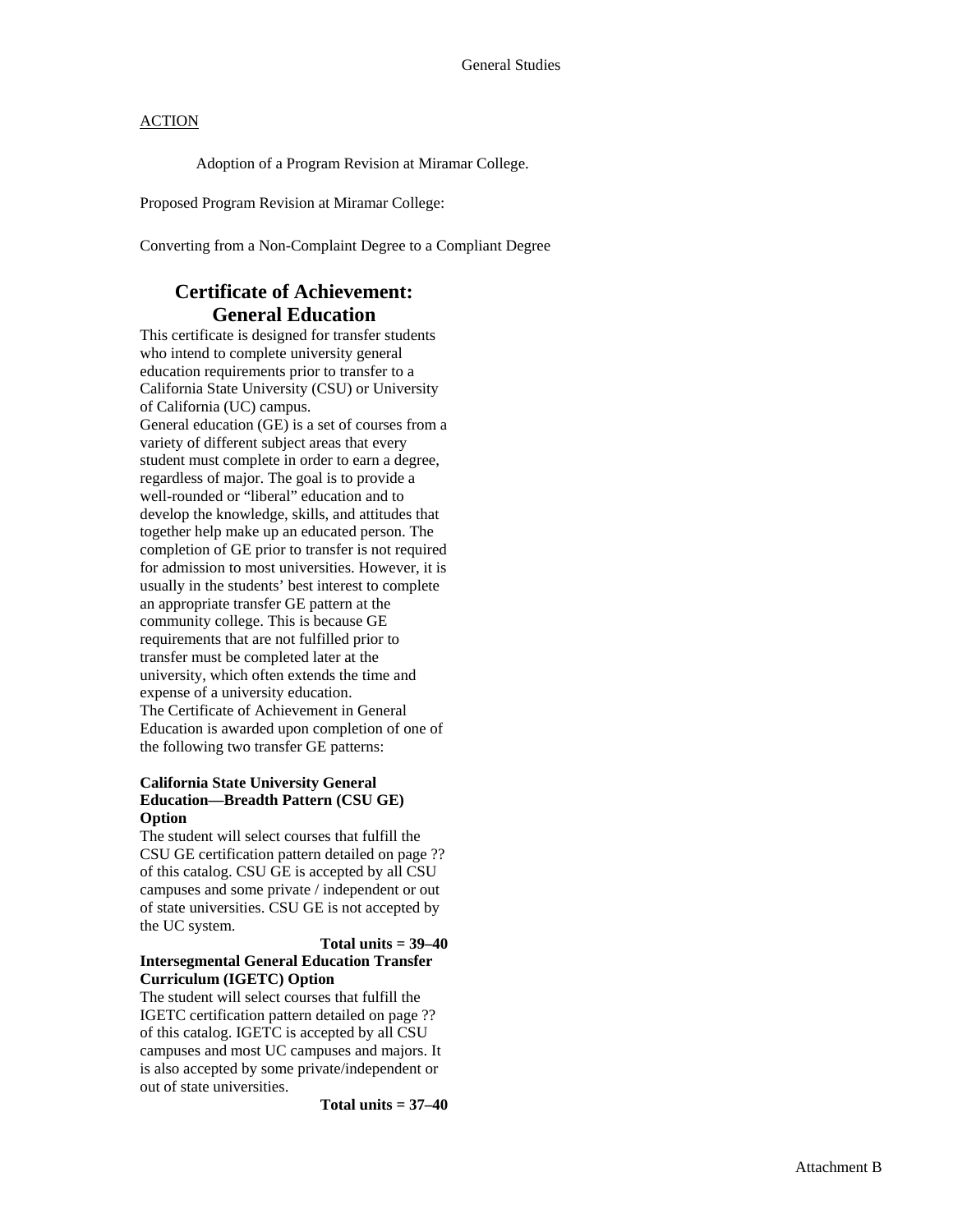Adoption of a Program Revision at Miramar College.

Proposed Program Revision at Miramar College:

Converting from a Non-Complaint Degree to a Compliant Degree

### **Certificate of Achievement: General Education**

This certificate is designed for transfer students who intend to complete university general education requirements prior to transfer to a California State University (CSU) or University of California (UC) campus. General education (GE) is a set of courses from a variety of different subject areas that every student must complete in order to earn a degree, regardless of major. The goal is to provide a well-rounded or "liberal" education and to develop the knowledge, skills, and attitudes that together help make up an educated person. The completion of GE prior to transfer is not required for admission to most universities. However, it is usually in the students' best interest to complete an appropriate transfer GE pattern at the community college. This is because GE requirements that are not fulfilled prior to transfer must be completed later at the university, which often extends the time and expense of a university education. The Certificate of Achievement in General Education is awarded upon completion of one of the following two transfer GE patterns:

#### **California State University General Education—Breadth Pattern (CSU GE) Option**

The student will select courses that fulfill the CSU GE certification pattern detailed on page ?? of this catalog. CSU GE is accepted by all CSU campuses and some private / independent or out of state universities. CSU GE is not accepted by the UC system.

#### **Total units = 39–40 Intersegmental General Education Transfer Curriculum (IGETC) Option**

The student will select courses that fulfill the IGETC certification pattern detailed on page ?? of this catalog. IGETC is accepted by all CSU campuses and most UC campuses and majors. It is also accepted by some private/independent or out of state universities.

**Total units = 37–40**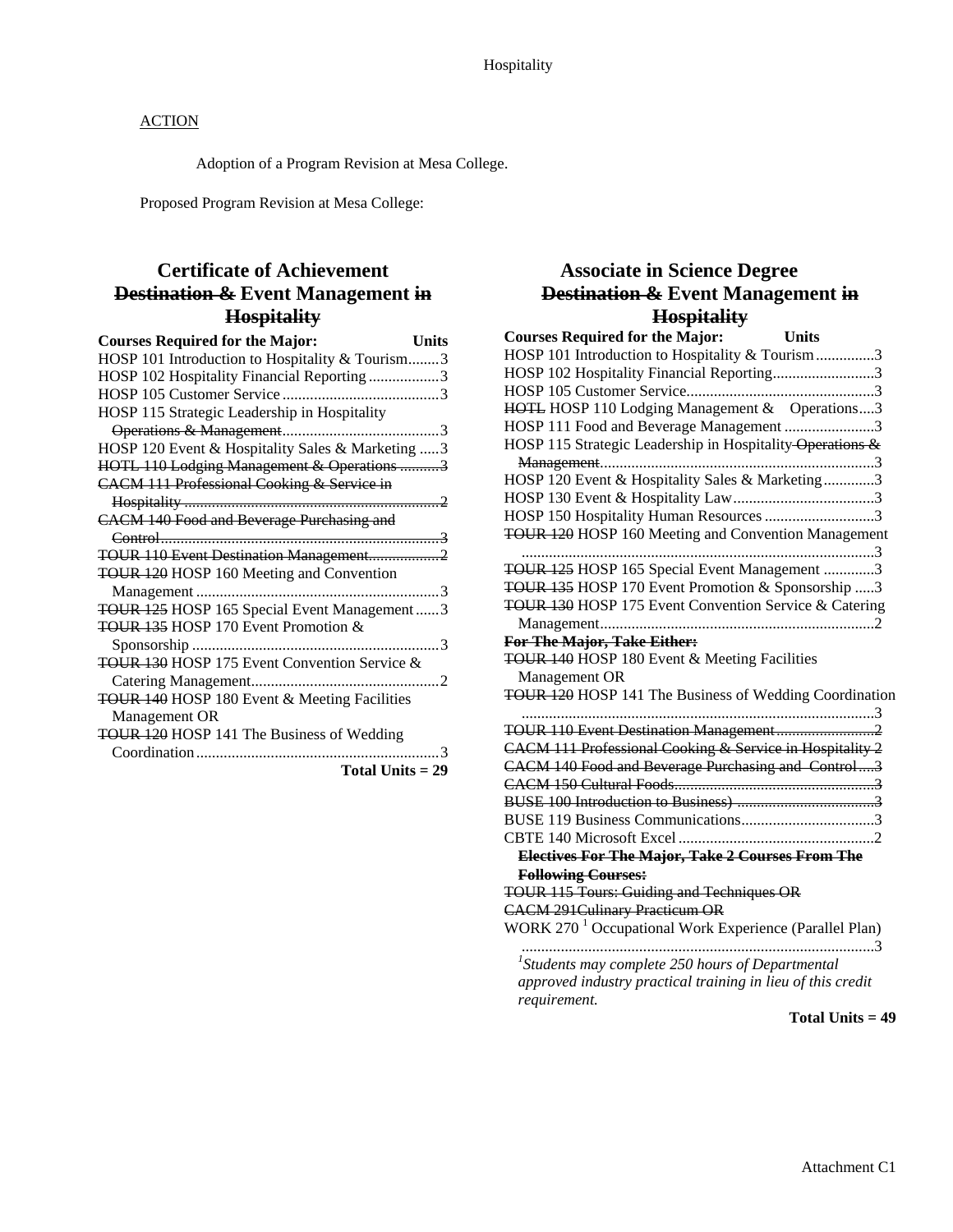Adoption of a Program Revision at Mesa College.

Proposed Program Revision at Mesa College:

## **Certificate of Achievement Destination & Event Management in Hospitality**

| <b>Courses Required for the Major:</b><br>Units       |
|-------------------------------------------------------|
| HOSP 101 Introduction to Hospitality & Tourism3       |
| HOSP 102 Hospitality Financial Reporting 3            |
|                                                       |
| HOSP 115 Strategic Leadership in Hospitality          |
|                                                       |
| HOSP 120 Event & Hospitality Sales & Marketing  3     |
| HOTL 110 Lodging Management & Operations 3            |
| <b>CACM 111 Professional Cooking &amp; Service in</b> |
|                                                       |
| <b>CACM 140 Food and Beverage Purchasing and</b>      |
|                                                       |
| TOUR 110 Event Destination Management2                |
| <b>TOUR 120 HOSP 160 Meeting and Convention</b>       |
|                                                       |
| TOUR 125 HOSP 165 Special Event Management3           |
| TOUR 135 HOSP 170 Event Promotion &                   |
| . 3<br>Sponsorship                                    |
| TOUR 130 HOSP 175 Event Convention Service &          |
|                                                       |
| TOUR 140 HOSP 180 Event & Meeting Facilities          |
| Management OR                                         |
| TOUR 120 HOSP 141 The Business of Wedding             |
| $\sim$ 3                                              |
| Total Units $= 29$                                    |

# **Associate in Science Degree Destination & Event Management in Hospitality**

| <b>Courses Required for the Major:</b><br><b>Units</b>             |
|--------------------------------------------------------------------|
| HOSP 101 Introduction to Hospitality & Tourism3                    |
| HOSP 102 Hospitality Financial Reporting3                          |
|                                                                    |
| HOTL HOSP 110 Lodging Management & Operations3                     |
| HOSP 111 Food and Beverage Management 3                            |
| HOSP 115 Strategic Leadership in Hospitality-Operations &          |
|                                                                    |
| HOSP 120 Event & Hospitality Sales & Marketing3                    |
|                                                                    |
| HOSP 150 Hospitality Human Resources 3                             |
| <b>TOUR 120 HOSP 160 Meeting and Convention Management</b>         |
| TOUR 125 HOSP 165 Special Event Management 3                       |
| TOUR 135 HOSP 170 Event Promotion & Sponsorship 3                  |
| TOUR 130 HOSP 175 Event Convention Service & Catering              |
|                                                                    |
| For The Major, Take Either:                                        |
| TOUR 140 HOSP 180 Event & Meeting Facilities                       |
| Management OR                                                      |
| TOUR 120 HOSP 141 The Business of Wedding Coordination             |
|                                                                    |
|                                                                    |
| CACM 111 Professional Cooking & Service in Hospitality 2           |
| <b>CACM 140 Food and Beverage Purchasing and Control3</b>          |
|                                                                    |
|                                                                    |
|                                                                    |
|                                                                    |
| Electives For The Major, Take 2 Courses From The                   |
| <b>Following Courses:</b>                                          |
| <b>TOUR 115 Tours: Guiding and Techniques OR</b>                   |
| <b>CACM 291 Culinary Practicum OR</b>                              |
| WORK 270 <sup>1</sup> Occupational Work Experience (Parallel Plan) |
|                                                                    |
| $1$ Students may complete 250 hours of Departmental                |
| approved industry practical training in lieu of this credit        |
| requirement.                                                       |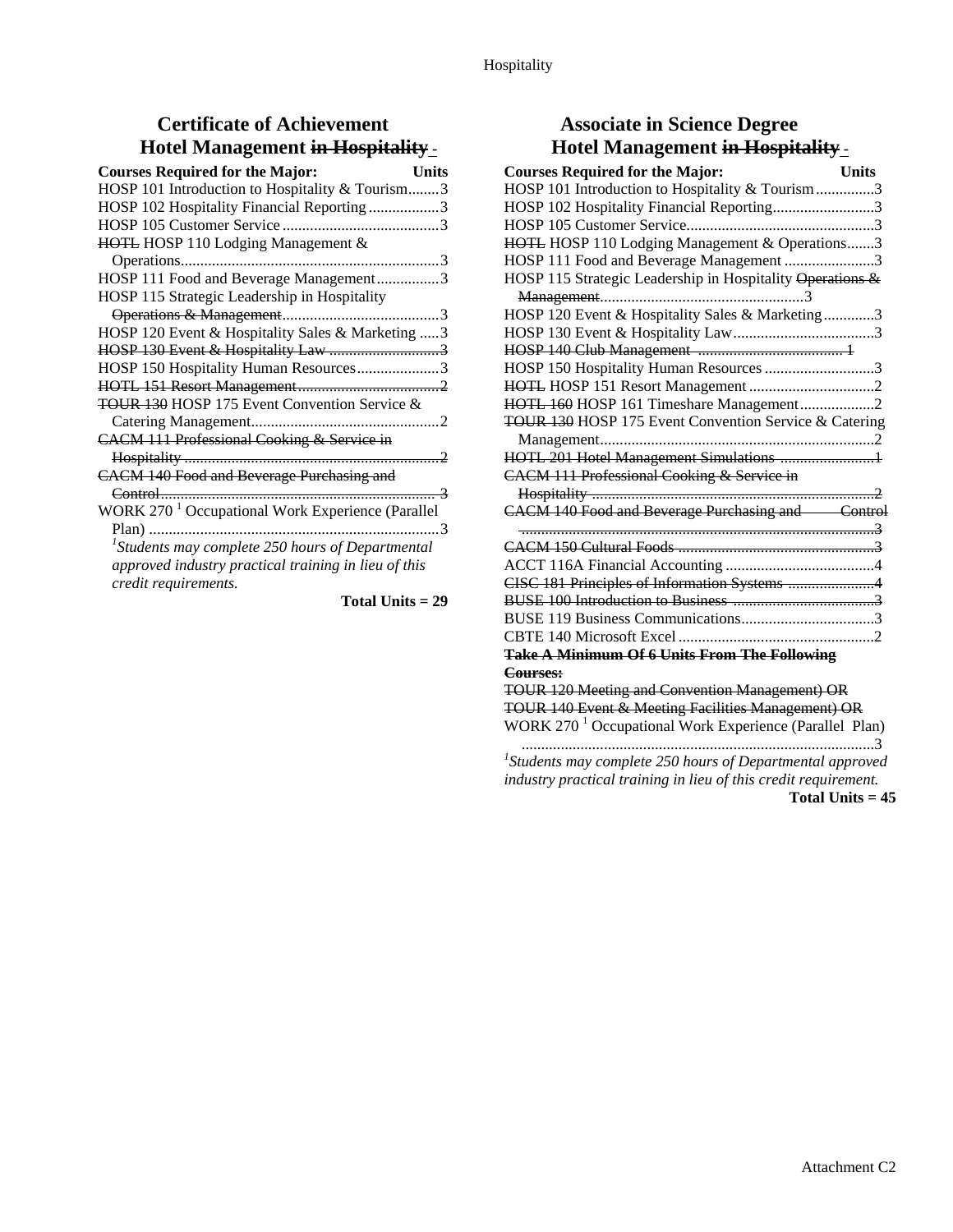# **Certificate of Achievement Hotel Management in Hospitality -**

| <b>Courses Required for the Major:</b>                       | Units |
|--------------------------------------------------------------|-------|
| HOSP 101 Introduction to Hospitality & Tourism3              |       |
| HOSP 102 Hospitality Financial Reporting 3                   |       |
|                                                              |       |
| HOTL HOSP 110 Lodging Management &                           |       |
|                                                              |       |
| HOSP 111 Food and Beverage Management3                       |       |
| HOSP 115 Strategic Leadership in Hospitality                 |       |
|                                                              |       |
| HOSP 120 Event & Hospitality Sales & Marketing  3            |       |
|                                                              |       |
| HOSP 150 Hospitality Human Resources3                        |       |
|                                                              |       |
| <b>TOUR 130 HOSP 175 Event Convention Service &amp;</b>      |       |
|                                                              |       |
| CACM 111 Professional Cooking & Service in                   |       |
|                                                              |       |
| <b>CACM 140 Food and Beverage Purchasing and</b>             |       |
|                                                              |       |
| WORK 270 <sup>1</sup> Occupational Work Experience (Parallel |       |
|                                                              |       |
| $^{1}$ Students may complete 250 hours of Departmental       |       |
| approved industry practical training in lieu of this         |       |
| credit requirements.                                         |       |
|                                                              |       |

**Total Units = 29** 

## **Associate in Science Degree Hotel Management in Hospitality -**

| <b>Courses Required for the Major:</b>                             | <b>Units</b> |
|--------------------------------------------------------------------|--------------|
| HOSP 101 Introduction to Hospitality & Tourism3                    |              |
| HOSP 102 Hospitality Financial Reporting3                          |              |
|                                                                    |              |
| HOTL HOSP 110 Lodging Management & Operations3                     |              |
| HOSP 111 Food and Beverage Management 3                            |              |
| HOSP 115 Strategic Leadership in Hospitality Operations &          |              |
|                                                                    |              |
| HOSP 120 Event & Hospitality Sales & Marketing3                    |              |
|                                                                    |              |
|                                                                    |              |
| HOSP 150 Hospitality Human Resources 3                             |              |
|                                                                    |              |
| HOTL 160 HOSP 161 Timeshare Management2                            |              |
| TOUR 130 HOSP 175 Event Convention Service & Catering              |              |
|                                                                    |              |
| HOTL 201 Hotel Management Simulations 1                            |              |
| CACM 111 Professional Cooking & Service in                         |              |
|                                                                    |              |
| CACM 140 Food and Beverage Purchasing and Control                  |              |
|                                                                    |              |
|                                                                    |              |
|                                                                    |              |
| CISC 181 Principles of Information Systems 4                       |              |
|                                                                    |              |
|                                                                    |              |
|                                                                    |              |
| <b>Take A Minimum Of 6 Units From The Following</b>                |              |
| Courses:                                                           |              |
| <b>TOUR 120 Meeting and Convention Management) OR</b>              |              |
| TOUR 140 Event & Meeting Facilities Management) OR                 |              |
| WORK 270 <sup>1</sup> Occupational Work Experience (Parallel Plan) |              |
| $1$ Students may complete 250 hours of Departmental approved       |              |

*industry practical training in lieu of this credit requirement.*  **Total Units = 45**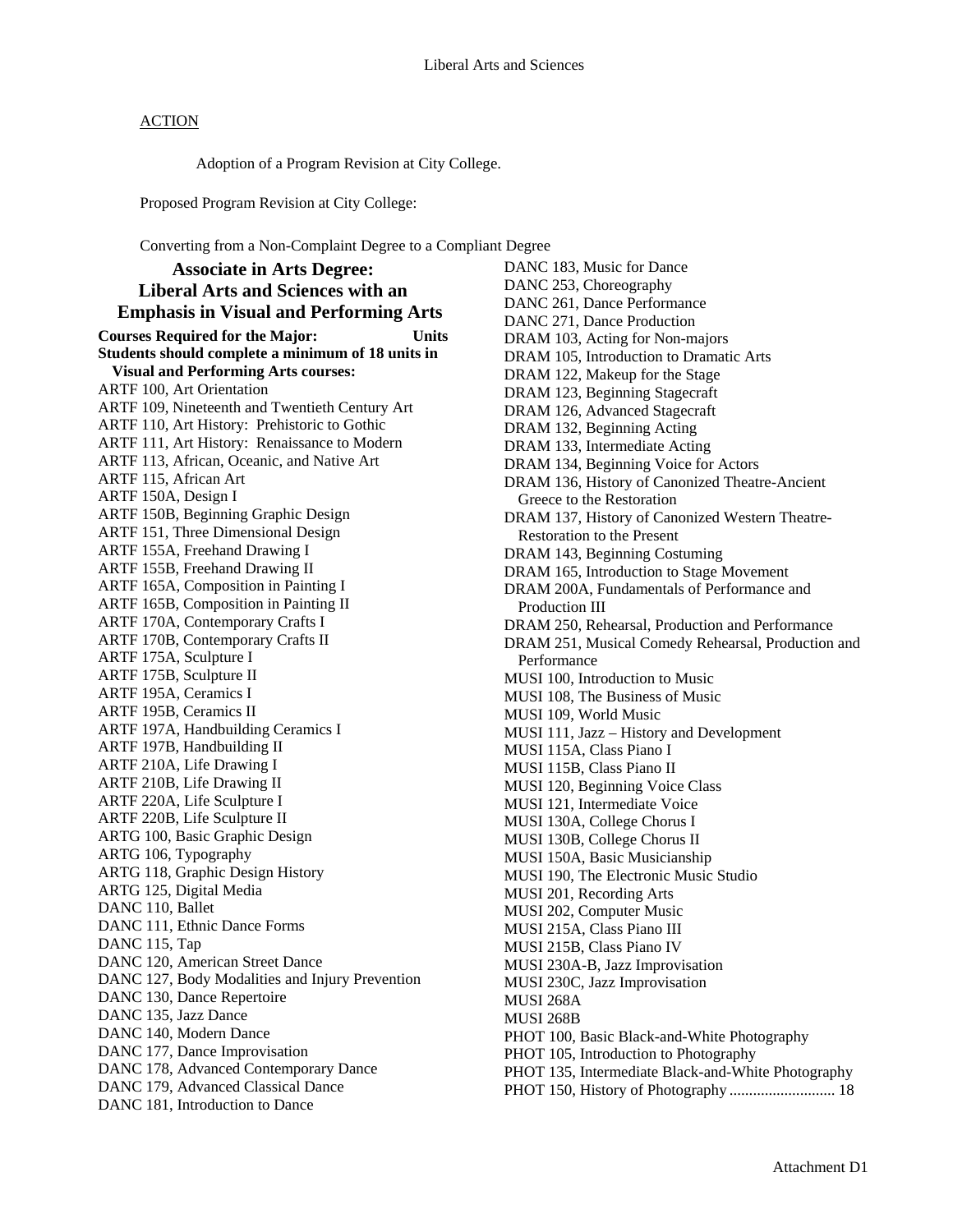Adoption of a Program Revision at City College.

Proposed Program Revision at City College:

Converting from a Non-Complaint Degree to a Compliant Degree

**Associate in Arts Degree: Liberal Arts and Sciences with an Emphasis in Visual and Performing Arts Courses Required for the Major: Units Students should complete a minimum of 18 units in Visual and Performing Arts courses:**  ARTF 100, Art Orientation ARTF 109, Nineteenth and Twentieth Century Art ARTF 110, Art History: Prehistoric to Gothic ARTF 111, Art History: Renaissance to Modern ARTF 113, African, Oceanic, and Native Art ARTF 115, African Art ARTF 150A, Design I ARTF 150B, Beginning Graphic Design ARTF 151, Three Dimensional Design ARTF 155A, Freehand Drawing I ARTF 155B, Freehand Drawing II ARTF 165A, Composition in Painting I ARTF 165B, Composition in Painting II ARTF 170A, Contemporary Crafts I ARTF 170B, Contemporary Crafts II ARTF 175A, Sculpture I ARTF 175B, Sculpture II ARTF 195A, Ceramics I ARTF 195B, Ceramics II ARTF 197A, Handbuilding Ceramics I ARTF 197B, Handbuilding II ARTF 210A, Life Drawing I ARTF 210B, Life Drawing II ARTF 220A, Life Sculpture I ARTF 220B, Life Sculpture II ARTG 100, Basic Graphic Design ARTG 106, Typography ARTG 118, Graphic Design History ARTG 125, Digital Media DANC 110, Ballet DANC 111, Ethnic Dance Forms DANC 115, Tap DANC 120, American Street Dance DANC 127, Body Modalities and Injury Prevention DANC 130, Dance Repertoire DANC 135, Jazz Dance DANC 140, Modern Dance DANC 177, Dance Improvisation DANC 178, Advanced Contemporary Dance DANC 179, Advanced Classical Dance DANC 181, Introduction to Dance

DANC 183, Music for Dance DANC 253, Choreography DANC 261, Dance Performance DANC 271, Dance Production DRAM 103, Acting for Non-majors DRAM 105, Introduction to Dramatic Arts DRAM 122, Makeup for the Stage DRAM 123, Beginning Stagecraft DRAM 126, Advanced Stagecraft DRAM 132, Beginning Acting DRAM 133, Intermediate Acting DRAM 134, Beginning Voice for Actors DRAM 136, History of Canonized Theatre-Ancient Greece to the Restoration DRAM 137, History of Canonized Western Theatre-Restoration to the Present DRAM 143, Beginning Costuming DRAM 165, Introduction to Stage Movement DRAM 200A, Fundamentals of Performance and Production III DRAM 250, Rehearsal, Production and Performance DRAM 251, Musical Comedy Rehearsal, Production and Performance MUSI 100, Introduction to Music MUSI 108, The Business of Music MUSI 109, World Music MUSI 111, Jazz – History and Development MUSI 115A, Class Piano I MUSI 115B, Class Piano II MUSI 120, Beginning Voice Class MUSI 121, Intermediate Voice MUSI 130A, College Chorus I MUSI 130B, College Chorus II MUSI 150A, Basic Musicianship MUSI 190, The Electronic Music Studio MUSI 201, Recording Arts MUSI 202, Computer Music MUSI 215A, Class Piano III MUSI 215B, Class Piano IV MUSI 230A-B, Jazz Improvisation MUSI 230C, Jazz Improvisation MUSI 268A MUSI 268B PHOT 100, Basic Black-and-White Photography PHOT 105, Introduction to Photography PHOT 135, Intermediate Black-and-White Photography PHOT 150, History of Photography ........................... 18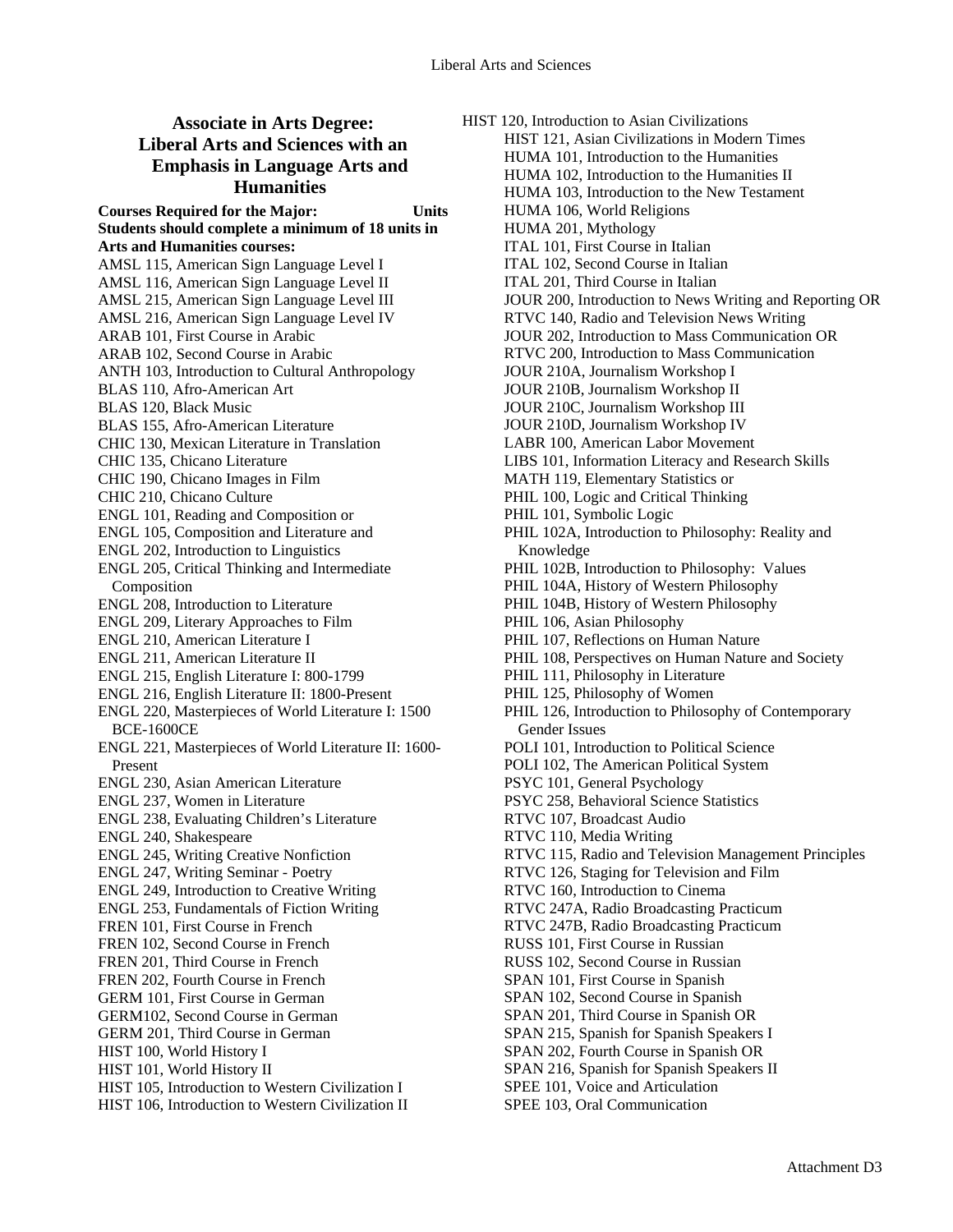#### **Associate in Arts Degree: Liberal Arts and Sciences with an Emphasis in Language Arts and Humanities**

**Courses Required for the Major: Units Students should complete a minimum of 18 units in Arts and Humanities courses:**  AMSL 115, American Sign Language Level I AMSL 116, American Sign Language Level II AMSL 215, American Sign Language Level III AMSL 216, American Sign Language Level IV ARAB 101, First Course in Arabic ARAB 102, Second Course in Arabic ANTH 103, Introduction to Cultural Anthropology BLAS 110, Afro-American Art BLAS 120, Black Music BLAS 155, Afro-American Literature CHIC 130, Mexican Literature in Translation CHIC 135, Chicano Literature CHIC 190, Chicano Images in Film CHIC 210, Chicano Culture ENGL 101, Reading and Composition or ENGL 105, Composition and Literature and ENGL 202, Introduction to Linguistics ENGL 205, Critical Thinking and Intermediate Composition ENGL 208, Introduction to Literature ENGL 209, Literary Approaches to Film ENGL 210, American Literature I ENGL 211, American Literature II ENGL 215, English Literature I: 800-1799 ENGL 216, English Literature II: 1800-Present ENGL 220, Masterpieces of World Literature I: 1500 BCE-1600CE ENGL 221, Masterpieces of World Literature II: 1600- Present ENGL 230, Asian American Literature ENGL 237, Women in Literature ENGL 238, Evaluating Children's Literature ENGL 240, Shakespeare ENGL 245, Writing Creative Nonfiction ENGL 247, Writing Seminar - Poetry ENGL 249, Introduction to Creative Writing ENGL 253, Fundamentals of Fiction Writing FREN 101, First Course in French FREN 102, Second Course in French FREN 201, Third Course in French FREN 202, Fourth Course in French GERM 101, First Course in German GERM102, Second Course in German GERM 201, Third Course in German HIST 100, World History I HIST 101, World History II HIST 105, Introduction to Western Civilization I HIST 106, Introduction to Western Civilization II

HIST 120, Introduction to Asian Civilizations HIST 121, Asian Civilizations in Modern Times HUMA 101, Introduction to the Humanities HUMA 102, Introduction to the Humanities II HUMA 103, Introduction to the New Testament HUMA 106, World Religions HUMA 201, Mythology ITAL 101, First Course in Italian ITAL 102, Second Course in Italian ITAL 201, Third Course in Italian JOUR 200, Introduction to News Writing and Reporting OR RTVC 140, Radio and Television News Writing JOUR 202, Introduction to Mass Communication OR RTVC 200, Introduction to Mass Communication JOUR 210A, Journalism Workshop I JOUR 210B, Journalism Workshop II JOUR 210C, Journalism Workshop III JOUR 210D, Journalism Workshop IV LABR 100, American Labor Movement LIBS 101, Information Literacy and Research Skills MATH 119, Elementary Statistics or PHIL 100, Logic and Critical Thinking PHIL 101, Symbolic Logic PHIL 102A, Introduction to Philosophy: Reality and Knowledge PHIL 102B, Introduction to Philosophy: Values PHIL 104A, History of Western Philosophy PHIL 104B, History of Western Philosophy PHIL 106, Asian Philosophy PHIL 107, Reflections on Human Nature PHIL 108, Perspectives on Human Nature and Society PHIL 111, Philosophy in Literature PHIL 125, Philosophy of Women PHIL 126, Introduction to Philosophy of Contemporary Gender Issues POLI 101, Introduction to Political Science POLI 102, The American Political System PSYC 101, General Psychology PSYC 258, Behavioral Science Statistics RTVC 107, Broadcast Audio RTVC 110, Media Writing RTVC 115, Radio and Television Management Principles RTVC 126, Staging for Television and Film RTVC 160, Introduction to Cinema RTVC 247A, Radio Broadcasting Practicum RTVC 247B, Radio Broadcasting Practicum RUSS 101, First Course in Russian RUSS 102, Second Course in Russian SPAN 101, First Course in Spanish SPAN 102, Second Course in Spanish SPAN 201, Third Course in Spanish OR SPAN 215, Spanish for Spanish Speakers I SPAN 202, Fourth Course in Spanish OR SPAN 216, Spanish for Spanish Speakers II SPEE 101, Voice and Articulation

- 
- SPEE 103, Oral Communication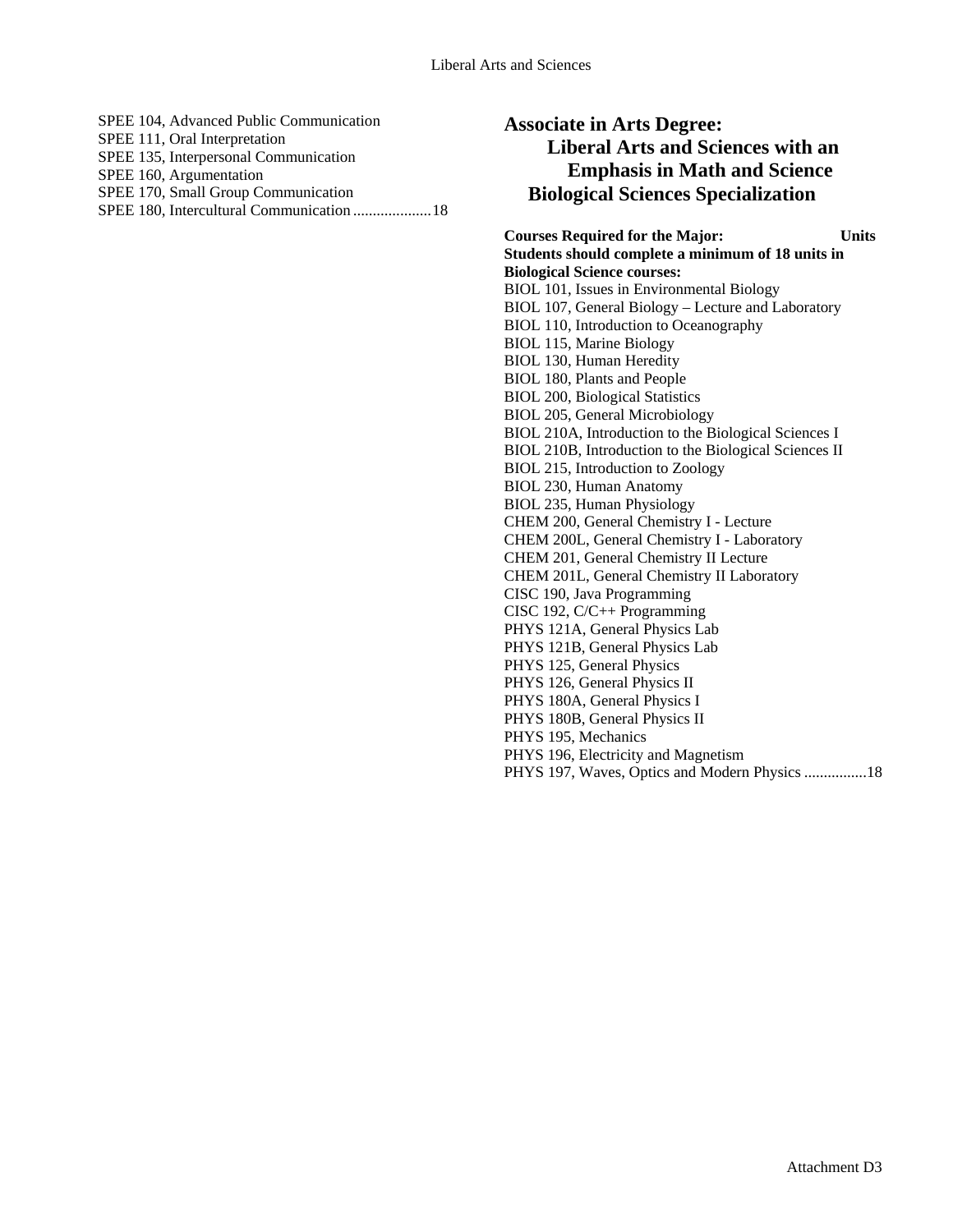| SPEE 104, Advanced Public Communication |
|-----------------------------------------|
| SPEE 111, Oral Interpretation           |
| SPEE 135, Interpersonal Communication   |
| SPEE 160, Argumentation                 |
| SPEE 170, Small Group Communication     |
|                                         |
|                                         |
|                                         |
|                                         |

**Associate in Arts Degree: Liberal Arts and Sciences with an Emphasis in Math and Science Biological Sciences Specialization**

**Courses Required for the Major: Units Students should complete a minimum of 18 units in Biological Science courses:**  BIOL 101, Issues in Environmental Biology BIOL 107, General Biology – Lecture and Laboratory BIOL 110, Introduction to Oceanography BIOL 115, Marine Biology BIOL 130, Human Heredity BIOL 180, Plants and People BIOL 200, Biological Statistics BIOL 205, General Microbiology BIOL 210A, Introduction to the Biological Sciences I BIOL 210B, Introduction to the Biological Sciences II BIOL 215, Introduction to Zoology BIOL 230, Human Anatomy BIOL 235, Human Physiology CHEM 200, General Chemistry I - Lecture CHEM 200L, General Chemistry I - Laboratory CHEM 201, General Chemistry II Lecture CHEM 201L, General Chemistry II Laboratory CISC 190, Java Programming CISC 192, C/C++ Programming PHYS 121A, General Physics Lab PHYS 121B, General Physics Lab PHYS 125, General Physics PHYS 126, General Physics II PHYS 180A, General Physics I PHYS 180B, General Physics II PHYS 195, Mechanics PHYS 196, Electricity and Magnetism PHYS 197, Waves, Optics and Modern Physics ................18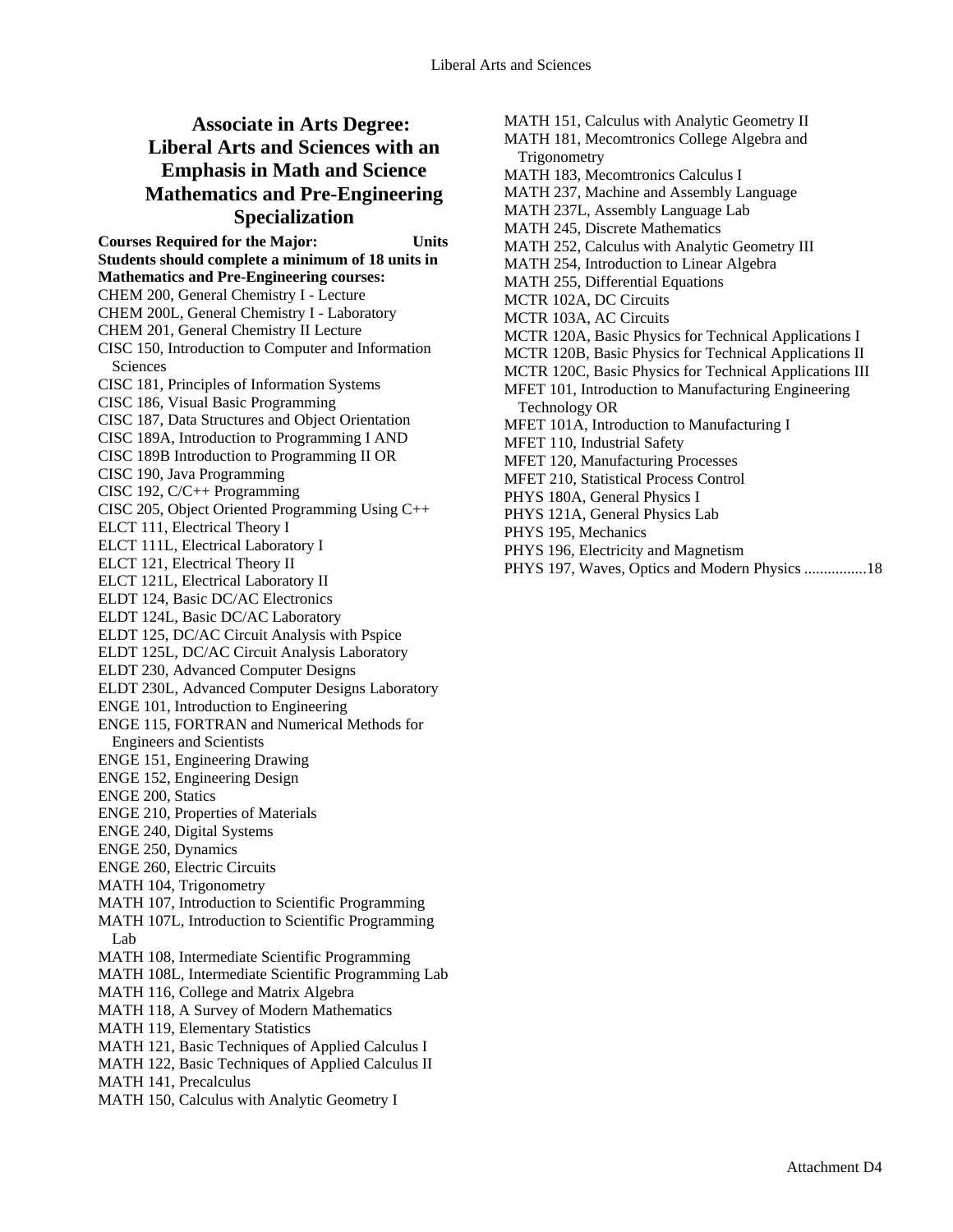## **Associate in Arts Degree: Liberal Arts and Sciences with an Emphasis in Math and Science Mathematics and Pre-Engineering Specialization**

**Courses Required for the Major: Units Students should complete a minimum of 18 units in Mathematics and Pre-Engineering courses:**  CHEM 200, General Chemistry I - Lecture CHEM 200L, General Chemistry I - Laboratory CHEM 201, General Chemistry II Lecture CISC 150, Introduction to Computer and Information Sciences CISC 181, Principles of Information Systems CISC 186, Visual Basic Programming CISC 187, Data Structures and Object Orientation CISC 189A, Introduction to Programming I AND CISC 189B Introduction to Programming II OR CISC 190, Java Programming CISC 192, C/C++ Programming CISC 205, Object Oriented Programming Using C++ ELCT 111, Electrical Theory I ELCT 111L, Electrical Laboratory I ELCT 121, Electrical Theory II ELCT 121L, Electrical Laboratory II ELDT 124, Basic DC/AC Electronics ELDT 124L, Basic DC/AC Laboratory ELDT 125, DC/AC Circuit Analysis with Pspice ELDT 125L, DC/AC Circuit Analysis Laboratory ELDT 230, Advanced Computer Designs ELDT 230L, Advanced Computer Designs Laboratory ENGE 101, Introduction to Engineering ENGE 115, FORTRAN and Numerical Methods for Engineers and Scientists ENGE 151, Engineering Drawing ENGE 152, Engineering Design ENGE 200, Statics ENGE 210, Properties of Materials ENGE 240, Digital Systems ENGE 250, Dynamics ENGE 260, Electric Circuits MATH 104, Trigonometry MATH 107, Introduction to Scientific Programming MATH 107L, Introduction to Scientific Programming Lab MATH 108, Intermediate Scientific Programming MATH 108L, Intermediate Scientific Programming Lab MATH 116, College and Matrix Algebra MATH 118, A Survey of Modern Mathematics MATH 119, Elementary Statistics MATH 121, Basic Techniques of Applied Calculus I MATH 122, Basic Techniques of Applied Calculus II MATH 141, Precalculus MATH 150, Calculus with Analytic Geometry I

MATH 151, Calculus with Analytic Geometry II MATH 181, Mecomtronics College Algebra and **Trigonometry** MATH 183, Mecomtronics Calculus I MATH 237, Machine and Assembly Language MATH 237L, Assembly Language Lab MATH 245, Discrete Mathematics MATH 252, Calculus with Analytic Geometry III MATH 254, Introduction to Linear Algebra MATH 255, Differential Equations MCTR 102A, DC Circuits MCTR 103A, AC Circuits MCTR 120A, Basic Physics for Technical Applications I MCTR 120B, Basic Physics for Technical Applications II MCTR 120C, Basic Physics for Technical Applications III MFET 101, Introduction to Manufacturing Engineering Technology OR MFET 101A, Introduction to Manufacturing I MFET 110, Industrial Safety MFET 120, Manufacturing Processes MFET 210, Statistical Process Control PHYS 180A, General Physics I PHYS 121A, General Physics Lab PHYS 195, Mechanics PHYS 196, Electricity and Magnetism

PHYS 197, Waves, Optics and Modern Physics ................18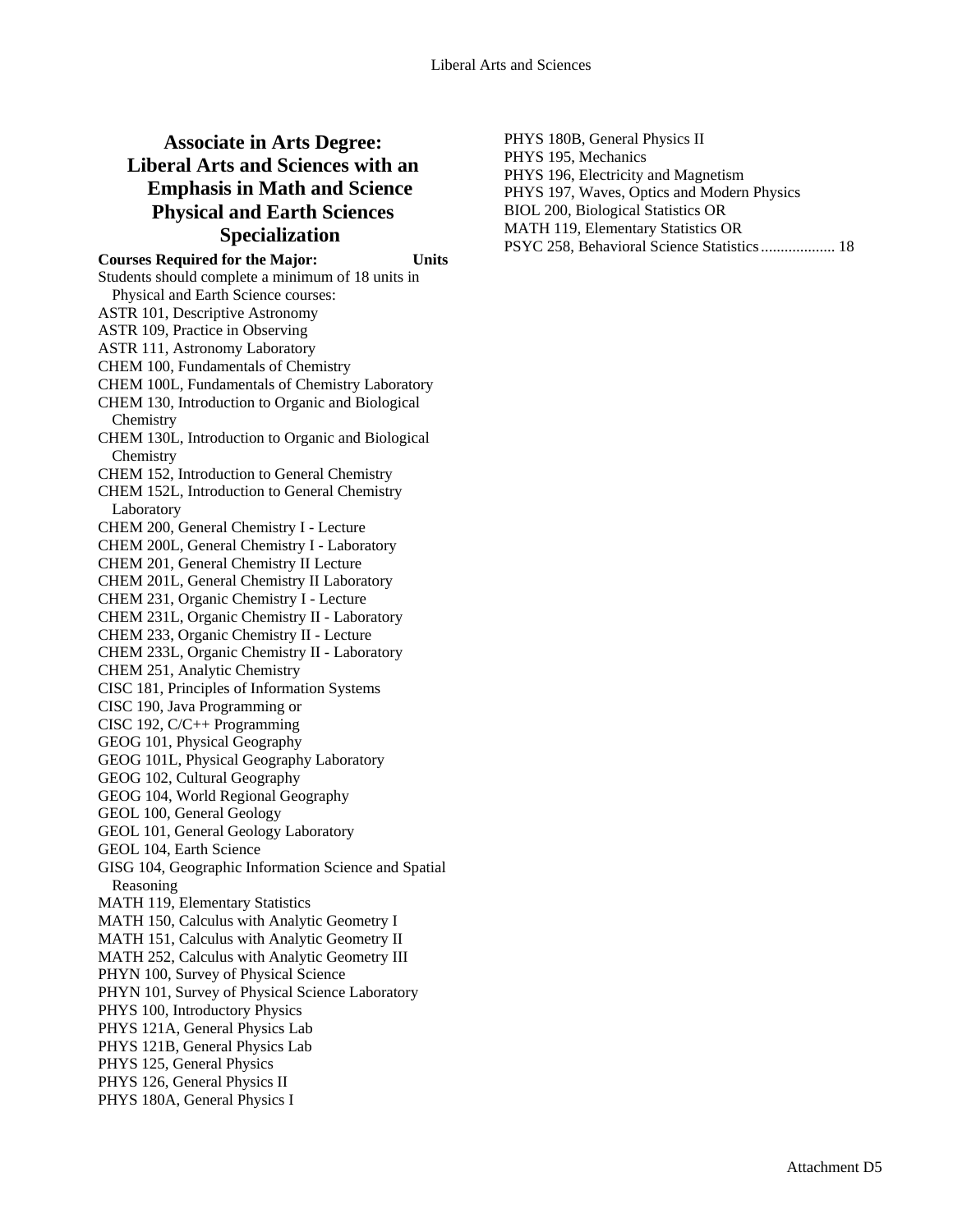## **Associate in Arts Degree: Liberal Arts and Sciences with an Emphasis in Math and Science Physical and Earth Sciences Specialization**

**Courses Required for the Major: Units**  Students should complete a minimum of 18 units in Physical and Earth Science courses: ASTR 101, Descriptive Astronomy ASTR 109, Practice in Observing ASTR 111, Astronomy Laboratory CHEM 100, Fundamentals of Chemistry CHEM 100L, Fundamentals of Chemistry Laboratory CHEM 130, Introduction to Organic and Biological **Chemistry** CHEM 130L, Introduction to Organic and Biological **Chemistry** CHEM 152, Introduction to General Chemistry CHEM 152L, Introduction to General Chemistry Laboratory CHEM 200, General Chemistry I - Lecture CHEM 200L, General Chemistry I - Laboratory CHEM 201, General Chemistry II Lecture CHEM 201L, General Chemistry II Laboratory CHEM 231, Organic Chemistry I - Lecture CHEM 231L, Organic Chemistry II - Laboratory CHEM 233, Organic Chemistry II - Lecture CHEM 233L, Organic Chemistry II - Laboratory CHEM 251, Analytic Chemistry CISC 181, Principles of Information Systems CISC 190, Java Programming or CISC 192, C/C++ Programming GEOG 101, Physical Geography GEOG 101L, Physical Geography Laboratory GEOG 102, Cultural Geography GEOG 104, World Regional Geography GEOL 100, General Geology GEOL 101, General Geology Laboratory GEOL 104, Earth Science GISG 104, Geographic Information Science and Spatial Reasoning MATH 119, Elementary Statistics MATH 150, Calculus with Analytic Geometry I MATH 151, Calculus with Analytic Geometry II MATH 252, Calculus with Analytic Geometry III PHYN 100, Survey of Physical Science PHYN 101, Survey of Physical Science Laboratory PHYS 100, Introductory Physics PHYS 121A, General Physics Lab PHYS 121B, General Physics Lab PHYS 125, General Physics PHYS 126, General Physics II PHYS 180A, General Physics I

PHYS 180B, General Physics II PHYS 195, Mechanics PHYS 196, Electricity and Magnetism PHYS 197, Waves, Optics and Modern Physics BIOL 200, Biological Statistics OR MATH 119, Elementary Statistics OR PSYC 258, Behavioral Science Statistics ................... 18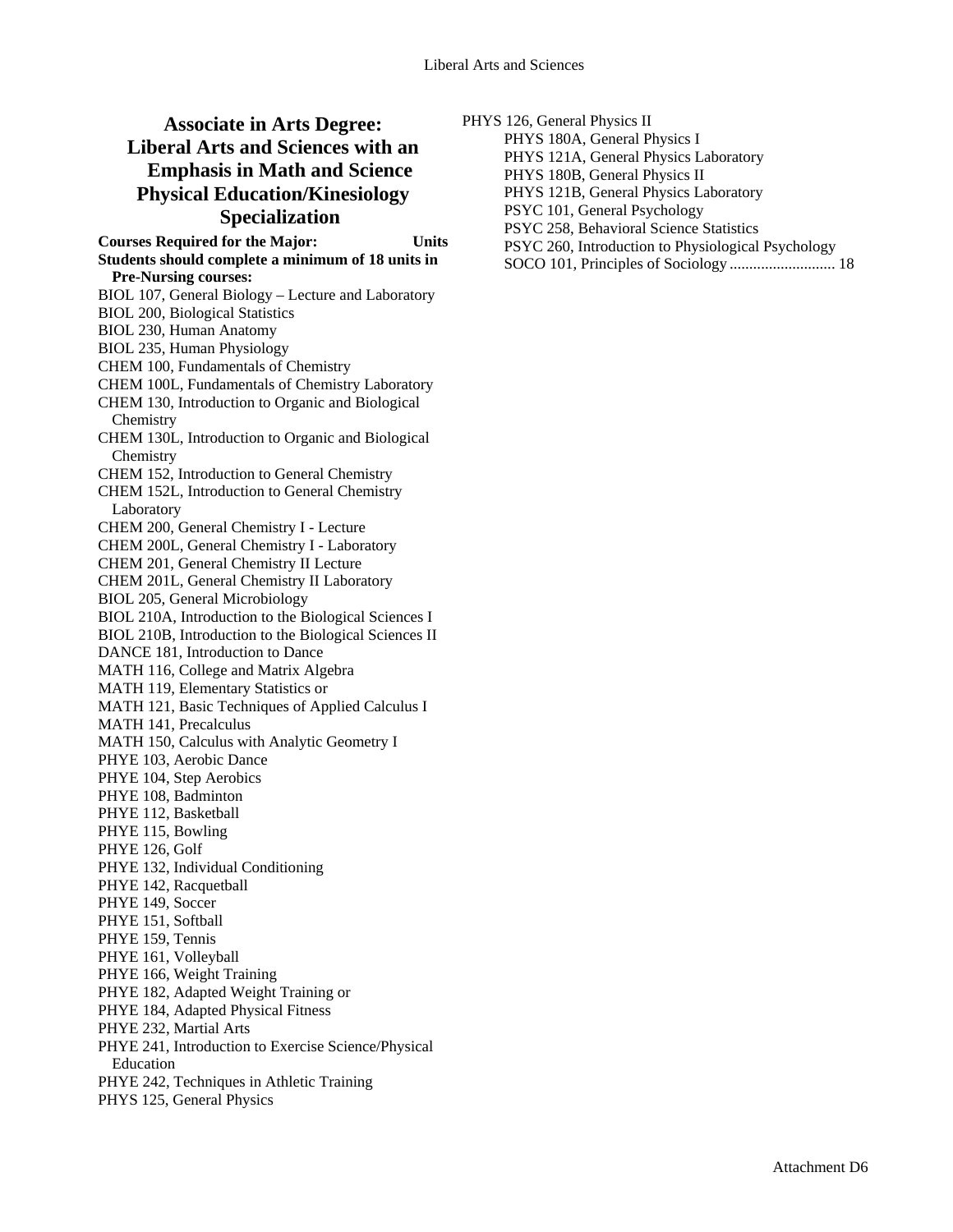## **Associate in Arts Degree: Liberal Arts and Sciences with an Emphasis in Math and Science Physical Education/Kinesiology Specialization**

**Courses Required for the Major: Units Students should complete a minimum of 18 units in Pre-Nursing courses:**  BIOL 107, General Biology – Lecture and Laboratory BIOL 200, Biological Statistics BIOL 230, Human Anatomy BIOL 235, Human Physiology CHEM 100, Fundamentals of Chemistry CHEM 100L, Fundamentals of Chemistry Laboratory CHEM 130, Introduction to Organic and Biological **Chemistry** CHEM 130L, Introduction to Organic and Biological **Chemistry** CHEM 152, Introduction to General Chemistry CHEM 152L, Introduction to General Chemistry Laboratory CHEM 200, General Chemistry I - Lecture CHEM 200L, General Chemistry I - Laboratory CHEM 201, General Chemistry II Lecture CHEM 201L, General Chemistry II Laboratory BIOL 205, General Microbiology BIOL 210A, Introduction to the Biological Sciences I BIOL 210B, Introduction to the Biological Sciences II DANCE 181, Introduction to Dance MATH 116, College and Matrix Algebra MATH 119, Elementary Statistics or MATH 121, Basic Techniques of Applied Calculus I MATH 141, Precalculus MATH 150, Calculus with Analytic Geometry I PHYE 103, Aerobic Dance PHYE 104, Step Aerobics PHYE 108, Badminton PHYE 112, Basketball PHYE 115, Bowling PHYE 126, Golf PHYE 132, Individual Conditioning PHYE 142, Racquetball PHYE 149, Soccer PHYE 151, Softball PHYE 159, Tennis PHYE 161, Volleyball PHYE 166, Weight Training PHYE 182, Adapted Weight Training or PHYE 184, Adapted Physical Fitness PHYE 232, Martial Arts PHYE 241, Introduction to Exercise Science/Physical Education PHYE 242, Techniques in Athletic Training PHYS 125, General Physics

PHYS 126, General Physics II

PHYS 180A, General Physics I

PHYS 121A, General Physics Laboratory

PHYS 180B, General Physics II

PHYS 121B, General Physics Laboratory

PSYC 101, General Psychology

PSYC 258, Behavioral Science Statistics

PSYC 260, Introduction to Physiological Psychology

SOCO 101, Principles of Sociology ........................... 18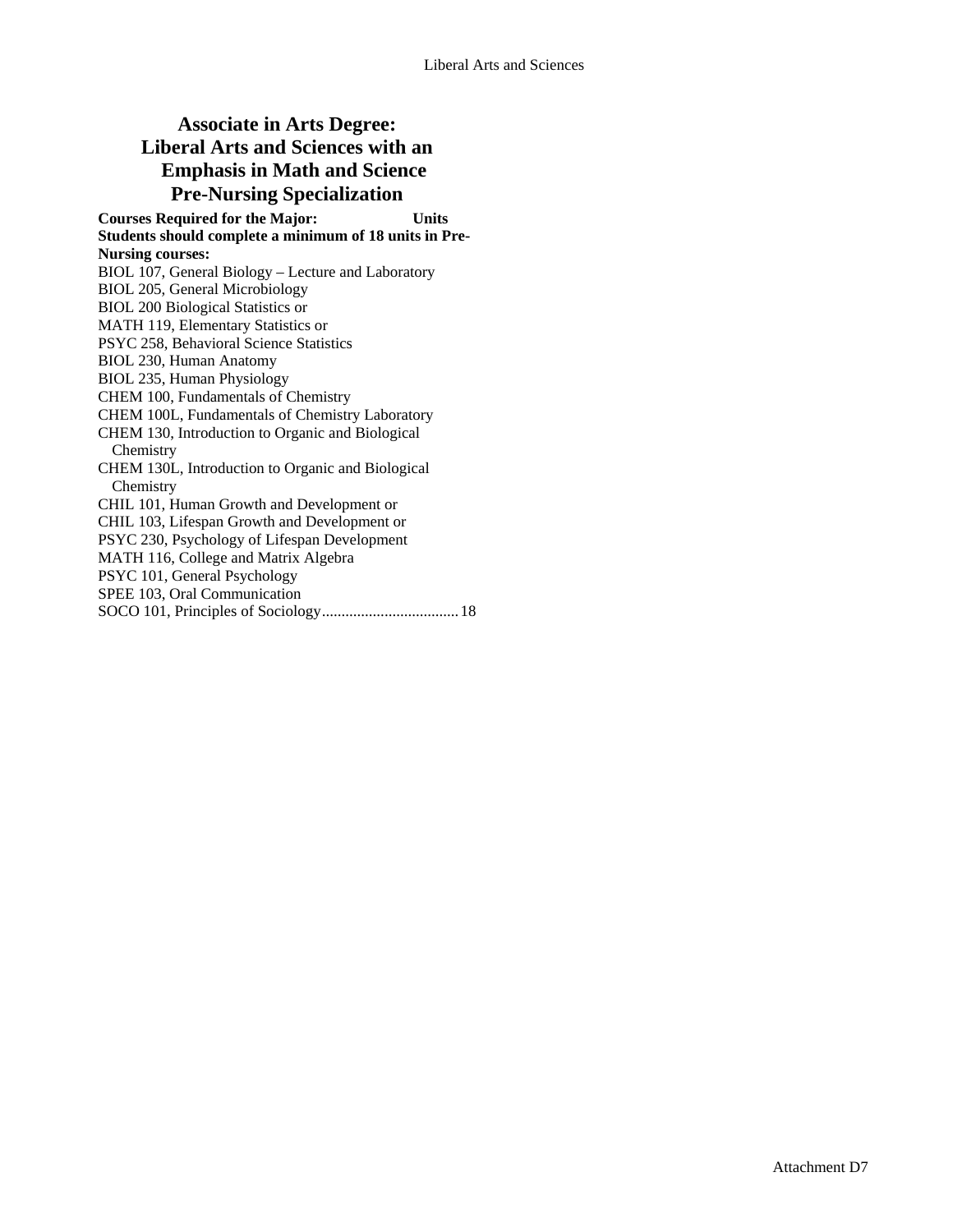## **Associate in Arts Degree: Liberal Arts and Sciences with an Emphasis in Math and Science Pre-Nursing Specialization**

**Courses Required for the Major: Units Students should complete a minimum of 18 units in Pre-Nursing courses:**  BIOL 107, General Biology – Lecture and Laboratory BIOL 205, General Microbiology BIOL 200 Biological Statistics or MATH 119, Elementary Statistics or PSYC 258, Behavioral Science Statistics BIOL 230, Human Anatomy BIOL 235, Human Physiology CHEM 100, Fundamentals of Chemistry CHEM 100L, Fundamentals of Chemistry Laboratory CHEM 130, Introduction to Organic and Biological **Chemistry** CHEM 130L, Introduction to Organic and Biological **Chemistry** CHIL 101, Human Growth and Development or CHIL 103, Lifespan Growth and Development or PSYC 230, Psychology of Lifespan Development MATH 116, College and Matrix Algebra PSYC 101, General Psychology SPEE 103, Oral Communication SOCO 101, Principles of Sociology...................................18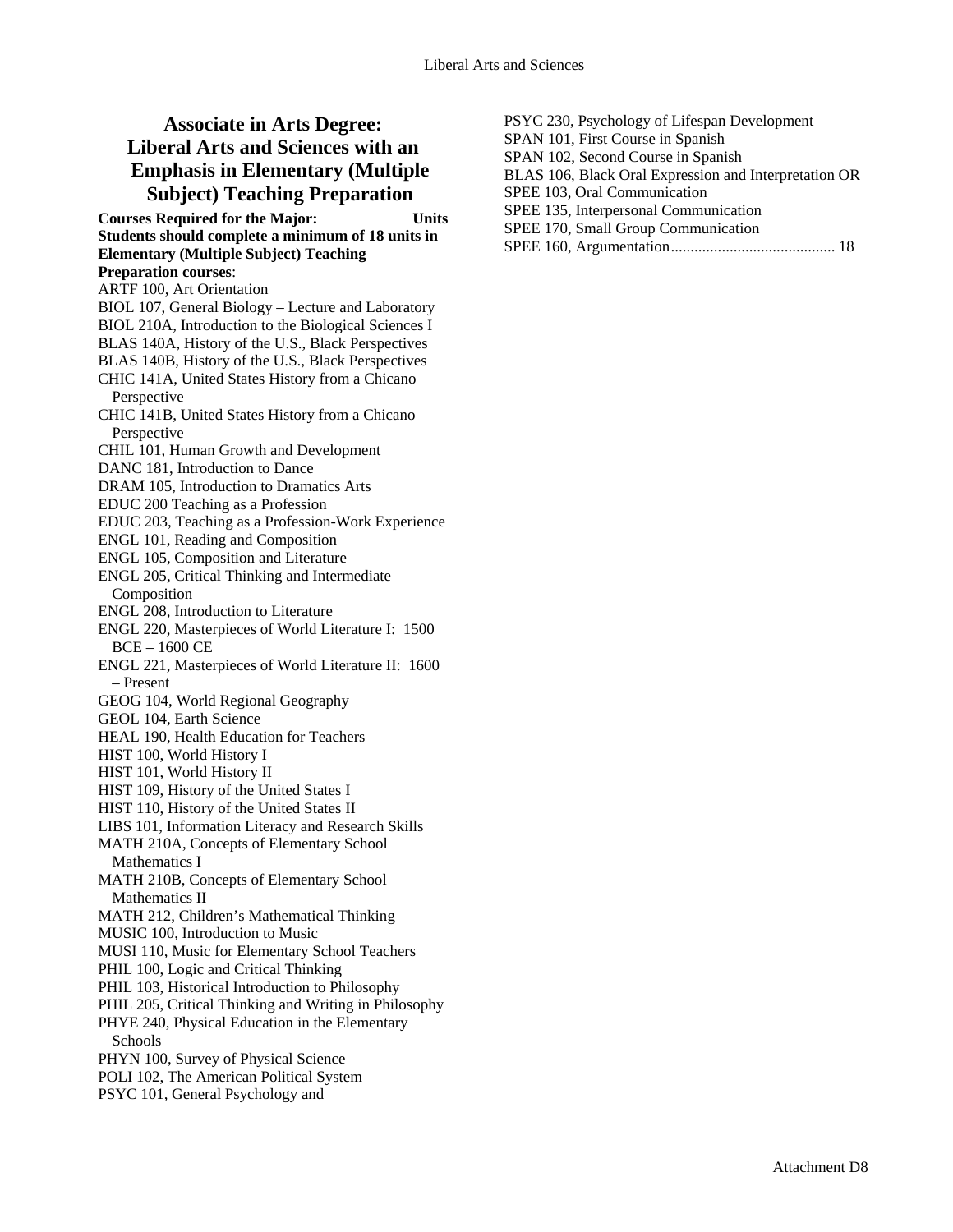# **Associate in Arts Degree: Liberal Arts and Sciences with an Emphasis in Elementary (Multiple Subject) Teaching Preparation**

**Courses Required for the Major: Units Students should complete a minimum of 18 units in Elementary (Multiple Subject) Teaching Preparation courses**: ARTF 100, Art Orientation BIOL 107, General Biology – Lecture and Laboratory BIOL 210A, Introduction to the Biological Sciences I BLAS 140A, History of the U.S., Black Perspectives BLAS 140B, History of the U.S., Black Perspectives CHIC 141A, United States History from a Chicano Perspective CHIC 141B, United States History from a Chicano Perspective CHIL 101, Human Growth and Development DANC 181, Introduction to Dance DRAM 105, Introduction to Dramatics Arts EDUC 200 Teaching as a Profession EDUC 203, Teaching as a Profession-Work Experience ENGL 101, Reading and Composition ENGL 105, Composition and Literature ENGL 205, Critical Thinking and Intermediate Composition ENGL 208, Introduction to Literature ENGL 220, Masterpieces of World Literature I: 1500 BCE – 1600 CE ENGL 221, Masterpieces of World Literature II: 1600 – Present GEOG 104, World Regional Geography GEOL 104, Earth Science HEAL 190, Health Education for Teachers HIST 100, World History I HIST 101, World History II HIST 109, History of the United States I HIST 110, History of the United States II LIBS 101, Information Literacy and Research Skills MATH 210A, Concepts of Elementary School Mathematics I MATH 210B, Concepts of Elementary School Mathematics II MATH 212, Children's Mathematical Thinking MUSIC 100, Introduction to Music MUSI 110, Music for Elementary School Teachers PHIL 100, Logic and Critical Thinking PHIL 103, Historical Introduction to Philosophy PHIL 205, Critical Thinking and Writing in Philosophy PHYE 240, Physical Education in the Elementary Schools PHYN 100, Survey of Physical Science POLI 102, The American Political System PSYC 101, General Psychology and

| PSYC 230, Psychology of Lifespan Development          |
|-------------------------------------------------------|
| SPAN 101, First Course in Spanish                     |
| SPAN 102, Second Course in Spanish                    |
| BLAS 106, Black Oral Expression and Interpretation OR |
| SPEE 103, Oral Communication                          |
| SPEE 135, Interpersonal Communication                 |
| SPEE 170, Small Group Communication                   |
|                                                       |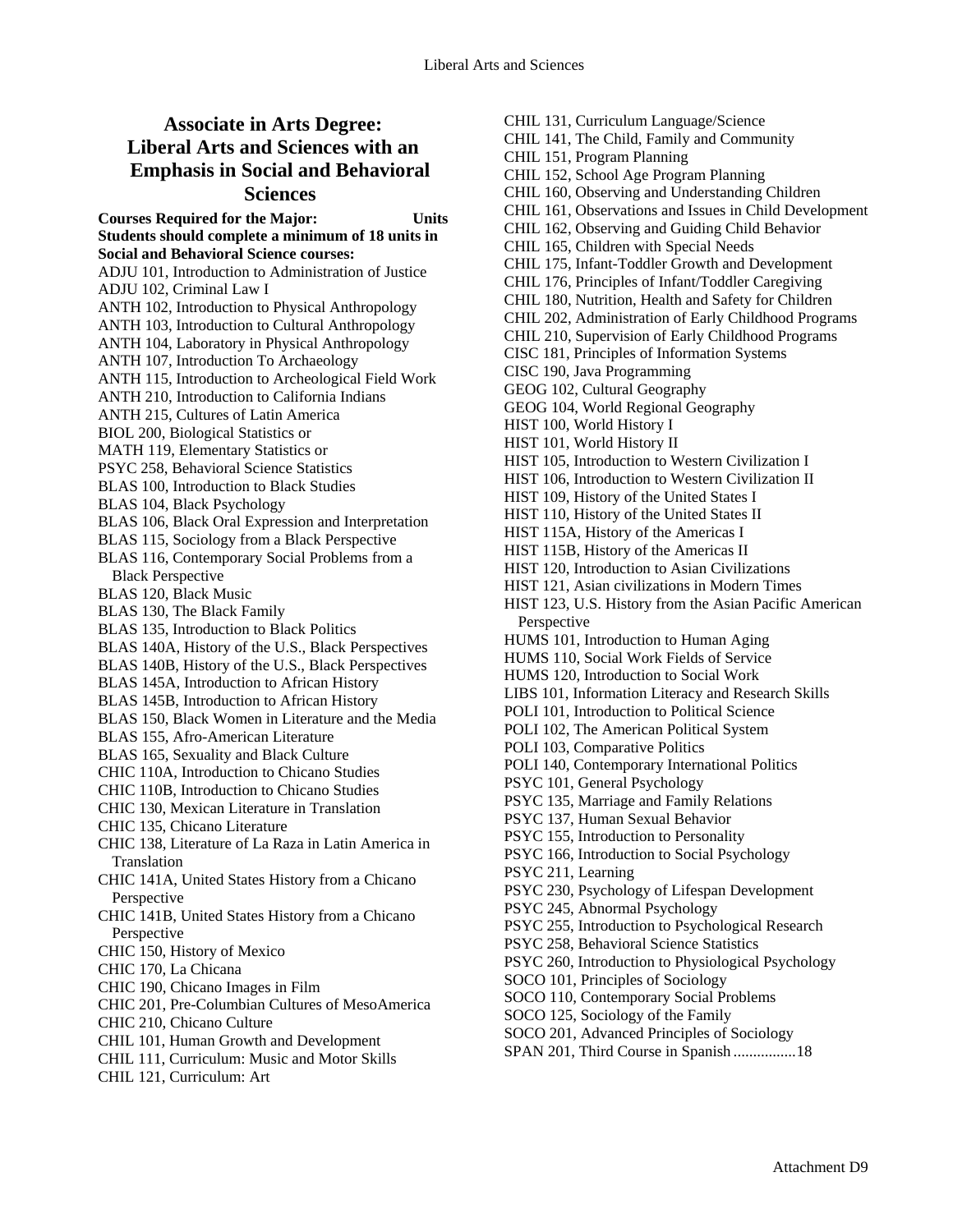### **Associate in Arts Degree: Liberal Arts and Sciences with an Emphasis in Social and Behavioral Sciences**

**Courses Required for the Major: Units Students should complete a minimum of 18 units in Social and Behavioral Science courses:**  ADJU 101, Introduction to Administration of Justice ADJU 102, Criminal Law I ANTH 102, Introduction to Physical Anthropology ANTH 103, Introduction to Cultural Anthropology ANTH 104, Laboratory in Physical Anthropology ANTH 107, Introduction To Archaeology ANTH 115, Introduction to Archeological Field Work ANTH 210, Introduction to California Indians ANTH 215, Cultures of Latin America BIOL 200, Biological Statistics or MATH 119, Elementary Statistics or PSYC 258, Behavioral Science Statistics BLAS 100, Introduction to Black Studies BLAS 104, Black Psychology BLAS 106, Black Oral Expression and Interpretation BLAS 115, Sociology from a Black Perspective BLAS 116, Contemporary Social Problems from a Black Perspective BLAS 120, Black Music BLAS 130, The Black Family BLAS 135, Introduction to Black Politics BLAS 140A, History of the U.S., Black Perspectives BLAS 140B, History of the U.S., Black Perspectives BLAS 145A, Introduction to African History BLAS 145B, Introduction to African History BLAS 150, Black Women in Literature and the Media BLAS 155, Afro-American Literature BLAS 165, Sexuality and Black Culture CHIC 110A, Introduction to Chicano Studies CHIC 110B, Introduction to Chicano Studies CHIC 130, Mexican Literature in Translation CHIC 135, Chicano Literature CHIC 138, Literature of La Raza in Latin America in Translation CHIC 141A, United States History from a Chicano Perspective CHIC 141B, United States History from a Chicano Perspective CHIC 150, History of Mexico CHIC 170, La Chicana CHIC 190, Chicano Images in Film CHIC 201, Pre-Columbian Cultures of MesoAmerica CHIC 210, Chicano Culture CHIL 101, Human Growth and Development CHIL 111, Curriculum: Music and Motor Skills CHIL 121, Curriculum: Art

CHIL 131, Curriculum Language/Science CHIL 141, The Child, Family and Community CHIL 151, Program Planning CHIL 152, School Age Program Planning CHIL 160, Observing and Understanding Children CHIL 161, Observations and Issues in Child Development CHIL 162, Observing and Guiding Child Behavior CHIL 165, Children with Special Needs CHIL 175, Infant-Toddler Growth and Development CHIL 176, Principles of Infant/Toddler Caregiving CHIL 180, Nutrition, Health and Safety for Children CHIL 202, Administration of Early Childhood Programs CHIL 210, Supervision of Early Childhood Programs CISC 181, Principles of Information Systems CISC 190, Java Programming GEOG 102, Cultural Geography GEOG 104, World Regional Geography HIST 100, World History I HIST 101, World History II HIST 105, Introduction to Western Civilization I HIST 106, Introduction to Western Civilization II HIST 109, History of the United States I HIST 110, History of the United States II HIST 115A, History of the Americas I HIST 115B, History of the Americas II HIST 120, Introduction to Asian Civilizations HIST 121, Asian civilizations in Modern Times HIST 123, U.S. History from the Asian Pacific American Perspective HUMS 101, Introduction to Human Aging HUMS 110, Social Work Fields of Service HUMS 120, Introduction to Social Work LIBS 101, Information Literacy and Research Skills POLI 101, Introduction to Political Science POLI 102, The American Political System POLI 103, Comparative Politics POLI 140, Contemporary International Politics PSYC 101, General Psychology PSYC 135, Marriage and Family Relations PSYC 137, Human Sexual Behavior PSYC 155, Introduction to Personality PSYC 166, Introduction to Social Psychology PSYC 211, Learning PSYC 230, Psychology of Lifespan Development PSYC 245, Abnormal Psychology PSYC 255, Introduction to Psychological Research PSYC 258, Behavioral Science Statistics PSYC 260, Introduction to Physiological Psychology SOCO 101, Principles of Sociology SOCO 110, Contemporary Social Problems SOCO 125, Sociology of the Family SOCO 201, Advanced Principles of Sociology SPAN 201, Third Course in Spanish ................18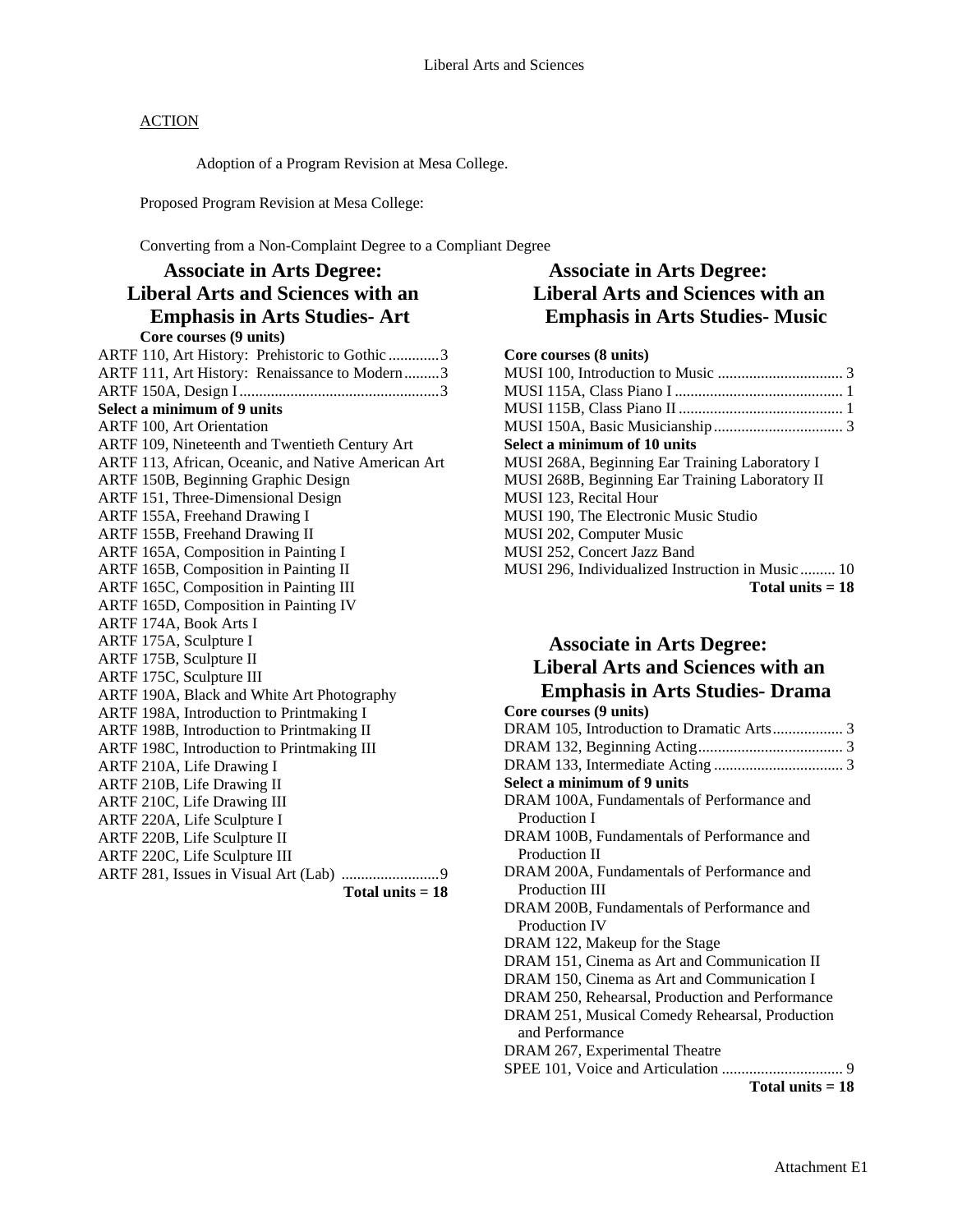Adoption of a Program Revision at Mesa College.

Proposed Program Revision at Mesa College:

Converting from a Non-Complaint Degree to a Compliant Degree

| <b>Associate in Arts Degree:</b>                    |  |
|-----------------------------------------------------|--|
| <b>Liberal Arts and Sciences with an</b>            |  |
| <b>Emphasis in Arts Studies- Art</b>                |  |
| Core courses (9 units)                              |  |
| ARTF 110, Art History: Prehistoric to Gothic 3      |  |
| ARTF 111, Art History: Renaissance to Modern3       |  |
|                                                     |  |
| Select a minimum of 9 units                         |  |
| <b>ARTF 100, Art Orientation</b>                    |  |
| ARTF 109, Nineteenth and Twentieth Century Art      |  |
| ARTF 113, African, Oceanic, and Native American Art |  |
| ARTF 150B, Beginning Graphic Design                 |  |
| ARTF 151, Three-Dimensional Design                  |  |
| ARTF 155A, Freehand Drawing I                       |  |
| ARTF 155B, Freehand Drawing II                      |  |
| ARTF 165A, Composition in Painting I                |  |
| ARTF 165B, Composition in Painting II               |  |
| ARTF 165C, Composition in Painting III              |  |
| ARTF 165D, Composition in Painting IV               |  |
| ARTF 174A, Book Arts I                              |  |
| ARTF 175A, Sculpture I                              |  |
| ARTF 175B, Sculpture II                             |  |
| ARTF 175C, Sculpture III                            |  |
| ARTF 190A, Black and White Art Photography          |  |
| ARTF 198A, Introduction to Printmaking I            |  |
| ARTF 198B, Introduction to Printmaking II           |  |
| ARTF 198C, Introduction to Printmaking III          |  |
| ARTF 210A, Life Drawing I                           |  |
| ARTF 210B, Life Drawing II                          |  |
| ARTF 210C, Life Drawing III                         |  |
| ARTF 220A, Life Sculpture I                         |  |
| ARTF 220B, Life Sculpture II                        |  |
| ARTF 220C, Life Sculpture III                       |  |
|                                                     |  |
| Total units $= 18$                                  |  |

## **Associate in Arts Degree: Liberal Arts and Sciences with an Emphasis in Arts Studies- Music**

#### **Core courses (8 units)**

# **Associate in Arts Degree: Liberal Arts and Sciences with an Emphasis in Arts Studies- Drama**

| Core courses (9 units)                          |
|-------------------------------------------------|
|                                                 |
|                                                 |
|                                                 |
| Select a minimum of 9 units                     |
| DRAM 100A, Fundamentals of Performance and      |
| Production I                                    |
| DRAM 100B, Fundamentals of Performance and      |
| Production II                                   |
| DRAM 200A, Fundamentals of Performance and      |
| <b>Production III</b>                           |
| DRAM 200B, Fundamentals of Performance and      |
| <b>Production IV</b>                            |
| DRAM 122, Makeup for the Stage                  |
| DRAM 151, Cinema as Art and Communication II    |
| DRAM 150, Cinema as Art and Communication I     |
| DRAM 250, Rehearsal, Production and Performance |
| DRAM 251, Musical Comedy Rehearsal, Production  |
| and Performance                                 |
| DRAM 267, Experimental Theatre                  |
|                                                 |
| Total units $= 18$                              |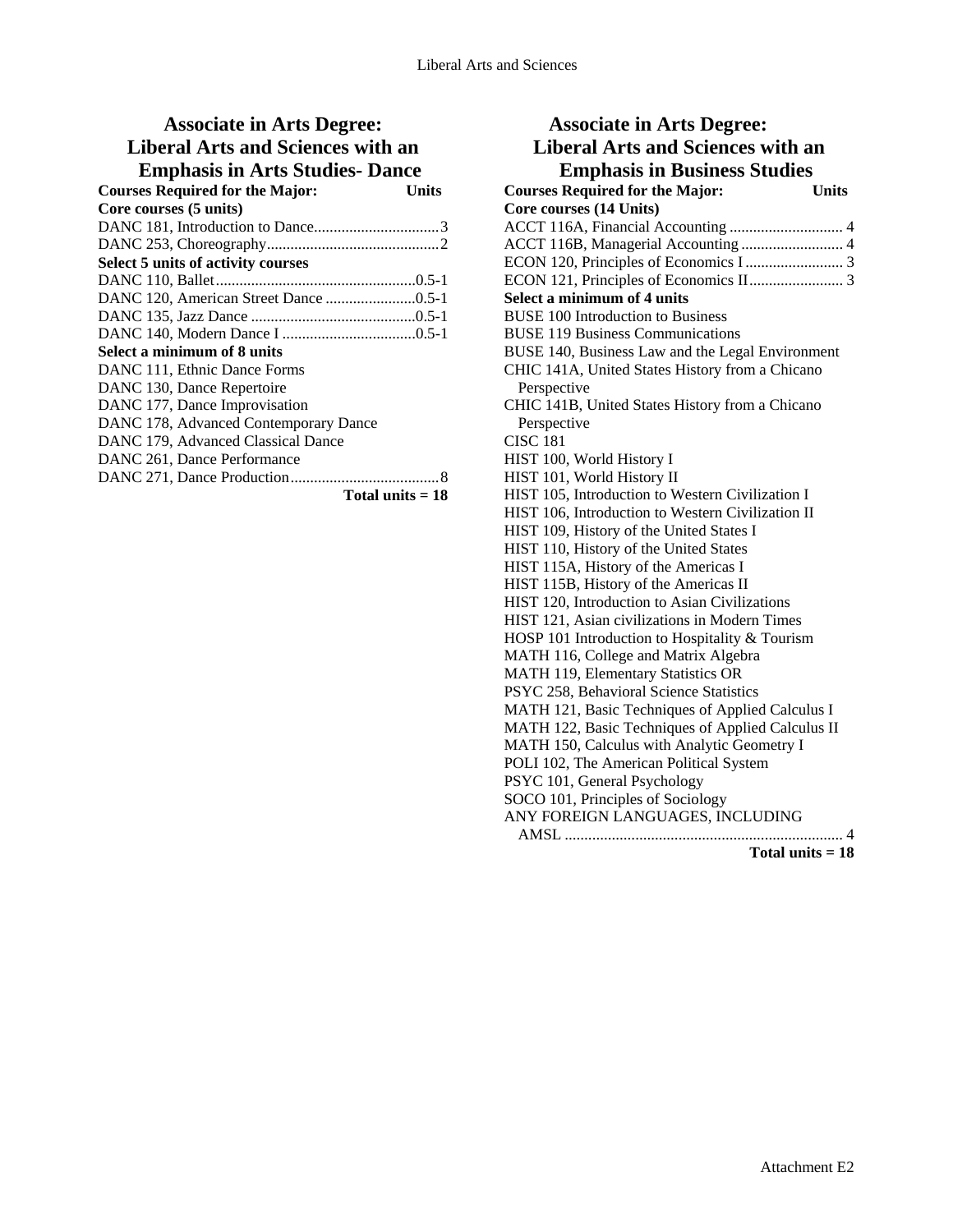### **Associate in Arts Degree: Liberal Arts and Sciences with an Emphasis in Arts Studies- Dance**

| епірнаяя ін ты ая элеміся — Dance         |       |
|-------------------------------------------|-------|
| <b>Courses Required for the Major:</b>    | Units |
| Core courses (5 units)                    |       |
|                                           |       |
|                                           |       |
| <b>Select 5 units of activity courses</b> |       |
|                                           |       |
|                                           |       |
|                                           |       |
|                                           |       |
| Select a minimum of 8 units               |       |
| DANC 111, Ethnic Dance Forms              |       |
| DANC 130, Dance Repertoire                |       |
| DANC 177, Dance Improvisation             |       |
| DANC 178, Advanced Contemporary Dance     |       |
| DANC 179, Advanced Classical Dance        |       |
| DANC 261, Dance Performance               |       |
|                                           |       |
| Total units $= 18$                        |       |

| <b>Associate in Arts Degree:</b>                       |
|--------------------------------------------------------|
| <b>Liberal Arts and Sciences with an</b>               |
| <b>Emphasis in Business Studies</b>                    |
| <b>Courses Required for the Major:</b><br><b>Units</b> |
| Core courses (14 Units)                                |
|                                                        |
| ACCT 116B, Managerial Accounting  4                    |
|                                                        |
|                                                        |
| Select a minimum of 4 units                            |
| <b>BUSE 100 Introduction to Business</b>               |
| <b>BUSE 119 Business Communications</b>                |
| BUSE 140, Business Law and the Legal Environment       |
| CHIC 141A, United States History from a Chicano        |
| Perspective                                            |
| CHIC 141B, United States History from a Chicano        |
| Perspective                                            |
| <b>CISC 181</b>                                        |
| HIST 100, World History I                              |
| HIST 101, World History II                             |
| HIST 105, Introduction to Western Civilization I       |
| HIST 106, Introduction to Western Civilization II      |
| HIST 109, History of the United States I               |
| HIST 110, History of the United States                 |
| HIST 115A, History of the Americas I                   |
| HIST 115B, History of the Americas II                  |
| HIST 120, Introduction to Asian Civilizations          |
| HIST 121, Asian civilizations in Modern Times          |
| HOSP 101 Introduction to Hospitality & Tourism         |
| MATH 116, College and Matrix Algebra                   |
| MATH 119, Elementary Statistics OR                     |
| PSYC 258, Behavioral Science Statistics                |
| MATH 121, Basic Techniques of Applied Calculus I       |
| MATH 122, Basic Techniques of Applied Calculus II      |
| MATH 150, Calculus with Analytic Geometry I            |
| POLI 102, The American Political System                |
| PSYC 101, General Psychology                           |
| SOCO 101, Principles of Sociology                      |
| ANY FOREIGN LANGUAGES, INCLUDING                       |
|                                                        |
| Total units $= 18$                                     |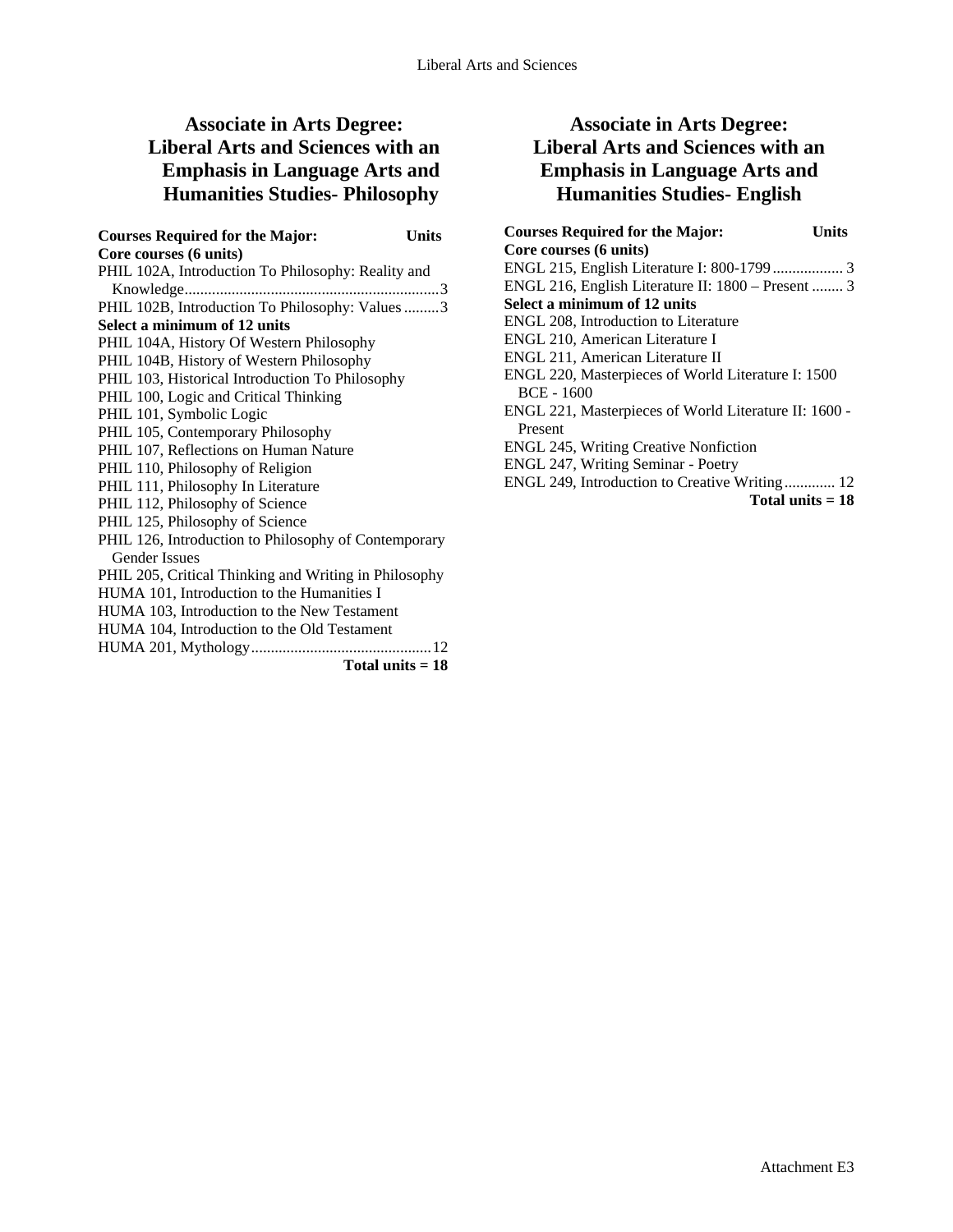# **Associate in Arts Degree: Liberal Arts and Sciences with an Emphasis in Language Arts and Humanities Studies- Philosophy**

| <b>Courses Required for the Major:</b>                | <b>Units</b> |
|-------------------------------------------------------|--------------|
| Core courses (6 units)                                |              |
| PHIL 102A, Introduction To Philosophy: Reality and    |              |
|                                                       |              |
| PHIL 102B, Introduction To Philosophy: Values 3       |              |
| Select a minimum of 12 units                          |              |
| PHIL 104A, History Of Western Philosophy              |              |
| PHIL 104B, History of Western Philosophy              |              |
| PHIL 103, Historical Introduction To Philosophy       |              |
| PHIL 100, Logic and Critical Thinking                 |              |
| PHIL 101, Symbolic Logic                              |              |
| PHIL 105, Contemporary Philosophy                     |              |
| PHIL 107, Reflections on Human Nature                 |              |
| PHIL 110, Philosophy of Religion                      |              |
| PHIL 111, Philosophy In Literature                    |              |
| PHIL 112, Philosophy of Science                       |              |
| PHIL 125, Philosophy of Science                       |              |
| PHIL 126, Introduction to Philosophy of Contemporary  |              |
| Gender Issues                                         |              |
| PHIL 205, Critical Thinking and Writing in Philosophy |              |
| HUMA 101, Introduction to the Humanities I            |              |
| HUMA 103, Introduction to the New Testament           |              |
| HUMA 104, Introduction to the Old Testament           |              |
|                                                       |              |
| Total units $= 18$                                    |              |

# **Associate in Arts Degree: Liberal Arts and Sciences with an Emphasis in Language Arts and Humanities Studies- English**

| <b>Courses Required for the Major:</b><br>Units       |  |
|-------------------------------------------------------|--|
| Core courses (6 units)                                |  |
|                                                       |  |
| ENGL 216, English Literature II: 1800 – Present  3    |  |
| Select a minimum of 12 units                          |  |
| ENGL 208, Introduction to Literature                  |  |
| ENGL 210, American Literature I                       |  |
| ENGL 211, American Literature II                      |  |
| ENGL 220, Masterpieces of World Literature I: 1500    |  |
| BCE - 1600                                            |  |
| ENGL 221, Masterpieces of World Literature II: 1600 - |  |
| Present                                               |  |
| <b>ENGL 245, Writing Creative Nonfiction</b>          |  |
| ENGL 247, Writing Seminar - Poetry                    |  |
| ENGL 249, Introduction to Creative Writing 12         |  |
| Total units $= 18$                                    |  |
|                                                       |  |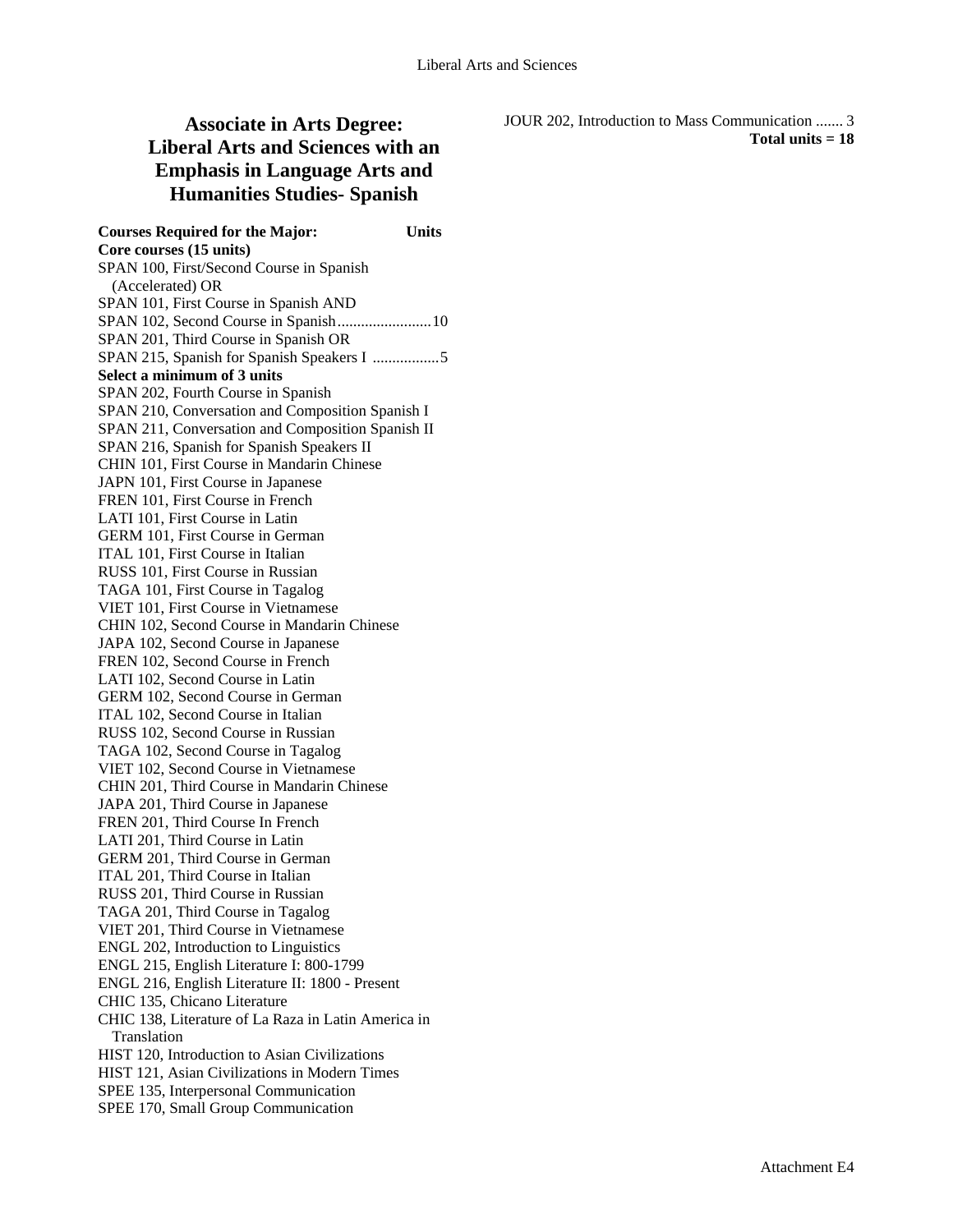# **Associate in Arts Degree: Liberal Arts and Sciences with an Emphasis in Language Arts and Humanities Studies- Spanish**

JOUR 202, Introduction to Mass Communication ....... 3 **Total units = 18** 

**Courses Required for the Major: Units Core courses (15 units)**  SPAN 100, First/Second Course in Spanish (Accelerated) OR SPAN 101, First Course in Spanish AND SPAN 102, Second Course in Spanish........................10 SPAN 201, Third Course in Spanish OR SPAN 215, Spanish for Spanish Speakers I .................5 **Select a minimum of 3 units**  SPAN 202, Fourth Course in Spanish SPAN 210, Conversation and Composition Spanish I SPAN 211, Conversation and Composition Spanish II SPAN 216, Spanish for Spanish Speakers II CHIN 101, First Course in Mandarin Chinese JAPN 101, First Course in Japanese FREN 101, First Course in French LATI 101, First Course in Latin GERM 101, First Course in German ITAL 101, First Course in Italian RUSS 101, First Course in Russian TAGA 101, First Course in Tagalog VIET 101, First Course in Vietnamese CHIN 102, Second Course in Mandarin Chinese JAPA 102, Second Course in Japanese FREN 102, Second Course in French LATI 102, Second Course in Latin GERM 102, Second Course in German ITAL 102, Second Course in Italian RUSS 102, Second Course in Russian TAGA 102, Second Course in Tagalog VIET 102, Second Course in Vietnamese CHIN 201, Third Course in Mandarin Chinese JAPA 201, Third Course in Japanese FREN 201, Third Course In French LATI 201, Third Course in Latin GERM 201, Third Course in German ITAL 201, Third Course in Italian RUSS 201, Third Course in Russian TAGA 201, Third Course in Tagalog VIET 201, Third Course in Vietnamese ENGL 202, Introduction to Linguistics ENGL 215, English Literature I: 800-1799 ENGL 216, English Literature II: 1800 - Present CHIC 135, Chicano Literature CHIC 138, Literature of La Raza in Latin America in **Translation** HIST 120, Introduction to Asian Civilizations HIST 121, Asian Civilizations in Modern Times SPEE 135, Interpersonal Communication SPEE 170, Small Group Communication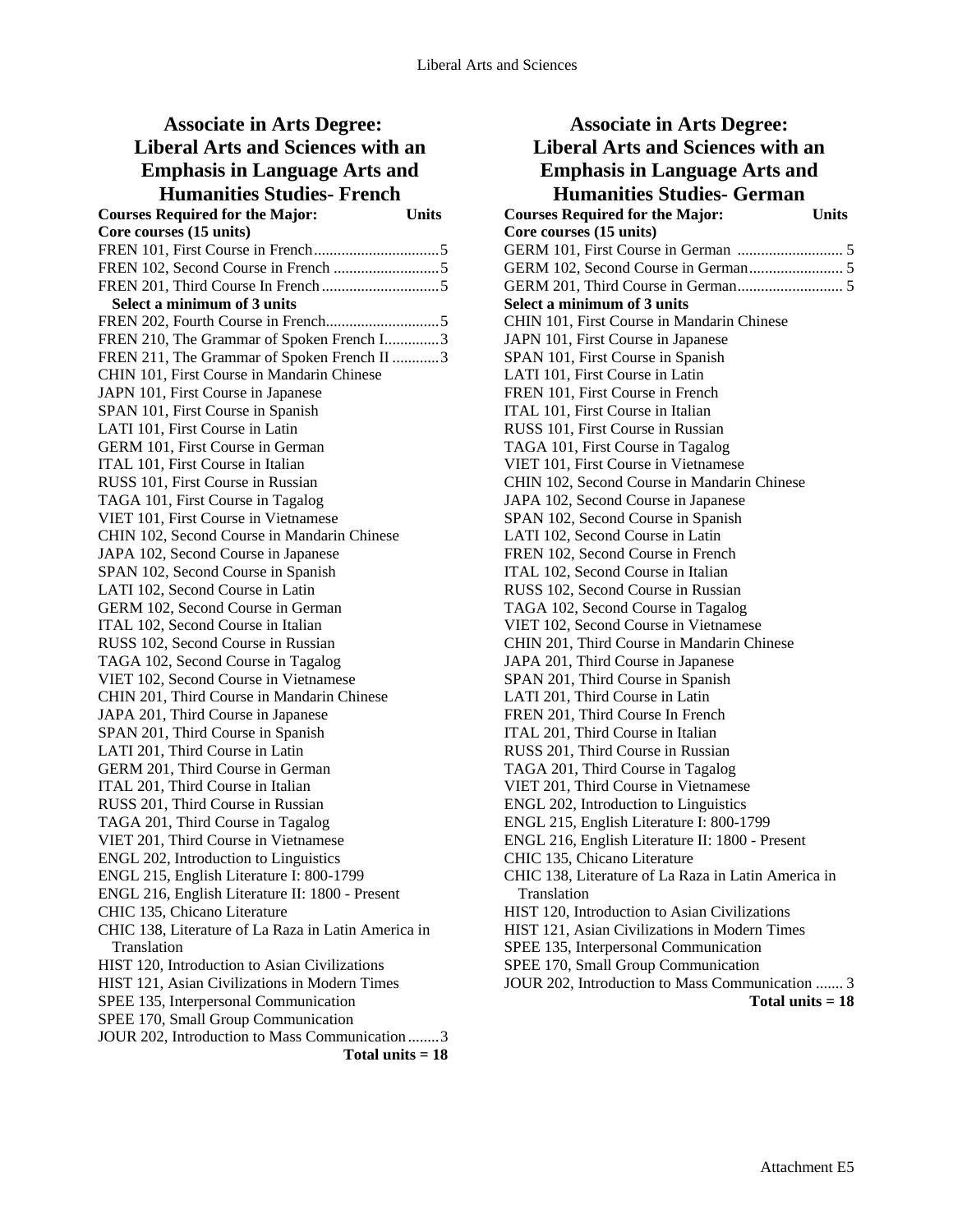#### **Associate in Arts Degree: Liberal Arts and Sciences with an Emphasis in Language Arts and Humanities Studies- French Courses Required for the Major: Units Core courses (15 units)**  FREN 101, First Course in French................................5 FREN 102, Second Course in French ...........................5 FREN 201, Third Course In French ..............................5 **Select a minimum of 3 units**  FREN 202, Fourth Course in French.............................5 FREN 210, The Grammar of Spoken French I..............3 FREN 211, The Grammar of Spoken French II ............3 CHIN 101, First Course in Mandarin Chinese JAPN 101, First Course in Japanese SPAN 101, First Course in Spanish LATI 101, First Course in Latin GERM 101, First Course in German ITAL 101, First Course in Italian RUSS 101, First Course in Russian TAGA 101, First Course in Tagalog VIET 101, First Course in Vietnamese CHIN 102, Second Course in Mandarin Chinese JAPA 102, Second Course in Japanese SPAN 102, Second Course in Spanish LATI 102, Second Course in Latin GERM 102, Second Course in German ITAL 102, Second Course in Italian RUSS 102, Second Course in Russian TAGA 102, Second Course in Tagalog VIET 102, Second Course in Vietnamese CHIN 201, Third Course in Mandarin Chinese JAPA 201, Third Course in Japanese SPAN 201, Third Course in Spanish LATI 201, Third Course in Latin GERM 201, Third Course in German ITAL 201, Third Course in Italian RUSS 201, Third Course in Russian TAGA 201, Third Course in Tagalog VIET 201, Third Course in Vietnamese ENGL 202, Introduction to Linguistics ENGL 215, English Literature I: 800-1799 ENGL 216, English Literature II: 1800 - Present CHIC 135, Chicano Literature CHIC 138, Literature of La Raza in Latin America in Translation HIST 120, Introduction to Asian Civilizations HIST 121, Asian Civilizations in Modern Times SPEE 135, Interpersonal Communication SPEE 170, Small Group Communication JOUR 202, Introduction to Mass Communication ........3

**Total units = 18** 

**Liberal Arts and Sciences with an Emphasis in Language Arts and Humanities Studies- German Courses Required for the Major: Units Core courses (15 units)**  GERM 101, First Course in German ........................... 5 GERM 102, Second Course in German........................ 5 GERM 201, Third Course in German........................... 5 **Select a minimum of 3 units**  CHIN 101, First Course in Mandarin Chinese JAPN 101, First Course in Japanese SPAN 101, First Course in Spanish LATI 101, First Course in Latin FREN 101, First Course in French ITAL 101, First Course in Italian RUSS 101, First Course in Russian TAGA 101, First Course in Tagalog VIET 101, First Course in Vietnamese CHIN 102, Second Course in Mandarin Chinese JAPA 102, Second Course in Japanese SPAN 102, Second Course in Spanish LATI 102, Second Course in Latin FREN 102, Second Course in French ITAL 102, Second Course in Italian RUSS 102, Second Course in Russian TAGA 102, Second Course in Tagalog VIET 102, Second Course in Vietnamese CHIN 201, Third Course in Mandarin Chinese JAPA 201, Third Course in Japanese SPAN 201, Third Course in Spanish LATI 201, Third Course in Latin FREN 201, Third Course In French ITAL 201, Third Course in Italian RUSS 201, Third Course in Russian TAGA 201, Third Course in Tagalog VIET 201, Third Course in Vietnamese ENGL 202, Introduction to Linguistics ENGL 215, English Literature I: 800-1799 ENGL 216, English Literature II: 1800 - Present CHIC 135, Chicano Literature CHIC 138, Literature of La Raza in Latin America in Translation HIST 120, Introduction to Asian Civilizations HIST 121, Asian Civilizations in Modern Times SPEE 135, Interpersonal Communication SPEE 170, Small Group Communication JOUR 202, Introduction to Mass Communication ....... 3

**Associate in Arts Degree:**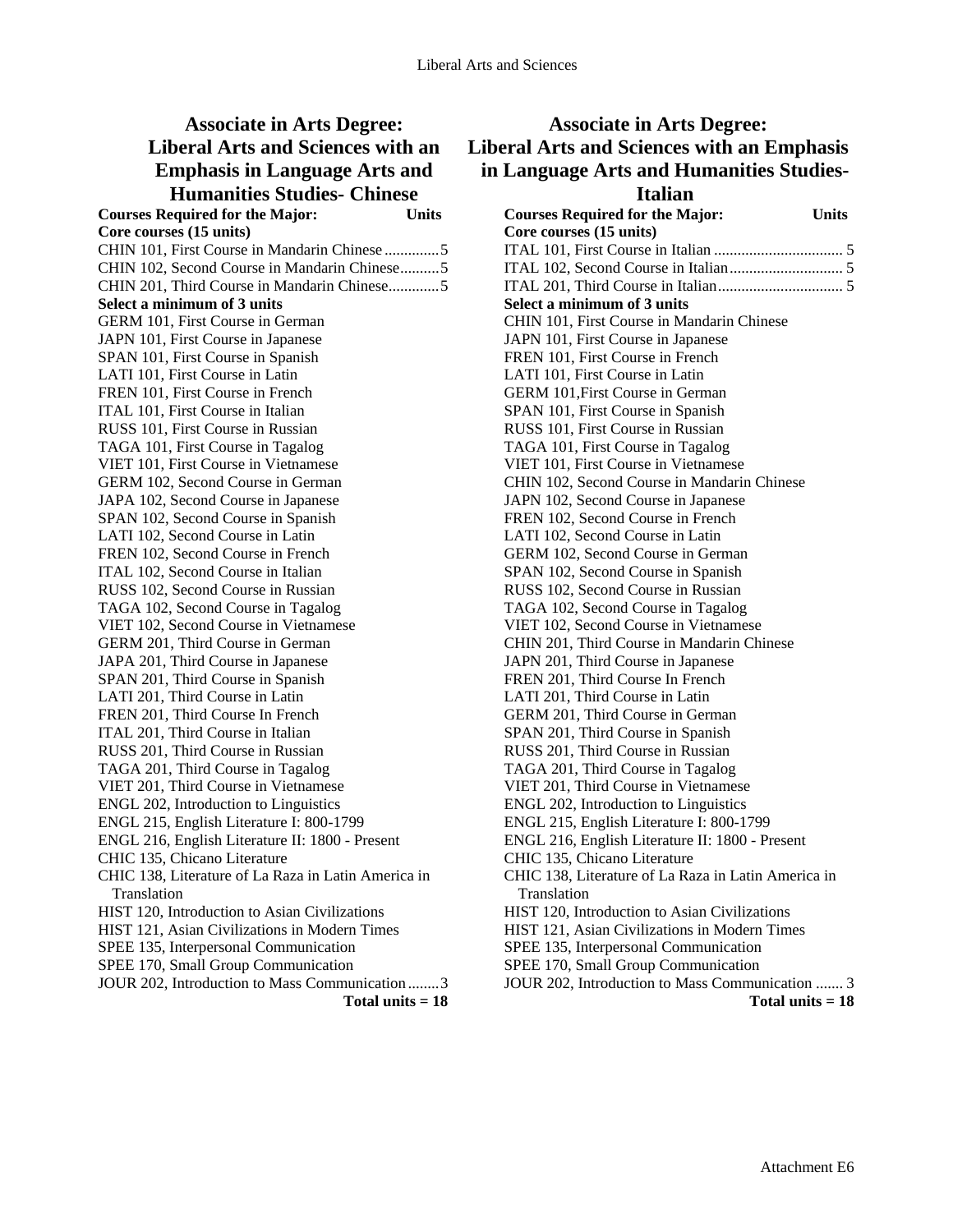#### **Associate in Arts Degree: Liberal Arts and Sciences with an Emphasis in Language Arts and Humanities Studies- Chinese Courses Required for the Major: Units**

**Core courses (15 units)**  CHIN 101, First Course in Mandarin Chinese ..............5 CHIN 102, Second Course in Mandarin Chinese..........5 CHIN 201, Third Course in Mandarin Chinese.............5 **Select a minimum of 3 units**  GERM 101, First Course in German JAPN 101, First Course in Japanese SPAN 101, First Course in Spanish LATI 101, First Course in Latin FREN 101, First Course in French ITAL 101, First Course in Italian RUSS 101, First Course in Russian TAGA 101, First Course in Tagalog VIET 101, First Course in Vietnamese GERM 102, Second Course in German JAPA 102, Second Course in Japanese SPAN 102, Second Course in Spanish LATI 102, Second Course in Latin FREN 102, Second Course in French ITAL 102, Second Course in Italian RUSS 102, Second Course in Russian TAGA 102, Second Course in Tagalog VIET 102, Second Course in Vietnamese GERM 201, Third Course in German JAPA 201, Third Course in Japanese SPAN 201, Third Course in Spanish LATI 201, Third Course in Latin FREN 201, Third Course In French ITAL 201, Third Course in Italian RUSS 201, Third Course in Russian TAGA 201, Third Course in Tagalog VIET 201, Third Course in Vietnamese ENGL 202, Introduction to Linguistics ENGL 215, English Literature I: 800-1799 ENGL 216, English Literature II: 1800 - Present CHIC 135, Chicano Literature CHIC 138, Literature of La Raza in Latin America in Translation HIST 120, Introduction to Asian Civilizations HIST 121, Asian Civilizations in Modern Times SPEE 135, Interpersonal Communication SPEE 170, Small Group Communication JOUR 202, Introduction to Mass Communication ........3 **Total units = 18** 

## **Associate in Arts Degree: Liberal Arts and Sciences with an Emphasis in Language Arts and Humanities Studies-Italian**

| <b>Courses Required for the Major:</b>              | <b>Units</b> |
|-----------------------------------------------------|--------------|
| Core courses (15 units)                             |              |
|                                                     |              |
|                                                     |              |
|                                                     |              |
| Select a minimum of 3 units                         |              |
| CHIN 101, First Course in Mandarin Chinese          |              |
| JAPN 101, First Course in Japanese                  |              |
| FREN 101, First Course in French                    |              |
| LATI 101, First Course in Latin                     |              |
| GERM 101, First Course in German                    |              |
| SPAN 101, First Course in Spanish                   |              |
| RUSS 101, First Course in Russian                   |              |
| TAGA 101, First Course in Tagalog                   |              |
| VIET 101, First Course in Vietnamese                |              |
| CHIN 102, Second Course in Mandarin Chinese         |              |
| JAPN 102, Second Course in Japanese                 |              |
| FREN 102, Second Course in French                   |              |
| LATI 102, Second Course in Latin                    |              |
| GERM 102, Second Course in German                   |              |
| SPAN 102, Second Course in Spanish                  |              |
| RUSS 102, Second Course in Russian                  |              |
| TAGA 102, Second Course in Tagalog                  |              |
| VIET 102, Second Course in Vietnamese               |              |
| CHIN 201, Third Course in Mandarin Chinese          |              |
| JAPN 201, Third Course in Japanese                  |              |
| FREN 201, Third Course In French                    |              |
| LATI 201, Third Course in Latin                     |              |
| GERM 201, Third Course in German                    |              |
| SPAN 201, Third Course in Spanish                   |              |
| RUSS 201, Third Course in Russian                   |              |
| TAGA 201, Third Course in Tagalog                   |              |
| VIET 201, Third Course in Vietnamese                |              |
| ENGL 202, Introduction to Linguistics               |              |
| ENGL 215, English Literature I: 800-1799            |              |
| ENGL 216, English Literature II: 1800 - Present     |              |
| CHIC 135, Chicano Literature                        |              |
| CHIC 138, Literature of La Raza in Latin America in |              |
| Translation                                         |              |
| HIST 120, Introduction to Asian Civilizations       |              |
| HIST 121, Asian Civilizations in Modern Times       |              |
| SPEE 135, Interpersonal Communication               |              |
| SPEE 170, Small Group Communication                 |              |
| JOUR 202, Introduction to Mass Communication  3     |              |
| Total units $=18$                                   |              |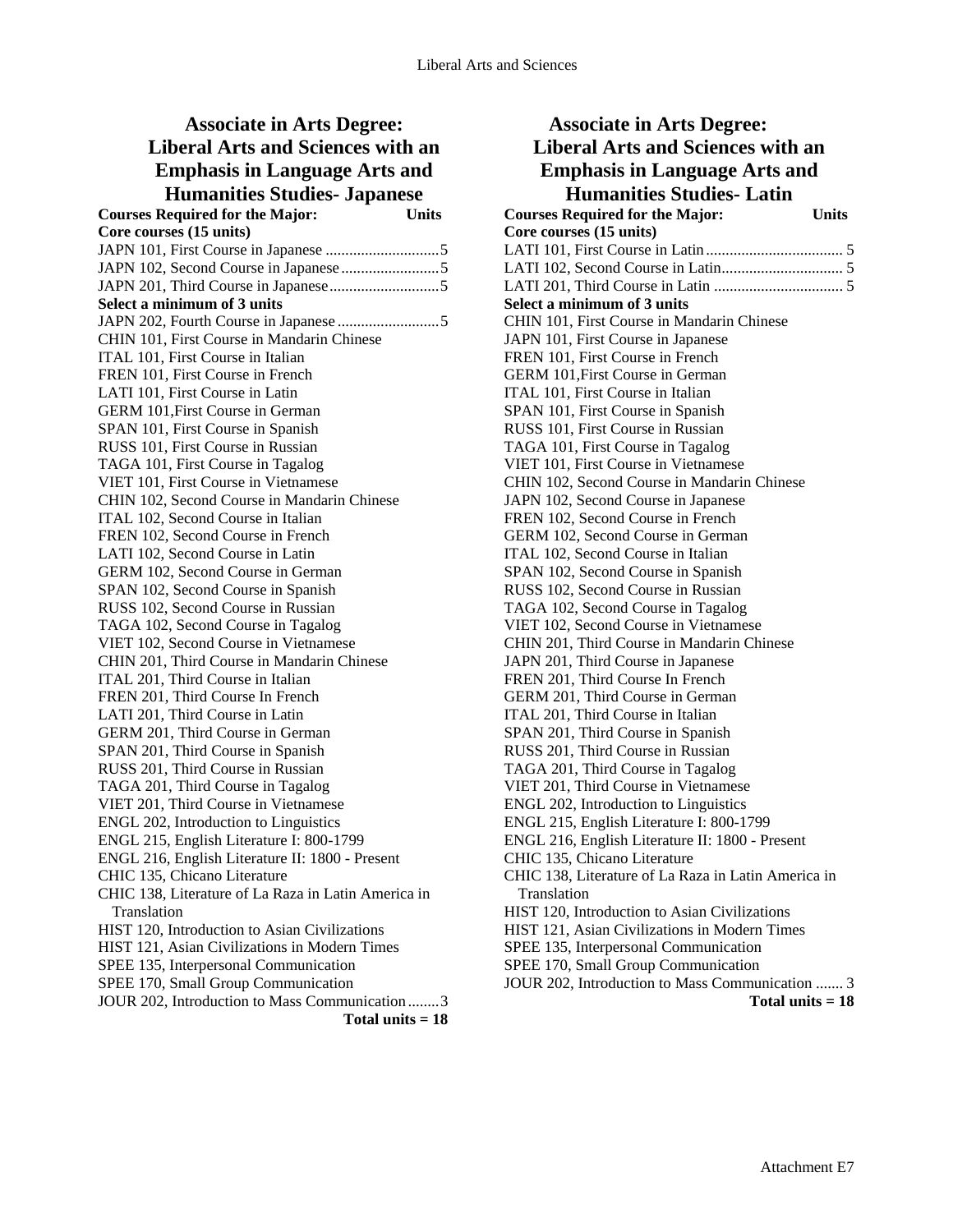## **Associate in Arts Degree: Liberal Arts and Sciences with an Emphasis in Language Arts and Humanities Studies- Japanese**

| <b>Courses Required for the Major:</b>              | <b>Units</b>       |
|-----------------------------------------------------|--------------------|
| Core courses (15 units)                             |                    |
|                                                     |                    |
|                                                     |                    |
|                                                     |                    |
| Select a minimum of 3 units                         |                    |
|                                                     |                    |
| CHIN 101, First Course in Mandarin Chinese          |                    |
| ITAL 101, First Course in Italian                   |                    |
| FREN 101, First Course in French                    |                    |
| LATI 101, First Course in Latin                     |                    |
| GERM 101, First Course in German                    |                    |
| SPAN 101, First Course in Spanish                   |                    |
| RUSS 101, First Course in Russian                   |                    |
| TAGA 101, First Course in Tagalog                   |                    |
| VIET 101, First Course in Vietnamese                |                    |
| CHIN 102, Second Course in Mandarin Chinese         |                    |
| ITAL 102, Second Course in Italian                  |                    |
| FREN 102, Second Course in French                   |                    |
| LATI 102, Second Course in Latin                    |                    |
| GERM 102, Second Course in German                   |                    |
| SPAN 102, Second Course in Spanish                  |                    |
| RUSS 102, Second Course in Russian                  |                    |
| TAGA 102, Second Course in Tagalog                  |                    |
| VIET 102, Second Course in Vietnamese               |                    |
| CHIN 201, Third Course in Mandarin Chinese          |                    |
| ITAL 201, Third Course in Italian                   |                    |
| FREN 201, Third Course In French                    |                    |
| LATI 201, Third Course in Latin                     |                    |
| GERM 201, Third Course in German                    |                    |
| SPAN 201, Third Course in Spanish                   |                    |
| RUSS 201, Third Course in Russian                   |                    |
| TAGA 201, Third Course in Tagalog                   |                    |
| VIET 201, Third Course in Vietnamese                |                    |
| ENGL 202, Introduction to Linguistics               |                    |
| ENGL 215, English Literature I: 800-1799            |                    |
| ENGL 216, English Literature II: 1800 - Present     |                    |
| CHIC 135, Chicano Literature                        |                    |
| CHIC 138, Literature of La Raza in Latin America in |                    |
| Translation                                         |                    |
| HIST 120, Introduction to Asian Civilizations       |                    |
| HIST 121, Asian Civilizations in Modern Times       |                    |
| SPEE 135, Interpersonal Communication               |                    |
| SPEE 170, Small Group Communication                 |                    |
| JOUR 202, Introduction to Mass Communication 3      |                    |
|                                                     | Total units $= 18$ |

| <b>Associate in Arts Degree:</b>                                                    |
|-------------------------------------------------------------------------------------|
| <b>Liberal Arts and Sciences with an</b>                                            |
| <b>Emphasis in Language Arts and</b>                                                |
| <b>Humanities Studies-Latin</b>                                                     |
| <b>Courses Required for the Major:</b><br><b>Units</b>                              |
| Core courses (15 units)                                                             |
|                                                                                     |
|                                                                                     |
|                                                                                     |
| Select a minimum of 3 units                                                         |
| CHIN 101, First Course in Mandarin Chinese                                          |
| JAPN 101, First Course in Japanese                                                  |
| FREN 101, First Course in French                                                    |
| GERM 101, First Course in German                                                    |
| ITAL 101, First Course in Italian                                                   |
| SPAN 101, First Course in Spanish                                                   |
| RUSS 101, First Course in Russian                                                   |
| TAGA 101, First Course in Tagalog                                                   |
| VIET 101, First Course in Vietnamese                                                |
| CHIN 102, Second Course in Mandarin Chinese                                         |
| JAPN 102, Second Course in Japanese                                                 |
| FREN 102, Second Course in French                                                   |
| GERM 102, Second Course in German                                                   |
| ITAL 102, Second Course in Italian                                                  |
| SPAN 102, Second Course in Spanish                                                  |
| RUSS 102, Second Course in Russian                                                  |
| TAGA 102, Second Course in Tagalog                                                  |
| VIET 102, Second Course in Vietnamese                                               |
| CHIN 201, Third Course in Mandarin Chinese                                          |
| JAPN 201, Third Course in Japanese                                                  |
| FREN 201, Third Course In French                                                    |
| GERM 201, Third Course in German                                                    |
| ITAL 201, Third Course in Italian                                                   |
| SPAN 201, Third Course in Spanish                                                   |
| RUSS 201, Third Course in Russian                                                   |
| TAGA 201, Third Course in Tagalog                                                   |
| VIET 201, Third Course in Vietnamese                                                |
| ENGL 202, Introduction to Linguistics                                               |
| ENGL 215, English Literature I: 800-1799                                            |
| ENGL 216, English Literature II: 1800 - Present                                     |
| CHIC 135, Chicano Literature<br>CHIC 138, Literature of La Raza in Latin America in |
| Translation                                                                         |
| HIST 120, Introduction to Asian Civilizations                                       |
| HIST 121, Asian Civilizations in Modern Times                                       |
| SPEE 135, Interpersonal Communication                                               |
| SPEE 170, Small Group Communication                                                 |
| JOUR 202, Introduction to Mass Communication  3                                     |
| Total units $= 18$                                                                  |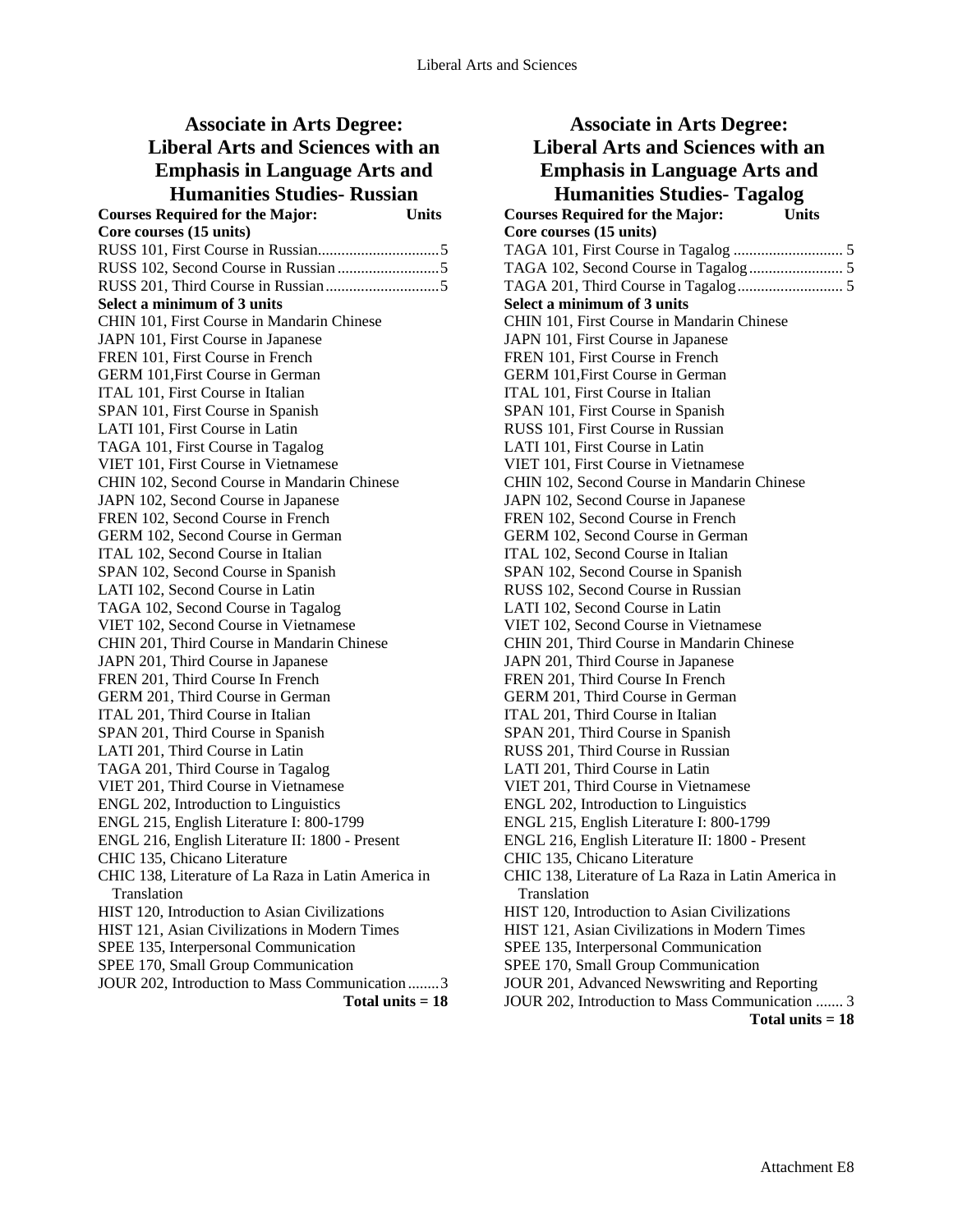#### **Associate in Arts Degree: Liberal Arts and Sciences with an Emphasis in Language Arts and Humanities Studies- Russian Courses Required for the Major: Units Core courses (15 units)**  RUSS 101, First Course in Russian...............................5 RUSS 102, Second Course in Russian ..........................5 RUSS 201, Third Course in Russian.............................5 **Select a minimum of 3 units**  CHIN 101, First Course in Mandarin Chinese JAPN 101, First Course in Japanese FREN 101, First Course in French GERM 101,First Course in German ITAL 101, First Course in Italian SPAN 101, First Course in Spanish LATI 101, First Course in Latin TAGA 101, First Course in Tagalog VIET 101, First Course in Vietnamese CHIN 102, Second Course in Mandarin Chinese JAPN 102, Second Course in Japanese FREN 102, Second Course in French GERM 102, Second Course in German ITAL 102, Second Course in Italian SPAN 102, Second Course in Spanish LATI 102, Second Course in Latin TAGA 102, Second Course in Tagalog VIET 102, Second Course in Vietnamese CHIN 201, Third Course in Mandarin Chinese JAPN 201, Third Course in Japanese FREN 201, Third Course In French GERM 201, Third Course in German ITAL 201, Third Course in Italian SPAN 201, Third Course in Spanish LATI 201, Third Course in Latin TAGA 201, Third Course in Tagalog VIET 201, Third Course in Vietnamese ENGL 202, Introduction to Linguistics ENGL 215, English Literature I: 800-1799 ENGL 216, English Literature II: 1800 - Present CHIC 135, Chicano Literature CHIC 138, Literature of La Raza in Latin America in Translation HIST 120, Introduction to Asian Civilizations

HIST 121, Asian Civilizations in Modern Times SPEE 135, Interpersonal Communication SPEE 170, Small Group Communication

JOUR 202, Introduction to Mass Communication ........3

| <b>Associate in Arts Degree:</b>                                       |
|------------------------------------------------------------------------|
| <b>Liberal Arts and Sciences with an</b>                               |
| <b>Emphasis in Language Arts and</b>                                   |
| <b>Humanities Studies- Tagalog</b>                                     |
| <b>Courses Required for the Major:</b><br><b>Units</b>                 |
| Core courses (15 units)                                                |
|                                                                        |
|                                                                        |
|                                                                        |
| Select a minimum of 3 units                                            |
| CHIN 101, First Course in Mandarin Chinese                             |
| JAPN 101, First Course in Japanese                                     |
| FREN 101, First Course in French                                       |
| GERM 101, First Course in German                                       |
| ITAL 101, First Course in Italian                                      |
| SPAN 101, First Course in Spanish                                      |
| RUSS 101, First Course in Russian                                      |
| LATI 101, First Course in Latin                                        |
| VIET 101, First Course in Vietnamese                                   |
| CHIN 102, Second Course in Mandarin Chinese                            |
| JAPN 102, Second Course in Japanese                                    |
| FREN 102, Second Course in French                                      |
| GERM 102, Second Course in German                                      |
| ITAL 102, Second Course in Italian                                     |
| SPAN 102, Second Course in Spanish                                     |
| RUSS 102, Second Course in Russian                                     |
| LATI 102, Second Course in Latin                                       |
| VIET 102, Second Course in Vietnamese                                  |
| CHIN 201, Third Course in Mandarin Chinese                             |
| JAPN 201, Third Course in Japanese<br>FREN 201, Third Course In French |
| GERM 201, Third Course in German                                       |
| ITAL 201, Third Course in Italian                                      |
| SPAN 201, Third Course in Spanish                                      |
| RUSS 201, Third Course in Russian                                      |
| LATI 201, Third Course in Latin                                        |
| VIET 201, Third Course in Vietnamese                                   |
| ENGL 202, Introduction to Linguistics                                  |
| ENGL 215, English Literature I: 800-1799                               |
| ENGL 216, English Literature II: 1800 - Present                        |
| CHIC 135, Chicano Literature                                           |
| CHIC 138, Literature of La Raza in Latin America in                    |
| Translation                                                            |
| HIST 120, Introduction to Asian Civilizations                          |
| HIST 121, Asian Civilizations in Modern Times                          |
| SPEE 135, Interpersonal Communication                                  |
| SPEE 170, Small Group Communication                                    |
| JOUR 201, Advanced Newswriting and Reporting                           |
| JOUR 202, Introduction to Mass Communication  3                        |
| Total units $= 18$                                                     |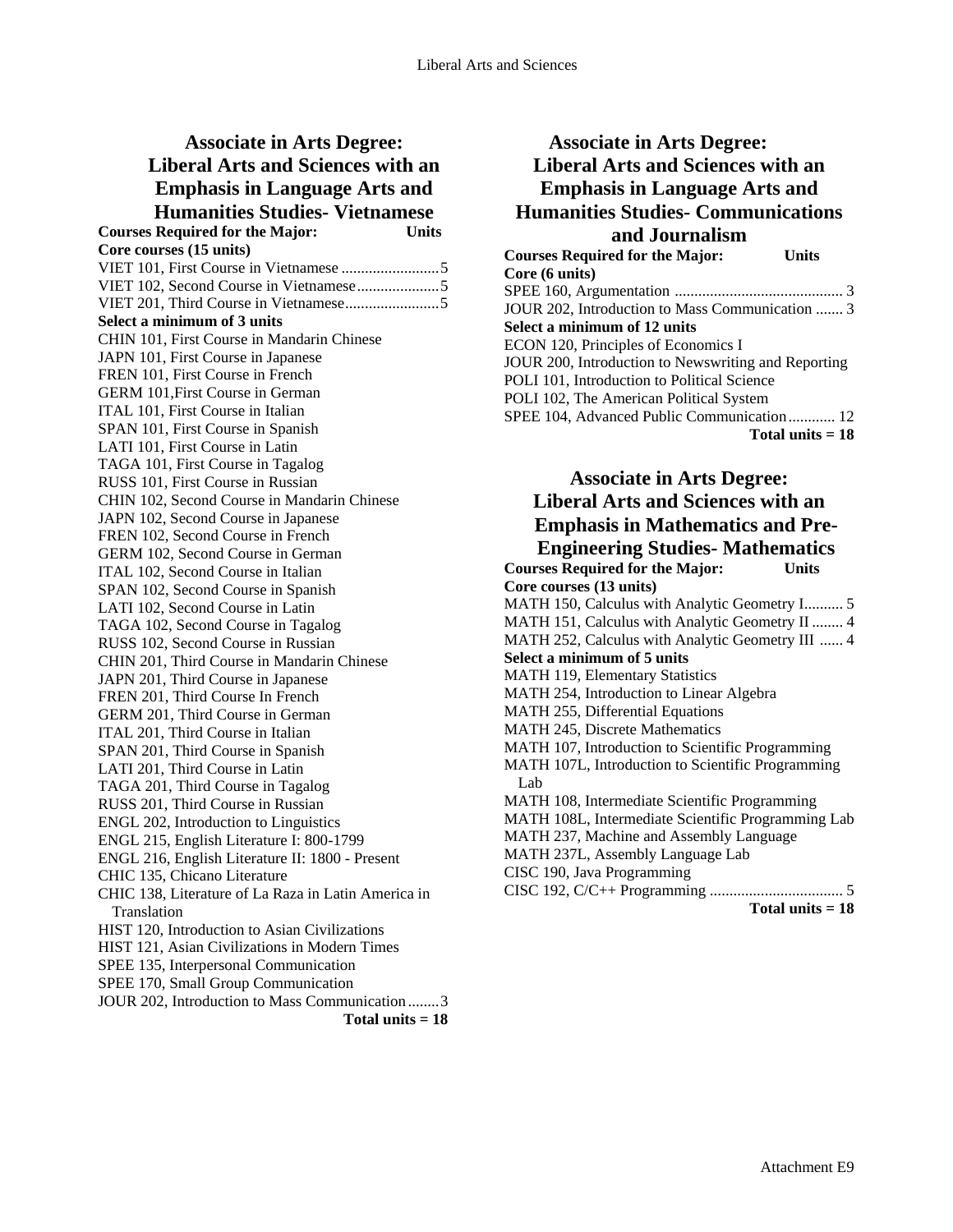| <b>Associate in Arts Degree:</b>                                  |
|-------------------------------------------------------------------|
| <b>Liberal Arts and Sciences with an</b>                          |
| <b>Emphasis in Language Arts and</b>                              |
| <b>Humanities Studies- Vietnamese</b>                             |
| <b>Units</b>                                                      |
| <b>Courses Required for the Major:</b><br>Core courses (15 units) |
|                                                                   |
|                                                                   |
|                                                                   |
| Select a minimum of 3 units                                       |
| CHIN 101, First Course in Mandarin Chinese                        |
| JAPN 101, First Course in Japanese                                |
| FREN 101, First Course in French                                  |
| GERM 101, First Course in German                                  |
| ITAL 101, First Course in Italian                                 |
| SPAN 101, First Course in Spanish                                 |
| LATI 101, First Course in Latin                                   |
| TAGA 101, First Course in Tagalog                                 |
| RUSS 101, First Course in Russian                                 |
| CHIN 102, Second Course in Mandarin Chinese                       |
| JAPN 102, Second Course in Japanese                               |
| FREN 102, Second Course in French                                 |
| GERM 102, Second Course in German                                 |
| ITAL 102, Second Course in Italian                                |
| SPAN 102, Second Course in Spanish                                |
| LATI 102, Second Course in Latin                                  |
| TAGA 102, Second Course in Tagalog                                |
| RUSS 102, Second Course in Russian                                |
| CHIN 201, Third Course in Mandarin Chinese                        |
| JAPN 201, Third Course in Japanese                                |
| FREN 201, Third Course In French                                  |
| GERM 201, Third Course in German                                  |
| ITAL 201, Third Course in Italian                                 |
| SPAN 201, Third Course in Spanish                                 |
| LATI 201, Third Course in Latin                                   |
| TAGA 201, Third Course in Tagalog                                 |
| RUSS 201, Third Course in Russian                                 |
| ENGL 202, Introduction to Linguistics                             |
| ENGL 215, English Literature I: 800-1799                          |
| ENGL 216, English Literature II: 1800 - Present                   |
| CHIC 135, Chicano Literature                                      |
| CHIC 138, Literature of La Raza in Latin America in               |
| Translation                                                       |
| HIST 120, Introduction to Asian Civilizations                     |
| HIST 121, Asian Civilizations in Modern Times                     |
| SPEE 135, Interpersonal Communication                             |
| SPEE 170, Small Group Communication                               |
| JOUR 202, Introduction to Mass Communication 3                    |
| Total units $= 18$                                                |

### **Associate in Arts Degree: Liberal Arts and Sciences with an Emphasis in Language Arts and Humanities Studies- Communications and Journalism**

| <b>Courses Required for the Major:</b><br>Units     |
|-----------------------------------------------------|
| Core (6 units)                                      |
|                                                     |
| JOUR 202, Introduction to Mass Communication  3     |
| Select a minimum of 12 units                        |
| ECON 120, Principles of Economics I                 |
| JOUR 200, Introduction to Newswriting and Reporting |
| POLI 101, Introduction to Political Science         |
| POLI 102, The American Political System             |
| SPEE 104, Advanced Public Communication 12          |
| Total units $= 18$                                  |

**Associate in Arts Degree: Liberal Arts and Sciences with an Emphasis in Mathematics and Pre-Engineering Studies- Mathematics Courses Required for the Major: Units Core courses (13 units)**  MATH 150, Calculus with Analytic Geometry I.......... 5 MATH 151, Calculus with Analytic Geometry II ........ 4 MATH 252, Calculus with Analytic Geometry III ...... 4 **Select a minimum of 5 units**  MATH 119, Elementary Statistics MATH 254, Introduction to Linear Algebra MATH 255, Differential Equations MATH 245, Discrete Mathematics MATH 107, Introduction to Scientific Programming MATH 107L, Introduction to Scientific Programming Lab MATH 108, Intermediate Scientific Programming MATH 108L, Intermediate Scientific Programming Lab MATH 237, Machine and Assembly Language MATH 237L, Assembly Language Lab CISC 190, Java Programming CISC 192, C/C++ Programming .................................. 5 **Total units = 18**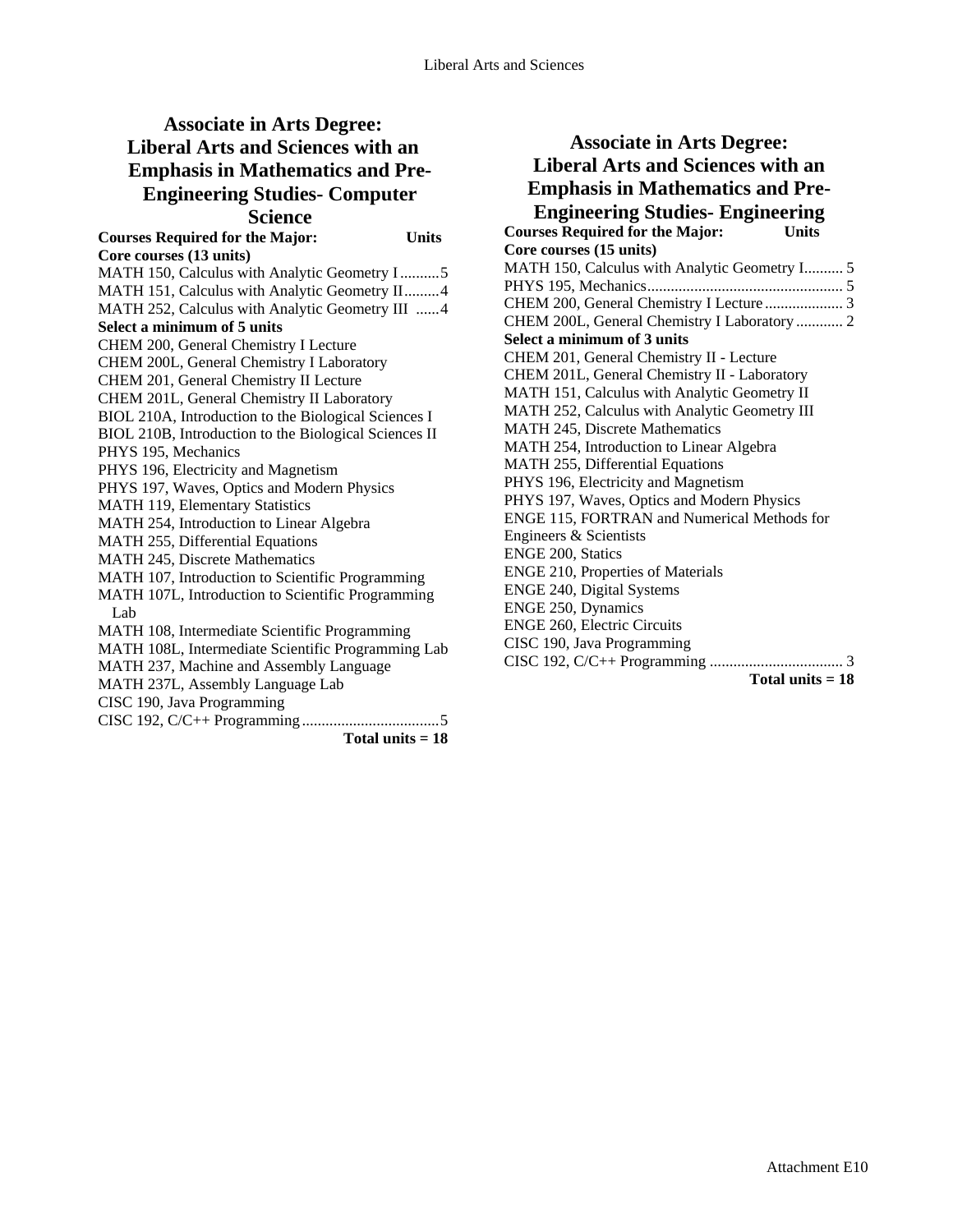# **Associate in Arts Degree: Liberal Arts and Sciences with an Emphasis in Mathematics and Pre-Engineering Studies- Computer Science**

| suuu                                                  |                    |
|-------------------------------------------------------|--------------------|
| <b>Courses Required for the Major:</b>                | <b>Units</b>       |
| Core courses (13 units)                               |                    |
| MATH 150, Calculus with Analytic Geometry I 5         |                    |
| MATH 151, Calculus with Analytic Geometry II4         |                    |
| MATH 252, Calculus with Analytic Geometry III 4       |                    |
| Select a minimum of 5 units                           |                    |
| CHEM 200, General Chemistry I Lecture                 |                    |
| CHEM 200L, General Chemistry I Laboratory             |                    |
| CHEM 201, General Chemistry II Lecture                |                    |
| CHEM 201L, General Chemistry II Laboratory            |                    |
| BIOL 210A, Introduction to the Biological Sciences I  |                    |
| BIOL 210B, Introduction to the Biological Sciences II |                    |
| PHYS 195, Mechanics                                   |                    |
| PHYS 196, Electricity and Magnetism                   |                    |
| PHYS 197, Waves, Optics and Modern Physics            |                    |
| MATH 119, Elementary Statistics                       |                    |
| MATH 254, Introduction to Linear Algebra              |                    |
| <b>MATH 255, Differential Equations</b>               |                    |
| <b>MATH 245, Discrete Mathematics</b>                 |                    |
| MATH 107, Introduction to Scientific Programming      |                    |
| MATH 107L, Introduction to Scientific Programming     |                    |
| Lab                                                   |                    |
| MATH 108, Intermediate Scientific Programming         |                    |
| MATH 108L, Intermediate Scientific Programming Lab    |                    |
| MATH 237, Machine and Assembly Language               |                    |
| MATH 237L, Assembly Language Lab                      |                    |
| CISC 190, Java Programming                            |                    |
|                                                       |                    |
|                                                       | Total units $= 18$ |

| <b>Associate in Arts Degree:</b>                       |
|--------------------------------------------------------|
| <b>Liberal Arts and Sciences with an</b>               |
| <b>Emphasis in Mathematics and Pre-</b>                |
| <b>Engineering Studies- Engineering</b>                |
| <b>Courses Required for the Major:</b><br><b>Units</b> |
| Core courses (15 units)                                |
| MATH 150, Calculus with Analytic Geometry I 5          |
|                                                        |
| CHEM 200, General Chemistry I Lecture  3               |
| CHEM 200L, General Chemistry I Laboratory  2           |
| Select a minimum of 3 units                            |
| CHEM 201, General Chemistry II - Lecture               |
| CHEM 201L, General Chemistry II - Laboratory           |
| MATH 151, Calculus with Analytic Geometry II           |
| MATH 252, Calculus with Analytic Geometry III          |
| <b>MATH 245, Discrete Mathematics</b>                  |
| MATH 254, Introduction to Linear Algebra               |
| <b>MATH 255, Differential Equations</b>                |
| PHYS 196, Electricity and Magnetism                    |
| PHYS 197, Waves, Optics and Modern Physics             |
| ENGE 115, FORTRAN and Numerical Methods for            |
| Engineers & Scientists                                 |
| <b>ENGE 200, Statics</b>                               |
| <b>ENGE 210, Properties of Materials</b>               |
| <b>ENGE 240, Digital Systems</b>                       |
| <b>ENGE 250, Dynamics</b>                              |
| <b>ENGE 260, Electric Circuits</b>                     |
| CISC 190, Java Programming                             |
|                                                        |
| Total units $= 18$                                     |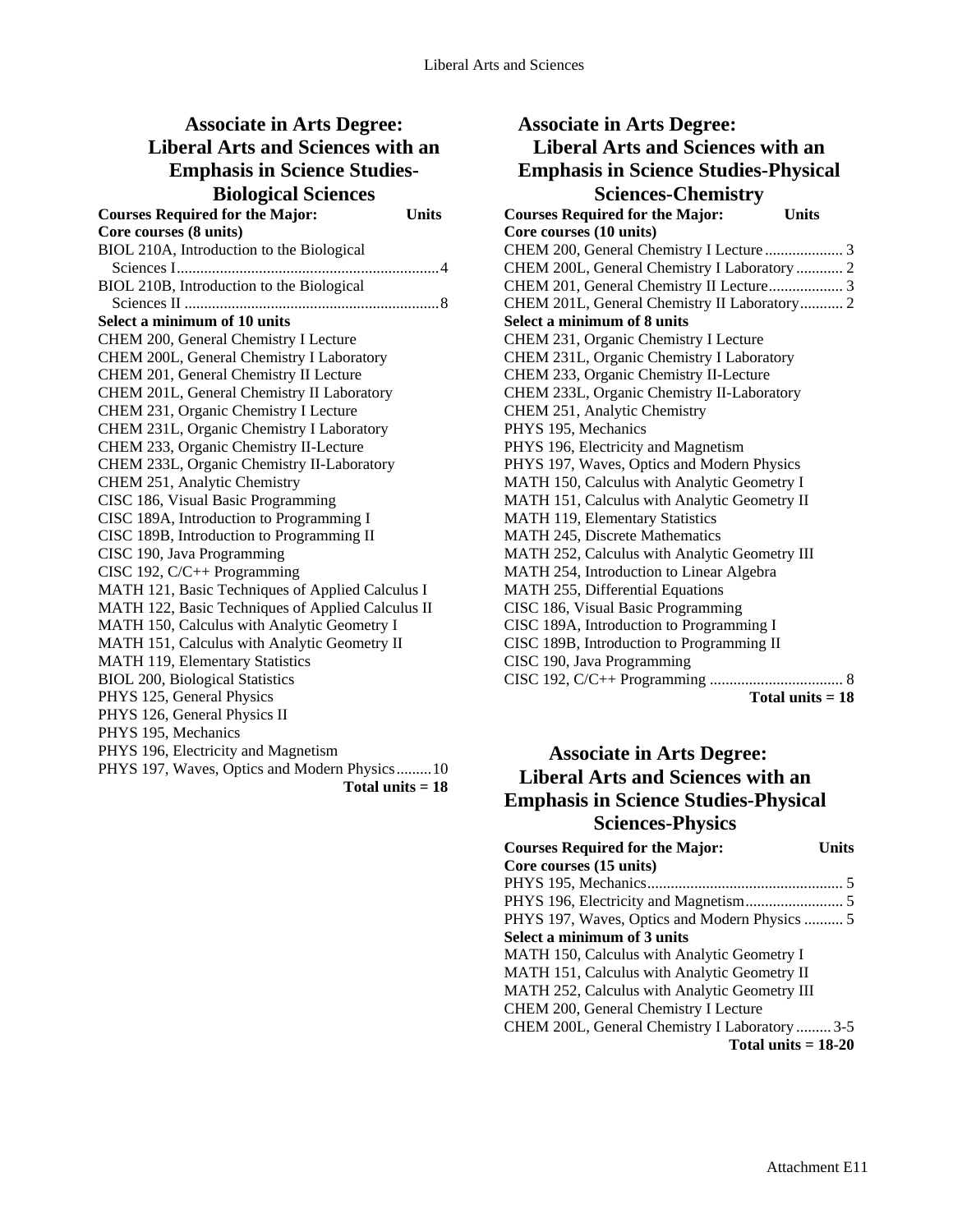# **Associate in Arts Degree: Liberal Arts and Sciences with an Emphasis in Science Studies-Biological Sciences**

| <b>Courses Required for the Major:</b>            | <b>Units</b> |
|---------------------------------------------------|--------------|
| Core courses (8 units)                            |              |
| BIOL 210A, Introduction to the Biological         |              |
|                                                   |              |
| BIOL 210B, Introduction to the Biological         |              |
|                                                   |              |
| Select a minimum of 10 units                      |              |
| CHEM 200, General Chemistry I Lecture             |              |
| CHEM 200L, General Chemistry I Laboratory         |              |
| CHEM 201, General Chemistry II Lecture            |              |
| CHEM 201L, General Chemistry II Laboratory        |              |
| CHEM 231, Organic Chemistry I Lecture             |              |
| CHEM 231L, Organic Chemistry I Laboratory         |              |
| CHEM 233, Organic Chemistry II-Lecture            |              |
| CHEM 233L, Organic Chemistry II-Laboratory        |              |
| CHEM 251, Analytic Chemistry                      |              |
| CISC 186, Visual Basic Programming                |              |
| CISC 189A, Introduction to Programming I          |              |
| CISC 189B, Introduction to Programming II         |              |
| CISC 190, Java Programming                        |              |
| CISC 192, $C/C++$ Programming                     |              |
| MATH 121, Basic Techniques of Applied Calculus I  |              |
| MATH 122, Basic Techniques of Applied Calculus II |              |
| MATH 150, Calculus with Analytic Geometry I       |              |
| MATH 151, Calculus with Analytic Geometry II      |              |
| <b>MATH 119, Elementary Statistics</b>            |              |
| <b>BIOL 200, Biological Statistics</b>            |              |
| PHYS 125, General Physics                         |              |
| PHYS 126, General Physics II                      |              |
| PHYS 195, Mechanics                               |              |
| PHYS 196, Electricity and Magnetism               |              |
| PHYS 197, Waves, Optics and Modern Physics 10     |              |
| Total units $= 18$                                |              |
|                                                   |              |

| <b>Associate in Arts Degree:</b>                       |
|--------------------------------------------------------|
| <b>Liberal Arts and Sciences with an</b>               |
| <b>Emphasis in Science Studies-Physical</b>            |
| <b>Sciences-Chemistry</b>                              |
| <b>Courses Required for the Major:</b><br><b>Units</b> |
| Core courses (10 units)                                |
| CHEM 200, General Chemistry I Lecture  3               |
| CHEM 200L, General Chemistry I Laboratory  2           |
| CHEM 201, General Chemistry II Lecture 3               |
| CHEM 201L, General Chemistry II Laboratory 2           |
| Select a minimum of 8 units                            |
| CHEM 231, Organic Chemistry I Lecture                  |
| CHEM 231L, Organic Chemistry I Laboratory              |
| CHEM 233, Organic Chemistry II-Lecture                 |
| CHEM 233L, Organic Chemistry II-Laboratory             |
| CHEM 251, Analytic Chemistry                           |
| PHYS 195, Mechanics                                    |
| PHYS 196, Electricity and Magnetism                    |
| PHYS 197, Waves, Optics and Modern Physics             |
| MATH 150, Calculus with Analytic Geometry I            |
| MATH 151, Calculus with Analytic Geometry II           |
| MATH 119, Elementary Statistics                        |
| MATH 245, Discrete Mathematics                         |
| MATH 252, Calculus with Analytic Geometry III          |
| MATH 254, Introduction to Linear Algebra               |
| MATH 255, Differential Equations                       |
| CISC 186, Visual Basic Programming                     |
| CISC 189A, Introduction to Programming I               |
| CISC 189B, Introduction to Programming II              |
| CISC 190, Java Programming                             |
| CISC 192, C/C++ Programming<br>. 8                     |
| Total units $= 18$                                     |

## **Associate in Arts Degree: Liberal Arts and Sciences with an Emphasis in Science Studies-Physical Sciences-Physics**

| <b>Courses Required for the Major:</b>         | <b>Units</b> |
|------------------------------------------------|--------------|
| Core courses (15 units)                        |              |
|                                                |              |
|                                                |              |
| PHYS 197, Waves, Optics and Modern Physics  5  |              |
| Select a minimum of 3 units                    |              |
| MATH 150, Calculus with Analytic Geometry I    |              |
| MATH 151, Calculus with Analytic Geometry II   |              |
| MATH 252, Calculus with Analytic Geometry III  |              |
| CHEM 200, General Chemistry I Lecture          |              |
| CHEM 200L, General Chemistry I Laboratory  3-5 |              |
| Total units $= 18-20$                          |              |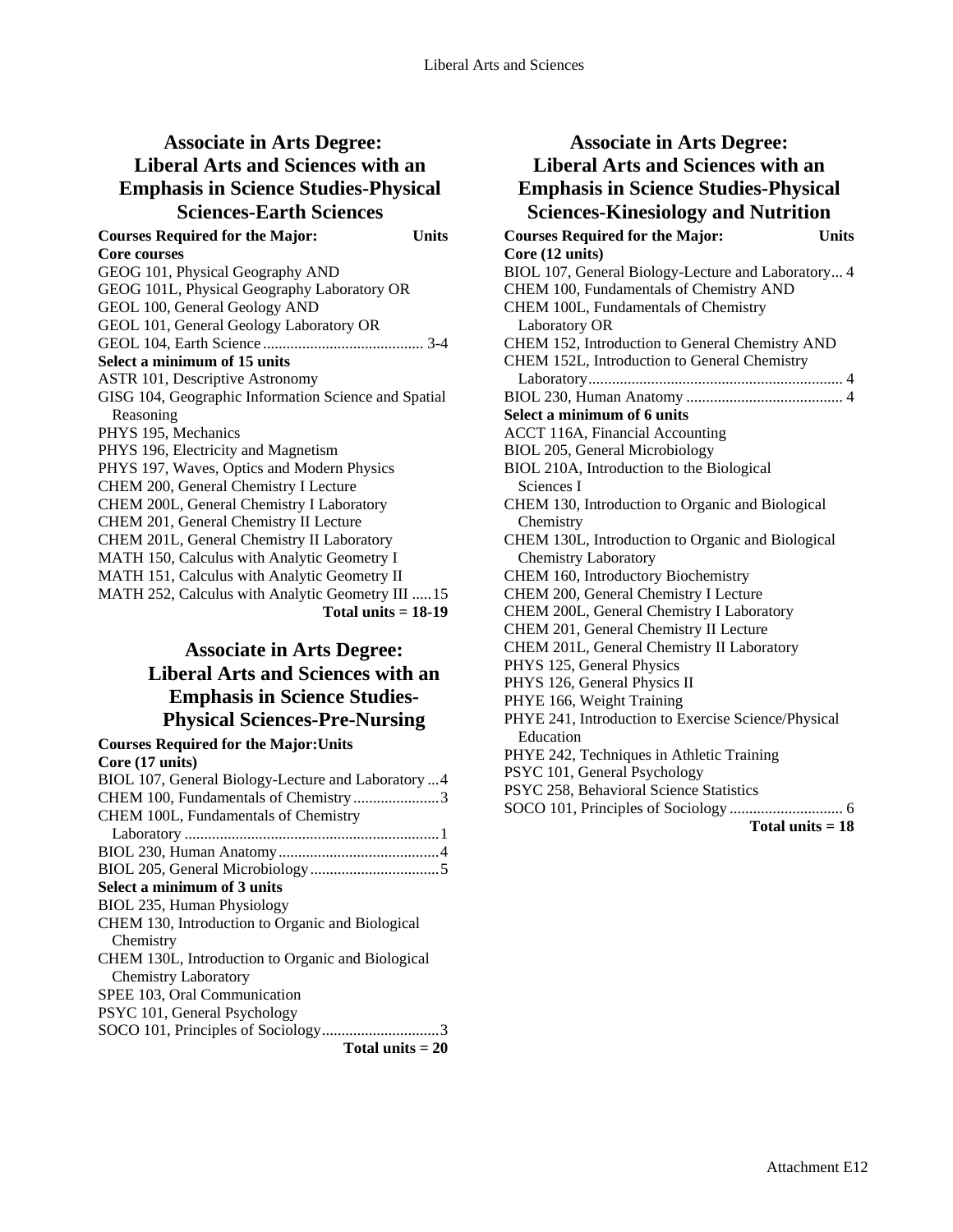### **Associate in Arts Degree: Liberal Arts and Sciences with an Emphasis in Science Studies-Physical Sciences-Earth Sciences**

| <b>Courses Required for the Major:</b>               | Units |
|------------------------------------------------------|-------|
| <b>Core courses</b>                                  |       |
| GEOG 101, Physical Geography AND                     |       |
| GEOG 101L, Physical Geography Laboratory OR          |       |
| GEOL 100, General Geology AND                        |       |
| GEOL 101, General Geology Laboratory OR              |       |
|                                                      |       |
| Select a minimum of 15 units                         |       |
| <b>ASTR 101, Descriptive Astronomy</b>               |       |
| GISG 104, Geographic Information Science and Spatial |       |
| Reasoning                                            |       |
| PHYS 195, Mechanics                                  |       |
| PHYS 196, Electricity and Magnetism                  |       |
| PHYS 197, Waves, Optics and Modern Physics           |       |
| CHEM 200, General Chemistry I Lecture                |       |
| CHEM 200L, General Chemistry I Laboratory            |       |
| CHEM 201, General Chemistry II Lecture               |       |
| CHEM 201L, General Chemistry II Laboratory           |       |
| MATH 150, Calculus with Analytic Geometry I          |       |
| MATH 151, Calculus with Analytic Geometry II         |       |
| MATH 252, Calculus with Analytic Geometry III  15    |       |
| Total units $= 18-19$                                |       |

### **Associate in Arts Degree: Liberal Arts and Sciences with an Emphasis in Science Studies-Physical Sciences-Pre-Nursing**

| <b>Courses Required for the Major: Units</b>       |
|----------------------------------------------------|
| Core (17 units)                                    |
| BIOL 107, General Biology-Lecture and Laboratory 4 |
| CHEM 100, Fundamentals of Chemistry3               |
| CHEM 100L, Fundamentals of Chemistry               |
|                                                    |
|                                                    |
|                                                    |
| Select a minimum of 3 units                        |
| BIOL 235, Human Physiology                         |
| CHEM 130, Introduction to Organic and Biological   |
| Chemistry                                          |
| CHEM 130L, Introduction to Organic and Biological  |
| <b>Chemistry Laboratory</b>                        |
| SPEE 103, Oral Communication                       |
| PSYC 101, General Psychology                       |
|                                                    |
| Total units $= 20$                                 |

#### **Associate in Arts Degree: Liberal Arts and Sciences with an Emphasis in Science Studies-Physical Sciences-Kinesiology and Nutrition Courses Required for the Major: Units Core (12 units)**  BIOL 107, General Biology-Lecture and Laboratory... 4 CHEM 100, Fundamentals of Chemistry AND CHEM 100L, Fundamentals of Chemistry Laboratory OR CHEM 152, Introduction to General Chemistry AND CHEM 152L, Introduction to General Chemistry Laboratory................................................................. 4 BIOL 230, Human Anatomy ........................................ 4 **Select a minimum of 6 units**  ACCT 116A, Financial Accounting BIOL 205, General Microbiology BIOL 210A, Introduction to the Biological Sciences I CHEM 130, Introduction to Organic and Biological **Chemistry** CHEM 130L, Introduction to Organic and Biological Chemistry Laboratory CHEM 160, Introductory Biochemistry CHEM 200, General Chemistry I Lecture CHEM 200L, General Chemistry I Laboratory CHEM 201, General Chemistry II Lecture CHEM 201L, General Chemistry II Laboratory PHYS 125, General Physics PHYS 126, General Physics II PHYE 166, Weight Training PHYE 241, Introduction to Exercise Science/Physical Education PHYE 242, Techniques in Athletic Training PSYC 101, General Psychology PSYC 258, Behavioral Science Statistics SOCO 101, Principles of Sociology ............................. 6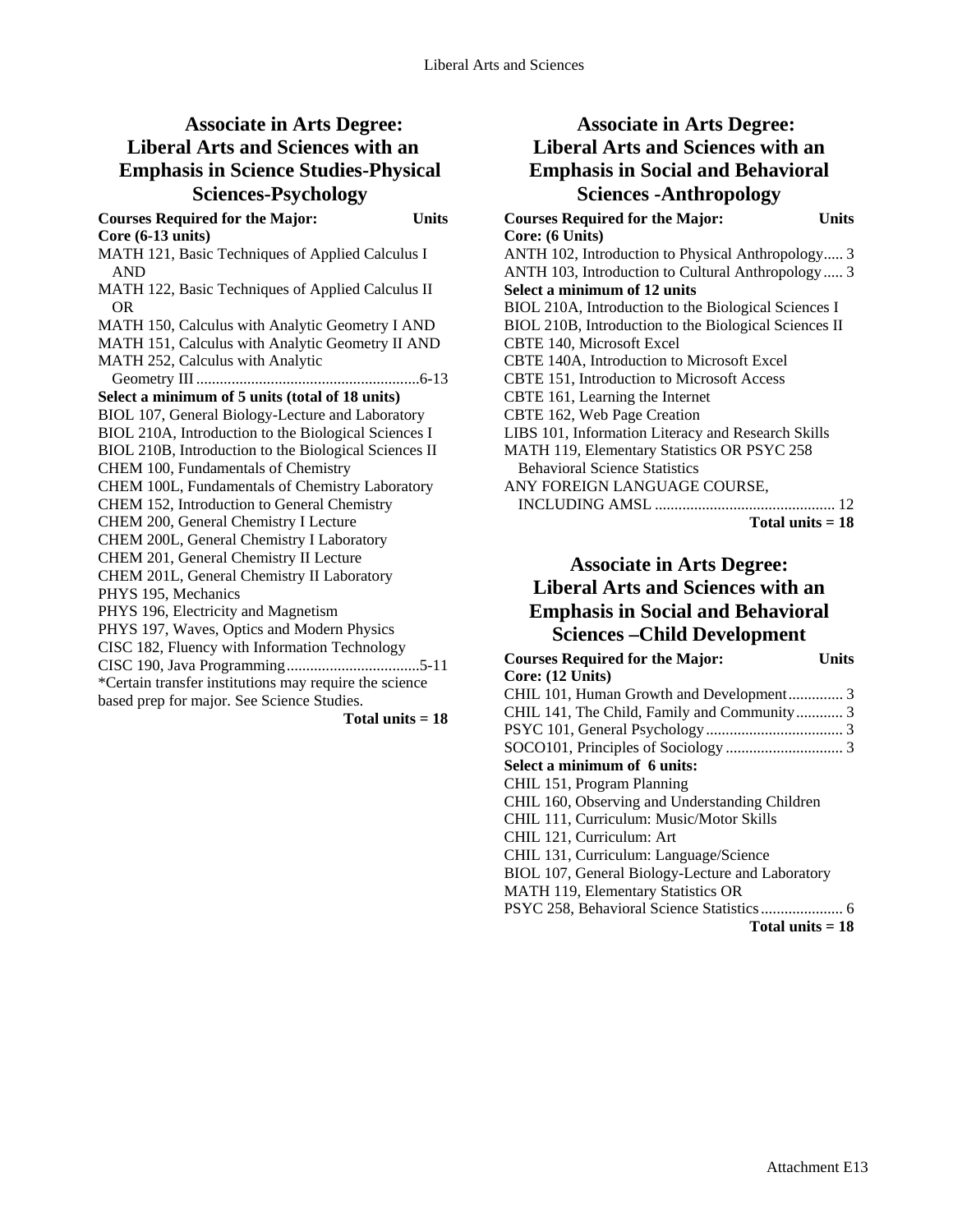## **Associate in Arts Degree: Liberal Arts and Sciences with an Emphasis in Science Studies-Physical Sciences-Psychology**

**Courses Required for the Major: Units Core (6-13 units)**  MATH 121, Basic Techniques of Applied Calculus I AND MATH 122, Basic Techniques of Applied Calculus II OR MATH 150, Calculus with Analytic Geometry I AND MATH 151, Calculus with Analytic Geometry II AND MATH 252, Calculus with Analytic Geometry III .........................................................6-13 **Select a minimum of 5 units (total of 18 units)**  BIOL 107, General Biology-Lecture and Laboratory BIOL 210A, Introduction to the Biological Sciences I BIOL 210B, Introduction to the Biological Sciences II CHEM 100, Fundamentals of Chemistry CHEM 100L, Fundamentals of Chemistry Laboratory CHEM 152, Introduction to General Chemistry CHEM 200, General Chemistry I Lecture CHEM 200L, General Chemistry I Laboratory CHEM 201, General Chemistry II Lecture CHEM 201L, General Chemistry II Laboratory PHYS 195, Mechanics PHYS 196, Electricity and Magnetism PHYS 197, Waves, Optics and Modern Physics CISC 182, Fluency with Information Technology CISC 190, Java Programming..................................5-11 \*Certain transfer institutions may require the science based prep for major. See Science Studies.

**Total units = 18** 

## **Associate in Arts Degree: Liberal Arts and Sciences with an Emphasis in Social and Behavioral Sciences -Anthropology**

| <b>Courses Required for the Major:</b><br>Units       |  |
|-------------------------------------------------------|--|
| Core: (6 Units)                                       |  |
| ANTH 102, Introduction to Physical Anthropology 3     |  |
| ANTH 103, Introduction to Cultural Anthropology  3    |  |
| Select a minimum of 12 units                          |  |
| BIOL 210A, Introduction to the Biological Sciences I  |  |
| BIOL 210B, Introduction to the Biological Sciences II |  |
| <b>CBTE 140, Microsoft Excel</b>                      |  |
| CBTE 140A, Introduction to Microsoft Excel            |  |
| CBTE 151, Introduction to Microsoft Access            |  |
| CBTE 161, Learning the Internet                       |  |
| CBTE 162, Web Page Creation                           |  |
| LIBS 101, Information Literacy and Research Skills    |  |
| MATH 119, Elementary Statistics OR PSYC 258           |  |
| <b>Behavioral Science Statistics</b>                  |  |
| ANY FOREIGN LANGUAGE COURSE,                          |  |
|                                                       |  |
| Total units $= 18$                                    |  |

### **Associate in Arts Degree: Liberal Arts and Sciences with an Emphasis in Social and Behavioral Sciences –Child Development**

| <b>Courses Required for the Major:</b>           | Units |
|--------------------------------------------------|-------|
| Core: (12 Units)                                 |       |
| CHIL 101, Human Growth and Development 3         |       |
| CHIL 141, The Child, Family and Community 3      |       |
|                                                  |       |
|                                                  |       |
| Select a minimum of 6 units:                     |       |
| CHIL 151, Program Planning                       |       |
| CHIL 160, Observing and Understanding Children   |       |
| CHIL 111, Curriculum: Music/Motor Skills         |       |
| CHIL 121, Curriculum: Art                        |       |
| CHIL 131, Curriculum: Language/Science           |       |
| BIOL 107, General Biology-Lecture and Laboratory |       |
| <b>MATH 119, Elementary Statistics OR</b>        |       |
|                                                  |       |
| Total units $= 18$                               |       |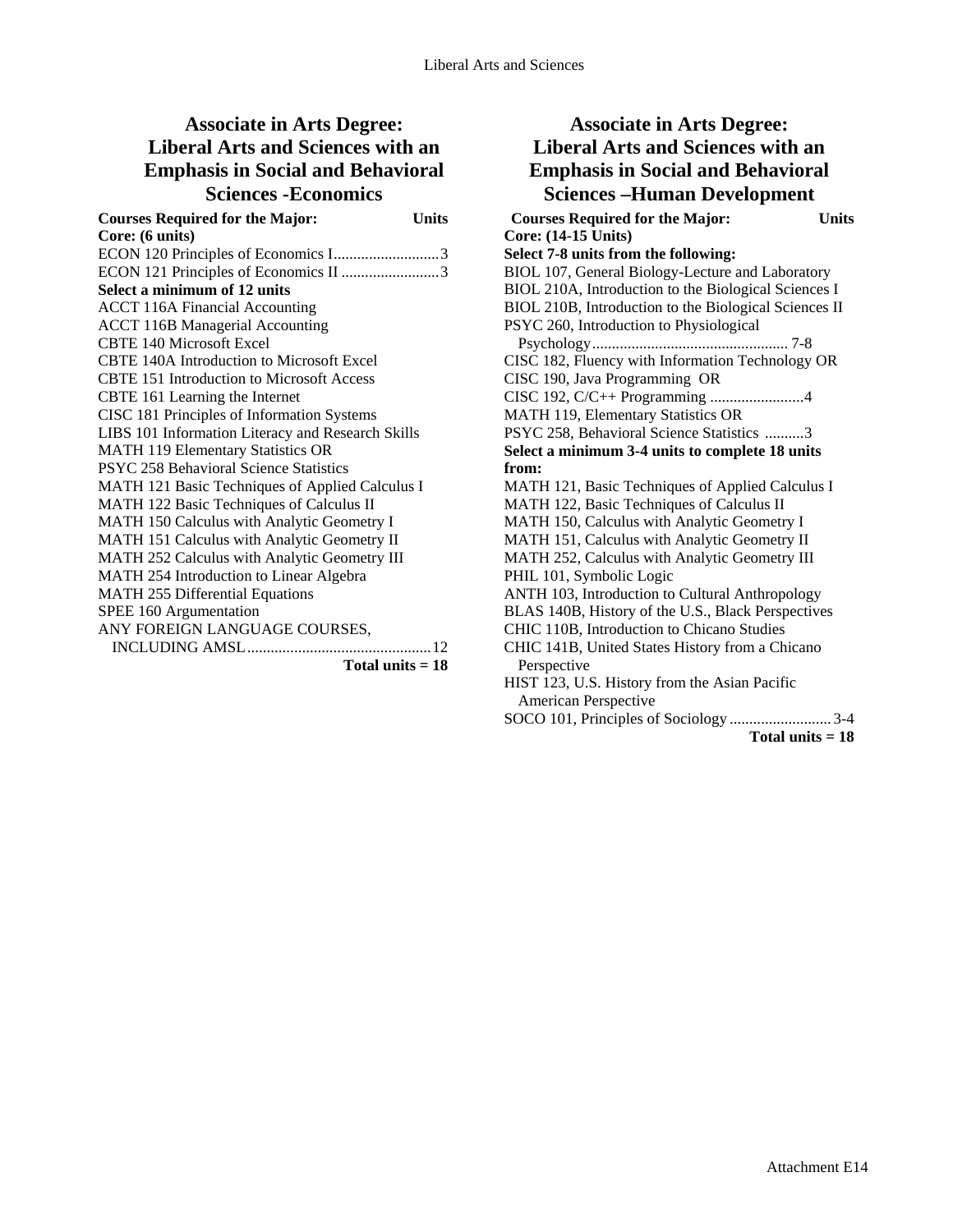# **Associate in Arts Degree: Liberal Arts and Sciences with an Emphasis in Social and Behavioral Sciences -Economics**

| <b>Courses Required for the Major:</b>            | <b>Units</b> |
|---------------------------------------------------|--------------|
| Core: (6 units)                                   |              |
| ECON 120 Principles of Economics I3               |              |
| ECON 121 Principles of Economics II 3             |              |
| Select a minimum of 12 units                      |              |
| <b>ACCT 116A Financial Accounting</b>             |              |
| <b>ACCT 116B Managerial Accounting</b>            |              |
| <b>CBTE 140 Microsoft Excel</b>                   |              |
| <b>CBTE 140A Introduction to Microsoft Excel</b>  |              |
| CBTE 151 Introduction to Microsoft Access         |              |
| CBTE 161 Learning the Internet                    |              |
| CISC 181 Principles of Information Systems        |              |
| LIBS 101 Information Literacy and Research Skills |              |
| <b>MATH 119 Elementary Statistics OR</b>          |              |
| PSYC 258 Behavioral Science Statistics            |              |
| MATH 121 Basic Techniques of Applied Calculus I   |              |
| MATH 122 Basic Techniques of Calculus II          |              |
| MATH 150 Calculus with Analytic Geometry I        |              |
| MATH 151 Calculus with Analytic Geometry II       |              |
| MATH 252 Calculus with Analytic Geometry III      |              |
| MATH 254 Introduction to Linear Algebra           |              |
| <b>MATH 255 Differential Equations</b>            |              |
| SPEE 160 Argumentation                            |              |
| ANY FOREIGN LANGUAGE COURSES,                     |              |
|                                                   |              |
| Total units $= 18$                                |              |

## **Associate in Arts Degree: Liberal Arts and Sciences with an Emphasis in Social and Behavioral Sciences –Human Development**

**Courses Required for the Major: Units Core: (14-15 Units) Select 7-8 units from the following:**  BIOL 107, General Biology-Lecture and Laboratory BIOL 210A, Introduction to the Biological Sciences I BIOL 210B, Introduction to the Biological Sciences II PSYC 260, Introduction to Physiological Psychology.................................................. 7-8 CISC 182, Fluency with Information Technology OR CISC 190, Java Programming OR CISC 192, C/C++ Programming ........................4 MATH 119, Elementary Statistics OR PSYC 258, Behavioral Science Statistics ..........3 **Select a minimum 3-4 units to complete 18 units from:**  MATH 121, Basic Techniques of Applied Calculus I MATH 122, Basic Techniques of Calculus II MATH 150, Calculus with Analytic Geometry I MATH 151, Calculus with Analytic Geometry II MATH 252, Calculus with Analytic Geometry III PHIL 101, Symbolic Logic ANTH 103, Introduction to Cultural Anthropology BLAS 140B, History of the U.S., Black Perspectives CHIC 110B, Introduction to Chicano Studies CHIC 141B, United States History from a Chicano Perspective HIST 123, U.S. History from the Asian Pacific American Perspective SOCO 101, Principles of Sociology .......................... 3-4 **Total units = 18**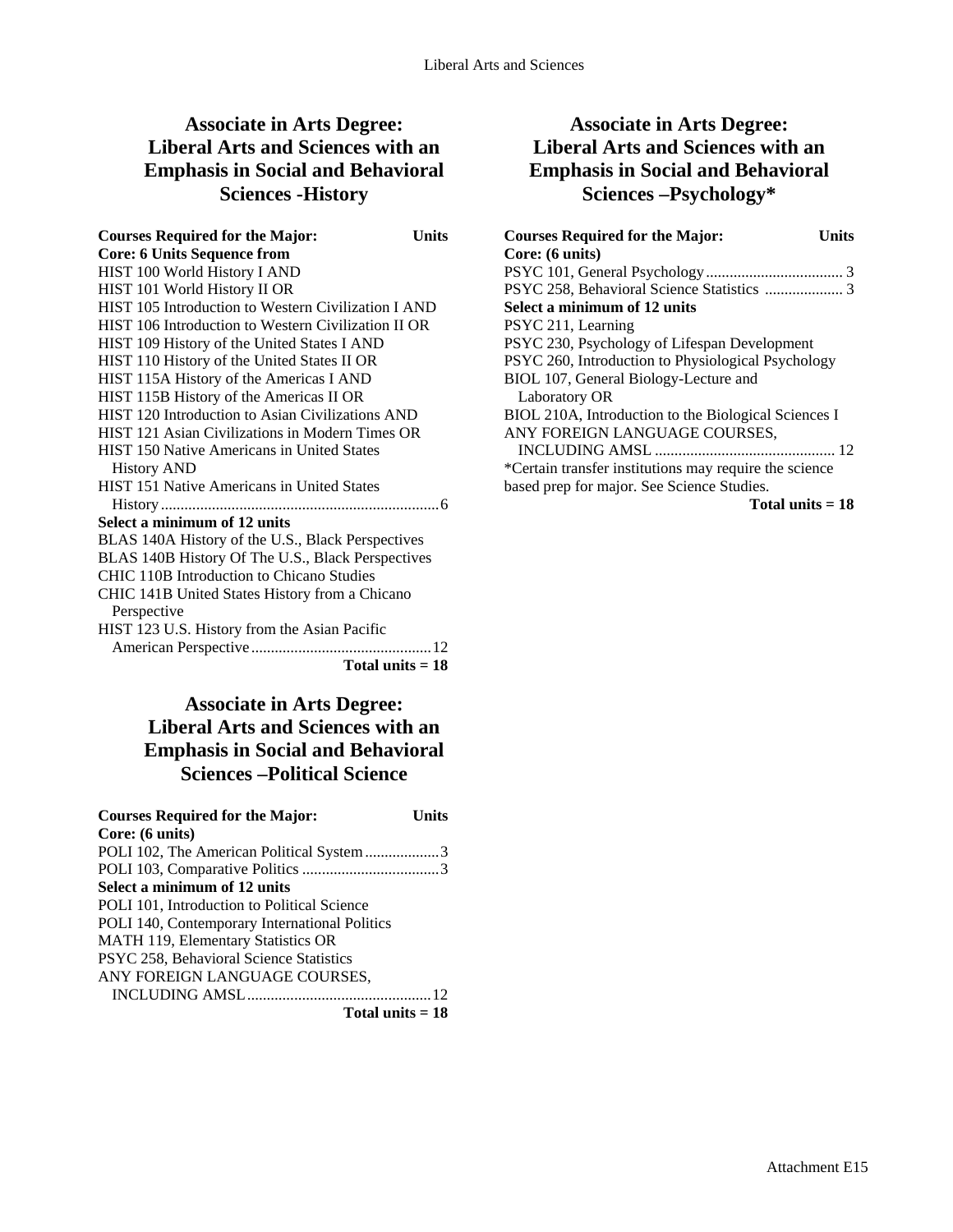## **Associate in Arts Degree: Liberal Arts and Sciences with an Emphasis in Social and Behavioral Sciences -History**

**Courses Required for the Major: Units Core: 6 Units Sequence from**  HIST 100 World History I AND HIST 101 World History II OR HIST 105 Introduction to Western Civilization I AND HIST 106 Introduction to Western Civilization II OR HIST 109 History of the United States I AND HIST 110 History of the United States II OR HIST 115A History of the Americas I AND HIST 115B History of the Americas II OR HIST 120 Introduction to Asian Civilizations AND HIST 121 Asian Civilizations in Modern Times OR HIST 150 Native Americans in United States History AND HIST 151 Native Americans in United States History.......................................................................6 **Select a minimum of 12 units**  BLAS 140A History of the U.S., Black Perspectives BLAS 140B History Of The U.S., Black Perspectives CHIC 110B Introduction to Chicano Studies CHIC 141B United States History from a Chicano Perspective HIST 123 U.S. History from the Asian Pacific American Perspective..............................................12 **Total units = 18** 

### **Associate in Arts Degree: Liberal Arts and Sciences with an Emphasis in Social and Behavioral Sciences –Political Science**

| <b>Courses Required for the Major:</b>        | Units |
|-----------------------------------------------|-------|
| Core: (6 units)                               |       |
| POLI 102, The American Political System 3     |       |
|                                               |       |
| Select a minimum of 12 units                  |       |
| POLI 101, Introduction to Political Science   |       |
| POLI 140, Contemporary International Politics |       |
| MATH 119, Elementary Statistics OR            |       |
| PSYC 258, Behavioral Science Statistics       |       |
| ANY FOREIGN LANGUAGE COURSES,                 |       |
|                                               |       |
| Total units $= 18$                            |       |

## **Associate in Arts Degree: Liberal Arts and Sciences with an Emphasis in Social and Behavioral Sciences –Psychology\***

| <b>Courses Required for the Major:</b><br>Units        |
|--------------------------------------------------------|
| Core: (6 units)                                        |
|                                                        |
|                                                        |
| Select a minimum of 12 units                           |
| PSYC 211, Learning                                     |
| PSYC 230, Psychology of Lifespan Development           |
| PSYC 260, Introduction to Physiological Psychology     |
| BIOL 107, General Biology-Lecture and                  |
| Laboratory OR                                          |
| BIOL 210A, Introduction to the Biological Sciences I   |
| ANY FOREIGN LANGUAGE COURSES,                          |
|                                                        |
| *Certain transfer institutions may require the science |
| based prep for major. See Science Studies.             |
| Total units = 18                                       |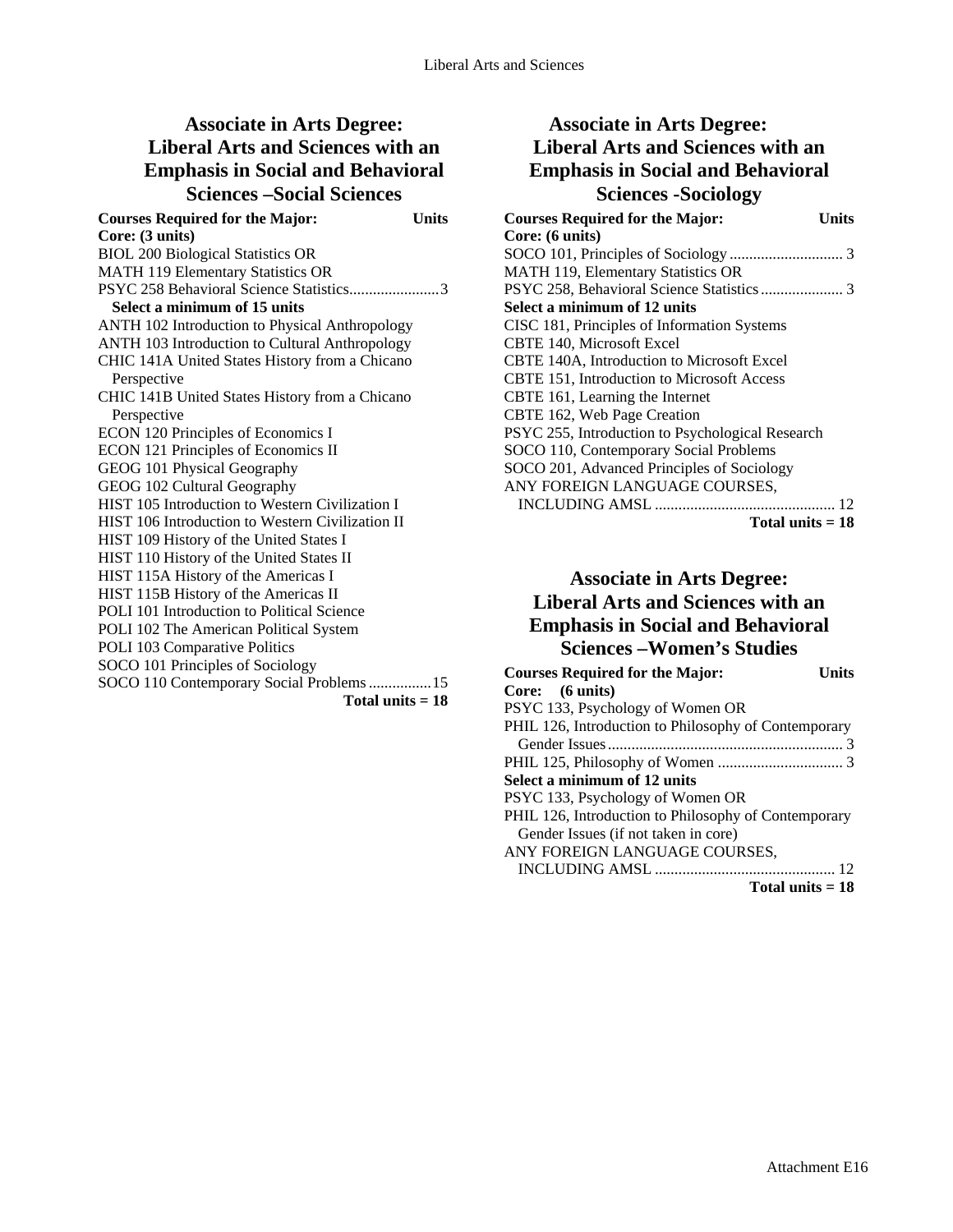# **Associate in Arts Degree: Liberal Arts and Sciences with an Emphasis in Social and Behavioral Sciences –Social Sciences**

| <b>Courses Required for the Major:</b><br>Units  |  |
|--------------------------------------------------|--|
| Core: (3 units)                                  |  |
| <b>BIOL 200 Biological Statistics OR</b>         |  |
| <b>MATH 119 Elementary Statistics OR</b>         |  |
| PSYC 258 Behavioral Science Statistics3          |  |
| Select a minimum of 15 units                     |  |
| ANTH 102 Introduction to Physical Anthropology   |  |
| ANTH 103 Introduction to Cultural Anthropology   |  |
| CHIC 141A United States History from a Chicano   |  |
| Perspective                                      |  |
| CHIC 141B United States History from a Chicano   |  |
| Perspective                                      |  |
| ECON 120 Principles of Economics I               |  |
| <b>ECON 121 Principles of Economics II</b>       |  |
| GEOG 101 Physical Geography                      |  |
| GEOG 102 Cultural Geography                      |  |
| HIST 105 Introduction to Western Civilization I  |  |
| HIST 106 Introduction to Western Civilization II |  |
| HIST 109 History of the United States I          |  |
| HIST 110 History of the United States II         |  |
| HIST 115A History of the Americas I              |  |
| HIST 115B History of the Americas II             |  |
| POLI 101 Introduction to Political Science       |  |
| POLI 102 The American Political System           |  |
| POLI 103 Comparative Politics                    |  |
| SOCO 101 Principles of Sociology                 |  |
| SOCO 110 Contemporary Social Problems  15        |  |
| Total units $= 18$                               |  |

## **Associate in Arts Degree: Liberal Arts and Sciences with an Emphasis in Social and Behavioral Sciences -Sociology**

| <b>Courses Required for the Major:</b><br>Units  |
|--------------------------------------------------|
| Core: (6 units)                                  |
|                                                  |
| MATH 119, Elementary Statistics OR               |
|                                                  |
| Select a minimum of 12 units                     |
| CISC 181, Principles of Information Systems      |
| <b>CBTE 140, Microsoft Excel</b>                 |
| CBTE 140A, Introduction to Microsoft Excel       |
| CBTE 151, Introduction to Microsoft Access       |
| CBTE 161, Learning the Internet                  |
| CBTE 162, Web Page Creation                      |
| PSYC 255, Introduction to Psychological Research |
| SOCO 110, Contemporary Social Problems           |
| SOCO 201, Advanced Principles of Sociology       |
| ANY FOREIGN LANGUAGE COURSES,                    |
|                                                  |
| Total units $= 18$                               |

# **Associate in Arts Degree: Liberal Arts and Sciences with an Emphasis in Social and Behavioral Sciences –Women's Studies**

| <b>Courses Required for the Major:</b>               | I Inite |
|------------------------------------------------------|---------|
| Core: (6 units)                                      |         |
| PSYC 133, Psychology of Women OR                     |         |
| PHIL 126, Introduction to Philosophy of Contemporary |         |
|                                                      |         |
|                                                      |         |
| Select a minimum of 12 units                         |         |
| PSYC 133, Psychology of Women OR                     |         |
| PHIL 126, Introduction to Philosophy of Contemporary |         |
| Gender Issues (if not taken in core)                 |         |
| ANY FOREIGN LANGUAGE COURSES,                        |         |
|                                                      |         |
| Total units $= 18$                                   |         |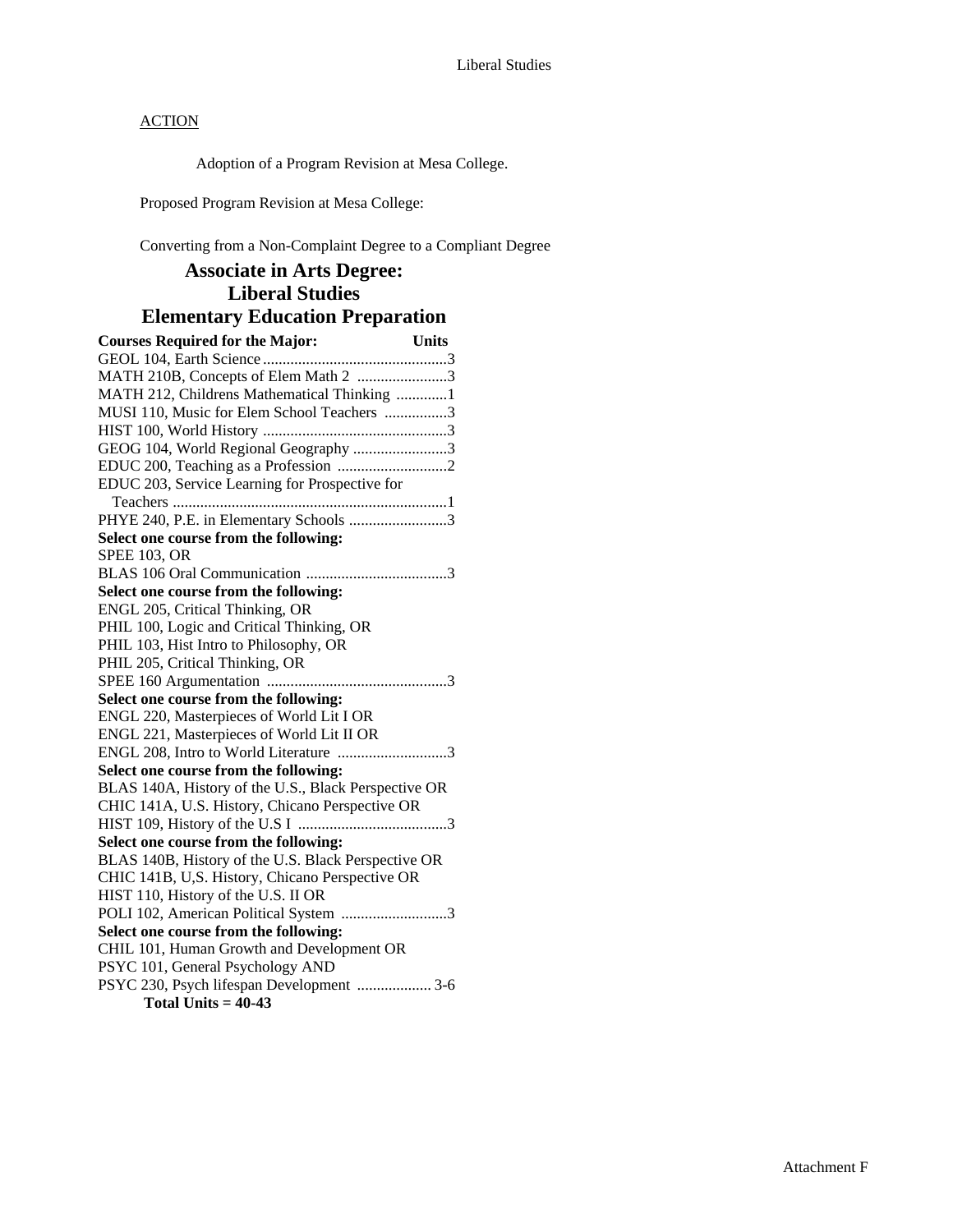Adoption of a Program Revision at Mesa College.

Proposed Program Revision at Mesa College:

Converting from a Non-Complaint Degree to a Compliant Degree

## **Associate in Arts Degree: Liberal Studies Elementary Education Preparation**

| <b>Courses Required for the Major:</b>               | Units |
|------------------------------------------------------|-------|
|                                                      |       |
| MATH 210B, Concepts of Elem Math 2 3                 |       |
| MATH 212, Childrens Mathematical Thinking 1          |       |
| MUSI 110, Music for Elem School Teachers 3           |       |
|                                                      |       |
| GEOG 104, World Regional Geography 3                 |       |
|                                                      |       |
| EDUC 203, Service Learning for Prospective for       |       |
|                                                      |       |
| PHYE 240, P.E. in Elementary Schools 3               |       |
| Select one course from the following:                |       |
| <b>SPEE 103. OR</b>                                  |       |
|                                                      |       |
| Select one course from the following:                |       |
| ENGL 205, Critical Thinking, OR                      |       |
| PHIL 100, Logic and Critical Thinking, OR            |       |
| PHIL 103, Hist Intro to Philosophy, OR               |       |
| PHIL 205, Critical Thinking, OR                      |       |
|                                                      |       |
| Select one course from the following:                |       |
| ENGL 220, Masterpieces of World Lit I OR             |       |
| ENGL 221, Masterpieces of World Lit II OR            |       |
| ENGL 208, Intro to World Literature 3                |       |
| Select one course from the following:                |       |
| BLAS 140A, History of the U.S., Black Perspective OR |       |
| CHIC 141A, U.S. History, Chicano Perspective OR      |       |
|                                                      |       |
| Select one course from the following:                |       |
| BLAS 140B, History of the U.S. Black Perspective OR  |       |
| CHIC 141B, U,S. History, Chicano Perspective OR      |       |
| HIST 110, History of the U.S. II OR                  |       |
| POLI 102, American Political System 3                |       |
| Select one course from the following:                |       |
| CHIL 101, Human Growth and Development OR            |       |
| PSYC 101, General Psychology AND                     |       |
| PSYC 230, Psych lifespan Development  3-6            |       |
| Total Units = $40-43$                                |       |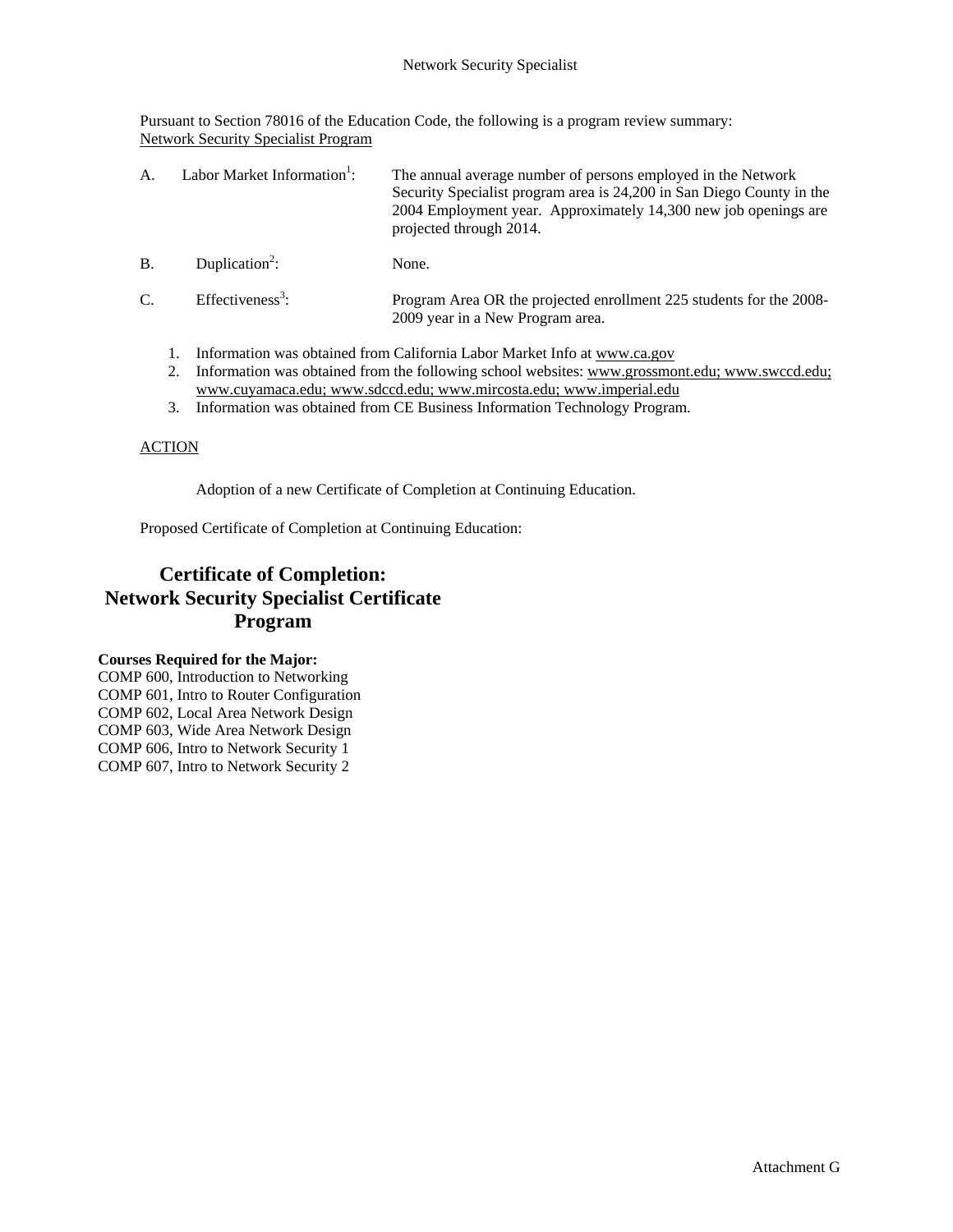Pursuant to Section 78016 of the Education Code, the following is a program review summary: Network Security Specialist Program

| A          | Labor Market Information <sup>1</sup> : | The annual average number of persons employed in the Network<br>Security Specialist program area is 24,200 in San Diego County in the<br>2004 Employment year. Approximately 14,300 new job openings are<br>projected through 2014. |
|------------|-----------------------------------------|-------------------------------------------------------------------------------------------------------------------------------------------------------------------------------------------------------------------------------------|
| <b>B</b> . | Duplication <sup>2</sup> :              | None.                                                                                                                                                                                                                               |
| C.         | Effectiveness <sup>3</sup> :            | Program Area OR the projected enrollment 225 students for the 2008-<br>2009 year in a New Program area.                                                                                                                             |

- 1. Information was obtained from California Labor Market Info at www.ca.gov
- 2. Information was obtained from the following school websites: www.grossmont.edu; www.swccd.edu; www.cuyamaca.edu; www.sdccd.edu; www.mircosta.edu; www.imperial.edu
- 3. Information was obtained from CE Business Information Technology Program.

#### ACTION

Adoption of a new Certificate of Completion at Continuing Education.

Proposed Certificate of Completion at Continuing Education:

# **Certificate of Completion: Network Security Specialist Certificate Program**

#### **Courses Required for the Major:**

COMP 600, Introduction to Networking COMP 601, Intro to Router Configuration COMP 602, Local Area Network Design COMP 603, Wide Area Network Design COMP 606, Intro to Network Security 1 COMP 607, Intro to Network Security 2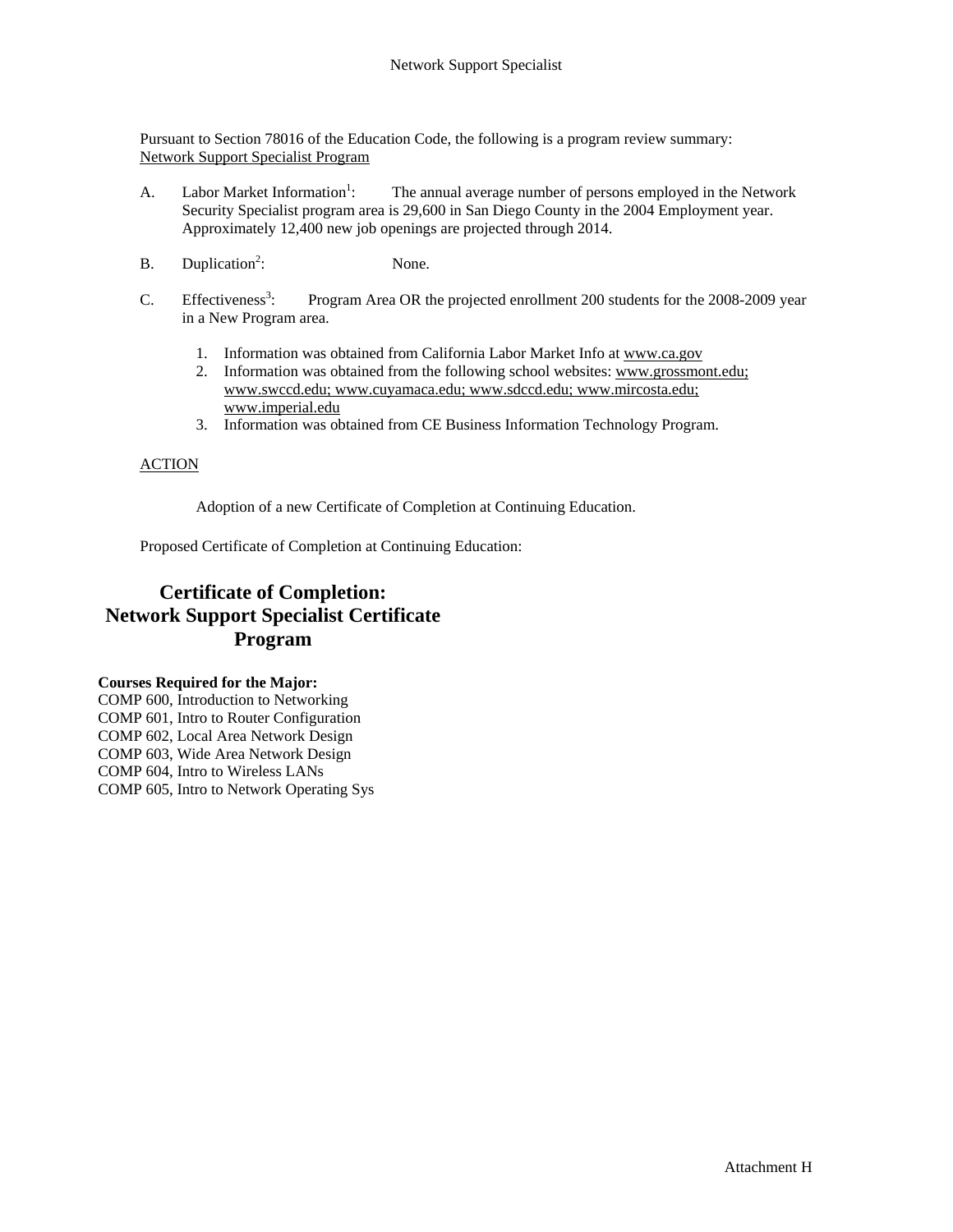Pursuant to Section 78016 of the Education Code, the following is a program review summary: Network Support Specialist Program

- A. Labor Market Information<sup>1</sup>: : The annual average number of persons employed in the Network Security Specialist program area is 29,600 in San Diego County in the 2004 Employment year. Approximately 12,400 new job openings are projected through 2014.
- $B.$  Duplication<sup>2</sup>: None.
- $C.$  Effectiveness<sup>3</sup>: Program Area OR the projected enrollment 200 students for the 2008-2009 year in a New Program area.
	- 1. Information was obtained from California Labor Market Info at www.ca.gov
	- 2. Information was obtained from the following school websites: www.grossmont.edu; www.swccd.edu; www.cuyamaca.edu; www.sdccd.edu; www.mircosta.edu; www.imperial.edu
	- 3. Information was obtained from CE Business Information Technology Program.

#### ACTION

Adoption of a new Certificate of Completion at Continuing Education.

Proposed Certificate of Completion at Continuing Education:

## **Certificate of Completion: Network Support Specialist Certificate Program**

#### **Courses Required for the Major:**

COMP 600, Introduction to Networking COMP 601, Intro to Router Configuration COMP 602, Local Area Network Design COMP 603, Wide Area Network Design COMP 604, Intro to Wireless LANs COMP 605, Intro to Network Operating Sys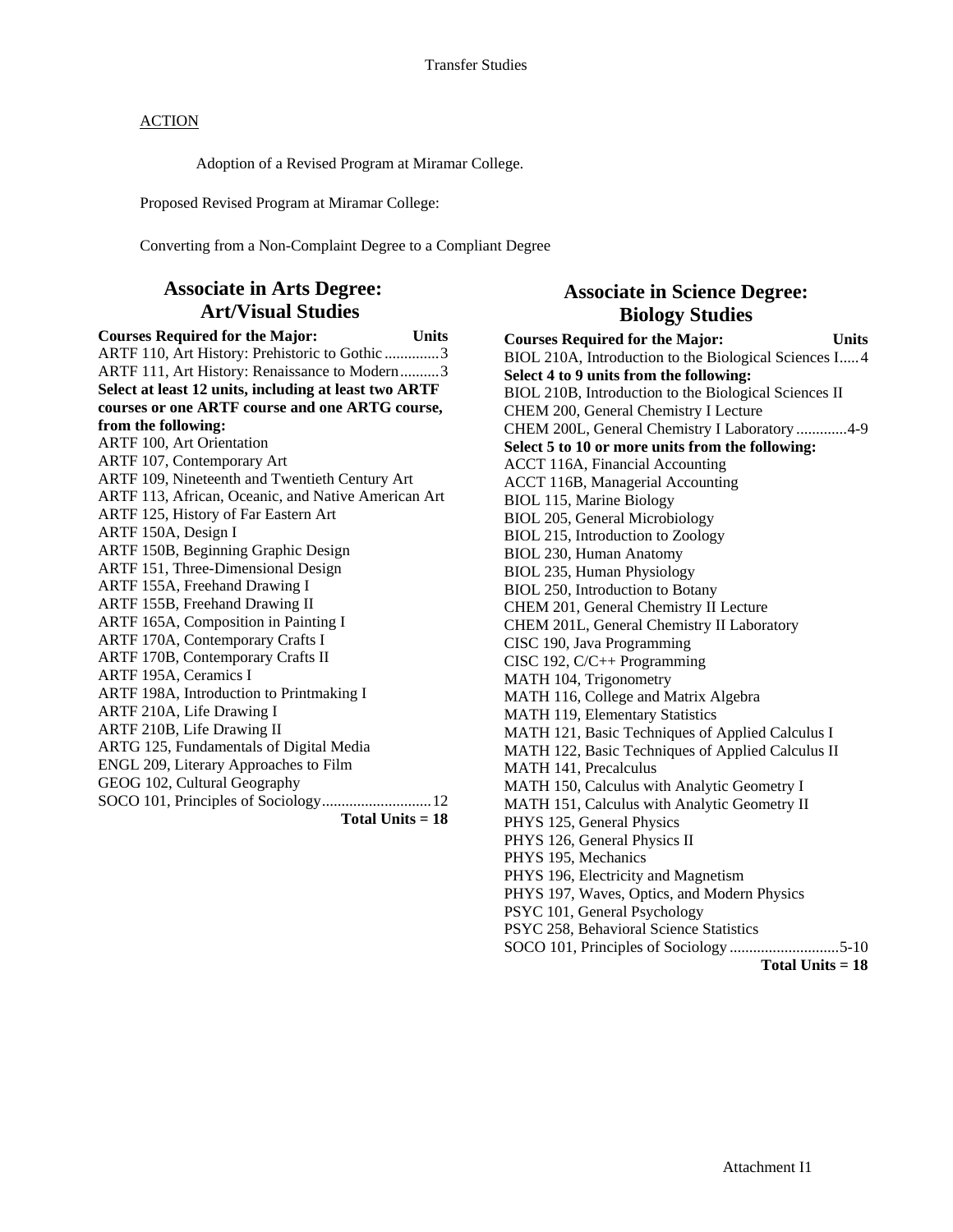Adoption of a Revised Program at Miramar College.

Proposed Revised Program at Miramar College:

Converting from a Non-Complaint Degree to a Compliant Degree

### **Associate in Arts Degree: Art/Visual Studies**

**Courses Required for the Major: Units**  ARTF 110, Art History: Prehistoric to Gothic ..............3 ARTF 111, Art History: Renaissance to Modern..........3 **Select at least 12 units, including at least two ARTF courses or one ARTF course and one ARTG course, from the following:**  ARTF 100, Art Orientation ARTF 107, Contemporary Art ARTF 109, Nineteenth and Twentieth Century Art ARTF 113, African, Oceanic, and Native American Art ARTF 125, History of Far Eastern Art ARTF 150A, Design I ARTF 150B, Beginning Graphic Design ARTF 151, Three-Dimensional Design ARTF 155A, Freehand Drawing I ARTF 155B, Freehand Drawing II ARTF 165A, Composition in Painting I ARTF 170A, Contemporary Crafts I ARTF 170B, Contemporary Crafts II ARTF 195A, Ceramics I ARTF 198A, Introduction to Printmaking I ARTF 210A, Life Drawing I ARTF 210B, Life Drawing II ARTG 125, Fundamentals of Digital Media ENGL 209, Literary Approaches to Film GEOG 102, Cultural Geography SOCO 101, Principles of Sociology............................12 **Total Units = 18** 

### **Associate in Science Degree: Biology Studies**

**Courses Required for the Major: Units**  BIOL 210A, Introduction to the Biological Sciences I.....4 **Select 4 to 9 units from the following:**  BIOL 210B, Introduction to the Biological Sciences II CHEM 200, General Chemistry I Lecture CHEM 200L, General Chemistry I Laboratory .............4-9 **Select 5 to 10 or more units from the following:**  ACCT 116A, Financial Accounting ACCT 116B, Managerial Accounting BIOL 115, Marine Biology BIOL 205, General Microbiology BIOL 215, Introduction to Zoology BIOL 230, Human Anatomy BIOL 235, Human Physiology BIOL 250, Introduction to Botany CHEM 201, General Chemistry II Lecture CHEM 201L, General Chemistry II Laboratory CISC 190, Java Programming CISC 192, C/C++ Programming MATH 104, Trigonometry MATH 116, College and Matrix Algebra MATH 119, Elementary Statistics MATH 121, Basic Techniques of Applied Calculus I MATH 122, Basic Techniques of Applied Calculus II MATH 141, Precalculus MATH 150, Calculus with Analytic Geometry I MATH 151, Calculus with Analytic Geometry II PHYS 125, General Physics PHYS 126, General Physics II PHYS 195, Mechanics PHYS 196, Electricity and Magnetism PHYS 197, Waves, Optics, and Modern Physics PSYC 101, General Psychology PSYC 258, Behavioral Science Statistics SOCO 101, Principles of Sociology ............................5-10 **Total Units = 18**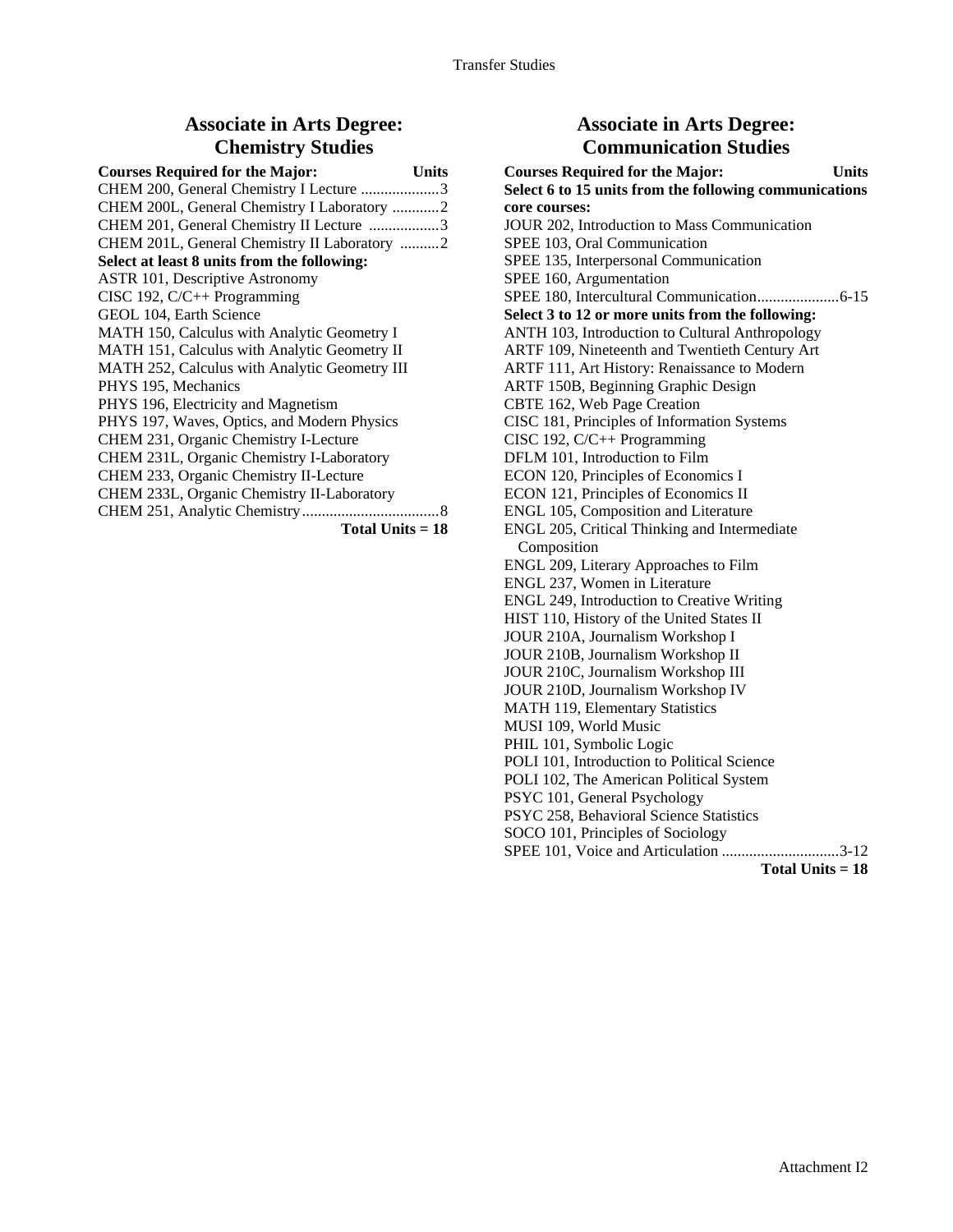### **Associate in Arts Degree: Chemistry Studies**

| <b>Courses Required for the Major:</b><br><b>Units</b> |
|--------------------------------------------------------|
| CHEM 200, General Chemistry I Lecture 3                |
| CHEM 200L, General Chemistry I Laboratory 2            |
| CHEM 201, General Chemistry II Lecture 3               |
| CHEM 201L, General Chemistry II Laboratory 2           |
| Select at least 8 units from the following:            |
| <b>ASTR 101, Descriptive Astronomy</b>                 |
| CISC 192, $C/C++$ Programming                          |
| GEOL 104, Earth Science                                |
| MATH 150, Calculus with Analytic Geometry I            |
| MATH 151, Calculus with Analytic Geometry II           |
| MATH 252, Calculus with Analytic Geometry III          |
| PHYS 195, Mechanics                                    |
| PHYS 196, Electricity and Magnetism                    |
| PHYS 197, Waves, Optics, and Modern Physics            |
| CHEM 231, Organic Chemistry I-Lecture                  |
| CHEM 231L, Organic Chemistry I-Laboratory              |
| CHEM 233, Organic Chemistry II-Lecture                 |
| CHEM 233L, Organic Chemistry II-Laboratory             |
|                                                        |
|                                                        |

**Total Units = 18** 

### **Associate in Arts Degree: Communication Studies**

| <b>Courses Required for the Major:</b><br><b>Units</b> |
|--------------------------------------------------------|
| Select 6 to 15 units from the following communications |
| core courses:                                          |
| JOUR 202, Introduction to Mass Communication           |
| SPEE 103, Oral Communication                           |
| SPEE 135, Interpersonal Communication                  |
| SPEE 160, Argumentation                                |
|                                                        |
| Select 3 to 12 or more units from the following:       |
| ANTH 103, Introduction to Cultural Anthropology        |
| ARTF 109, Nineteenth and Twentieth Century Art         |
| ARTF 111, Art History: Renaissance to Modern           |
| ARTF 150B, Beginning Graphic Design                    |
| CBTE 162, Web Page Creation                            |
| CISC 181, Principles of Information Systems            |
| CISC 192, $C/C++$ Programming                          |
| DFLM 101, Introduction to Film                         |
| ECON 120, Principles of Economics I                    |
| ECON 121, Principles of Economics II                   |
| ENGL 105, Composition and Literature                   |
| ENGL 205, Critical Thinking and Intermediate           |
| Composition                                            |
| ENGL 209, Literary Approaches to Film                  |
| ENGL 237, Women in Literature                          |
| ENGL 249, Introduction to Creative Writing             |
| HIST 110, History of the United States II              |
| JOUR 210A, Journalism Workshop I                       |
| JOUR 210B, Journalism Workshop II                      |
| JOUR 210C, Journalism Workshop III                     |
| JOUR 210D, Journalism Workshop IV                      |
| <b>MATH 119, Elementary Statistics</b>                 |
| MUSI 109, World Music                                  |
| PHIL 101, Symbolic Logic                               |
| POLI 101, Introduction to Political Science            |
| POLI 102, The American Political System                |
| PSYC 101, General Psychology                           |
| PSYC 258, Behavioral Science Statistics                |
| SOCO 101, Principles of Sociology                      |
| SPEE 101, Voice and Articulation 3-12                  |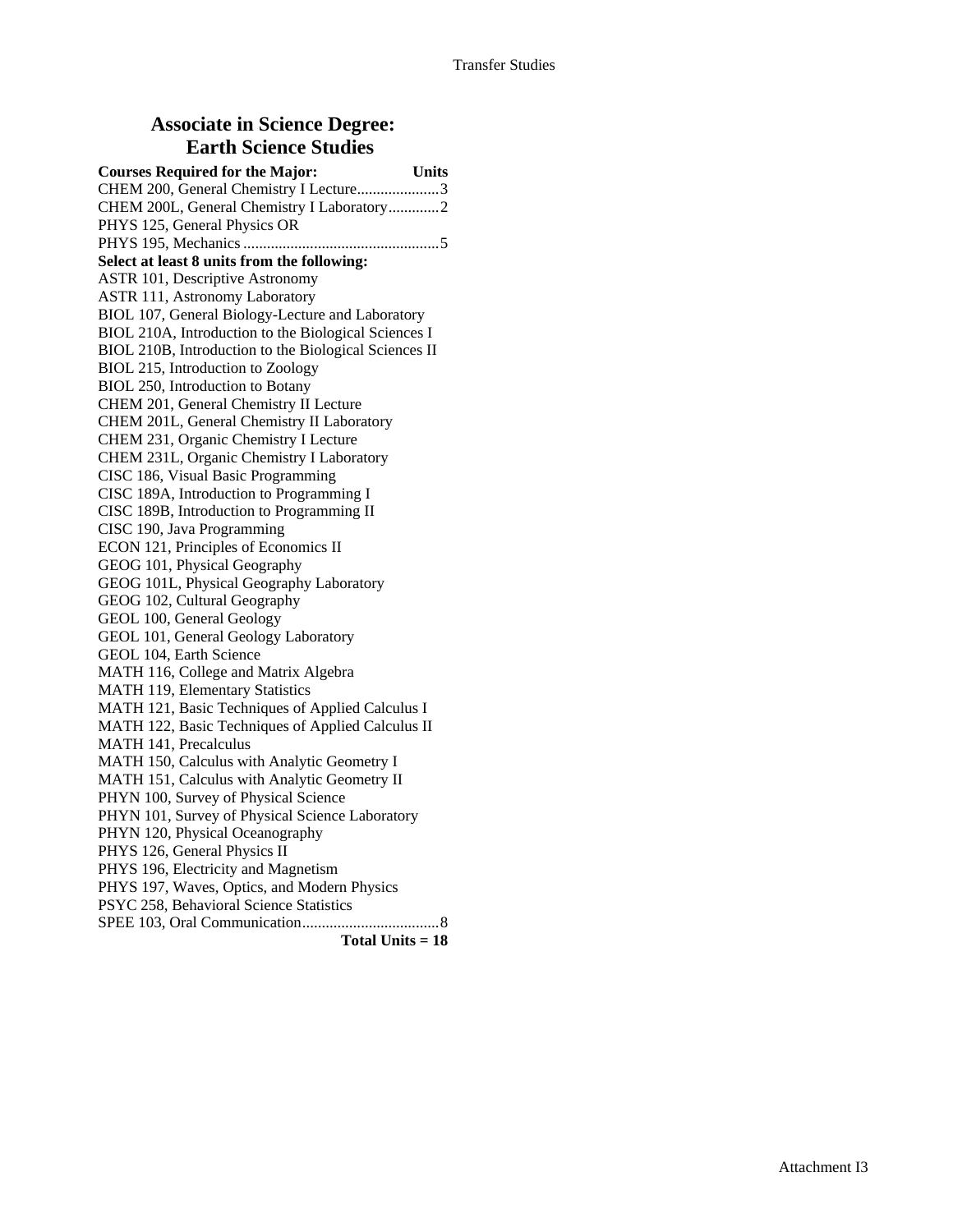### **Associate in Science Degree: Earth Science Studies**

| <b>Courses Required for the Major:</b>                | <b>Units</b> |
|-------------------------------------------------------|--------------|
| CHEM 200, General Chemistry I Lecture3                |              |
| CHEM 200L, General Chemistry I Laboratory2            |              |
| PHYS 125, General Physics OR                          |              |
|                                                       |              |
| Select at least 8 units from the following:           |              |
| <b>ASTR 101, Descriptive Astronomy</b>                |              |
| <b>ASTR 111, Astronomy Laboratory</b>                 |              |
| BIOL 107, General Biology-Lecture and Laboratory      |              |
| BIOL 210A, Introduction to the Biological Sciences I  |              |
| BIOL 210B, Introduction to the Biological Sciences II |              |
| BIOL 215, Introduction to Zoology                     |              |
| BIOL 250, Introduction to Botany                      |              |
| CHEM 201, General Chemistry II Lecture                |              |
| CHEM 201L, General Chemistry II Laboratory            |              |
| CHEM 231, Organic Chemistry I Lecture                 |              |
| CHEM 231L, Organic Chemistry I Laboratory             |              |
| CISC 186, Visual Basic Programming                    |              |
| CISC 189A, Introduction to Programming I              |              |
| CISC 189B, Introduction to Programming II             |              |
| CISC 190, Java Programming                            |              |
| ECON 121, Principles of Economics II                  |              |
| GEOG 101, Physical Geography                          |              |
| GEOG 101L, Physical Geography Laboratory              |              |
| GEOG 102, Cultural Geography                          |              |
| GEOL 100, General Geology                             |              |
| GEOL 101, General Geology Laboratory                  |              |
| GEOL 104, Earth Science                               |              |
| MATH 116, College and Matrix Algebra                  |              |
| <b>MATH 119, Elementary Statistics</b>                |              |
| MATH 121, Basic Techniques of Applied Calculus I      |              |
| MATH 122, Basic Techniques of Applied Calculus II     |              |
| MATH 141, Precalculus                                 |              |
| MATH 150, Calculus with Analytic Geometry I           |              |
| MATH 151, Calculus with Analytic Geometry II          |              |
| PHYN 100, Survey of Physical Science                  |              |
| PHYN 101, Survey of Physical Science Laboratory       |              |
| PHYN 120, Physical Oceanography                       |              |
| PHYS 126, General Physics II                          |              |
| PHYS 196, Electricity and Magnetism                   |              |
| PHYS 197, Waves, Optics, and Modern Physics           |              |
| PSYC 258, Behavioral Science Statistics               |              |
|                                                       |              |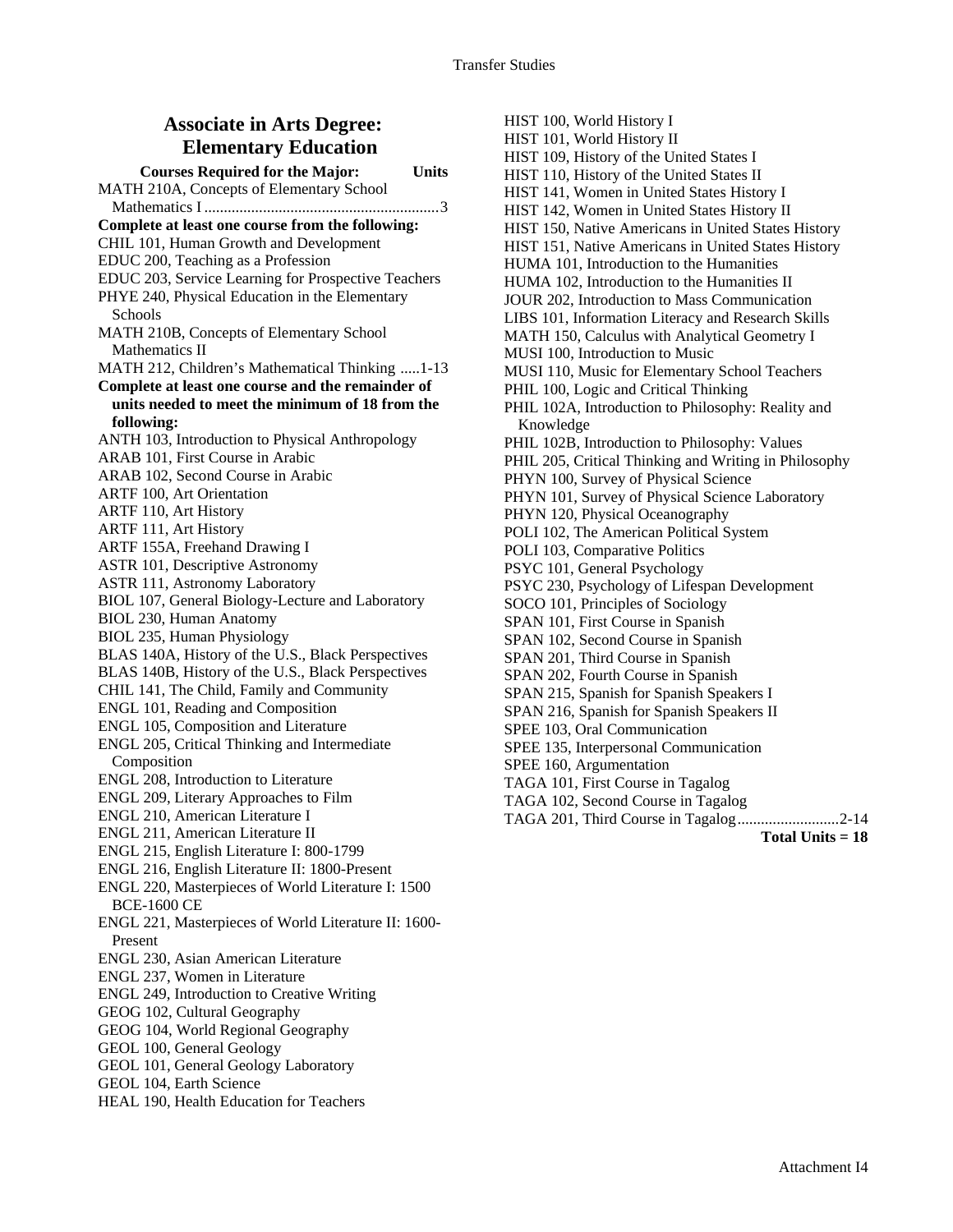### **Associate in Arts Degree: Elementary Education**

**Courses Required for the Major: Units**  MATH 210A, Concepts of Elementary School Mathematics I ............................................................3 **Complete at least one course from the following:**  CHIL 101, Human Growth and Development EDUC 200, Teaching as a Profession EDUC 203, Service Learning for Prospective Teachers PHYE 240, Physical Education in the Elementary Schools MATH 210B, Concepts of Elementary School Mathematics II MATH 212, Children's Mathematical Thinking .....1-13 **Complete at least one course and the remainder of units needed to meet the minimum of 18 from the following:**  ANTH 103, Introduction to Physical Anthropology ARAB 101, First Course in Arabic ARAB 102, Second Course in Arabic ARTF 100, Art Orientation ARTF 110, Art History ARTF 111, Art History ARTF 155A, Freehand Drawing I ASTR 101, Descriptive Astronomy ASTR 111, Astronomy Laboratory BIOL 107, General Biology-Lecture and Laboratory BIOL 230, Human Anatomy BIOL 235, Human Physiology BLAS 140A, History of the U.S., Black Perspectives BLAS 140B, History of the U.S., Black Perspectives CHIL 141, The Child, Family and Community ENGL 101, Reading and Composition ENGL 105, Composition and Literature ENGL 205, Critical Thinking and Intermediate Composition ENGL 208, Introduction to Literature ENGL 209, Literary Approaches to Film ENGL 210, American Literature I ENGL 211, American Literature II ENGL 215, English Literature I: 800-1799 ENGL 216, English Literature II: 1800-Present ENGL 220, Masterpieces of World Literature I: 1500 BCE-1600 CE ENGL 221, Masterpieces of World Literature II: 1600- Present ENGL 230, Asian American Literature ENGL 237, Women in Literature ENGL 249, Introduction to Creative Writing GEOG 102, Cultural Geography GEOG 104, World Regional Geography GEOL 100, General Geology GEOL 101, General Geology Laboratory GEOL 104, Earth Science HEAL 190, Health Education for Teachers

HIST 100, World History I HIST 101, World History II HIST 109, History of the United States I HIST 110, History of the United States II HIST 141, Women in United States History I HIST 142, Women in United States History II HIST 150, Native Americans in United States History HIST 151, Native Americans in United States History HUMA 101, Introduction to the Humanities HUMA 102, Introduction to the Humanities II JOUR 202, Introduction to Mass Communication LIBS 101, Information Literacy and Research Skills MATH 150, Calculus with Analytical Geometry I MUSI 100, Introduction to Music MUSI 110, Music for Elementary School Teachers PHIL 100, Logic and Critical Thinking PHIL 102A, Introduction to Philosophy: Reality and Knowledge PHIL 102B, Introduction to Philosophy: Values PHIL 205, Critical Thinking and Writing in Philosophy PHYN 100, Survey of Physical Science PHYN 101, Survey of Physical Science Laboratory PHYN 120, Physical Oceanography POLI 102, The American Political System POLI 103, Comparative Politics PSYC 101, General Psychology PSYC 230, Psychology of Lifespan Development SOCO 101, Principles of Sociology SPAN 101, First Course in Spanish SPAN 102, Second Course in Spanish SPAN 201, Third Course in Spanish SPAN 202, Fourth Course in Spanish SPAN 215, Spanish for Spanish Speakers I SPAN 216, Spanish for Spanish Speakers II SPEE 103, Oral Communication SPEE 135, Interpersonal Communication SPEE 160, Argumentation TAGA 101, First Course in Tagalog TAGA 102, Second Course in Tagalog TAGA 201, Third Course in Tagalog..........................2-14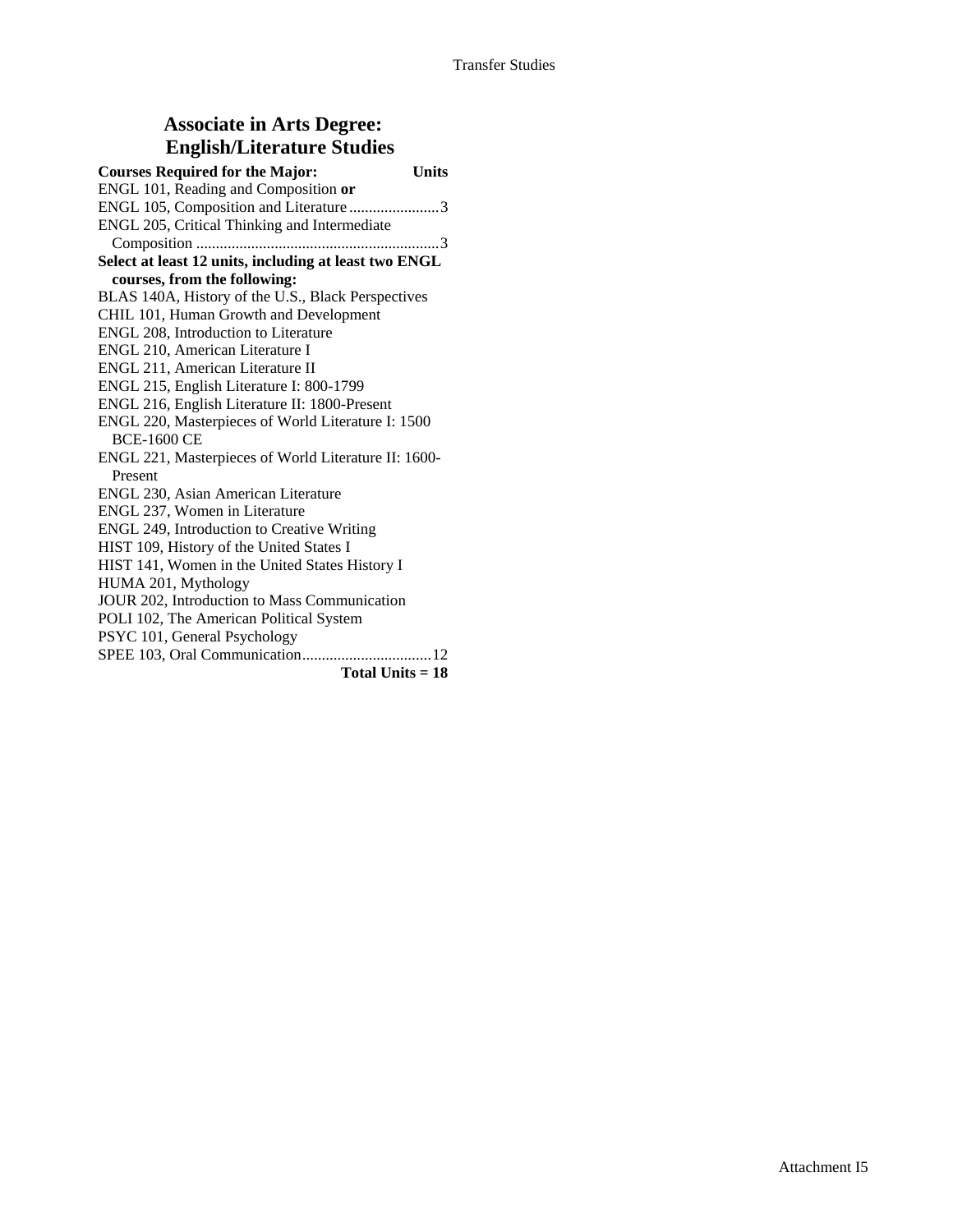### **Associate in Arts Degree: English/Literature Studies**

| <b>Courses Required for the Major:</b><br><b>Units</b> |  |
|--------------------------------------------------------|--|
| ENGL 101, Reading and Composition or                   |  |
| ENGL 105, Composition and Literature 3                 |  |
| ENGL 205, Critical Thinking and Intermediate           |  |
|                                                        |  |
| Select at least 12 units, including at least two ENGL  |  |
| courses, from the following:                           |  |
| BLAS 140A, History of the U.S., Black Perspectives     |  |
| CHIL 101, Human Growth and Development                 |  |
| ENGL 208, Introduction to Literature                   |  |
| ENGL 210, American Literature I                        |  |
| ENGL 211, American Literature II                       |  |
| ENGL 215, English Literature I: 800-1799               |  |
| ENGL 216, English Literature II: 1800-Present          |  |
| ENGL 220, Masterpieces of World Literature I: 1500     |  |
| <b>BCE-1600 CE</b>                                     |  |
| ENGL 221, Masterpieces of World Literature II: 1600-   |  |
| Present                                                |  |
| ENGL 230, Asian American Literature                    |  |
| ENGL 237, Women in Literature                          |  |
| ENGL 249, Introduction to Creative Writing             |  |
| HIST 109, History of the United States I               |  |
| HIST 141, Women in the United States History I         |  |
| HUMA 201, Mythology                                    |  |
| JOUR 202, Introduction to Mass Communication           |  |
| POLI 102, The American Political System                |  |
| PSYC 101, General Psychology                           |  |
|                                                        |  |
| Total Units $= 18$                                     |  |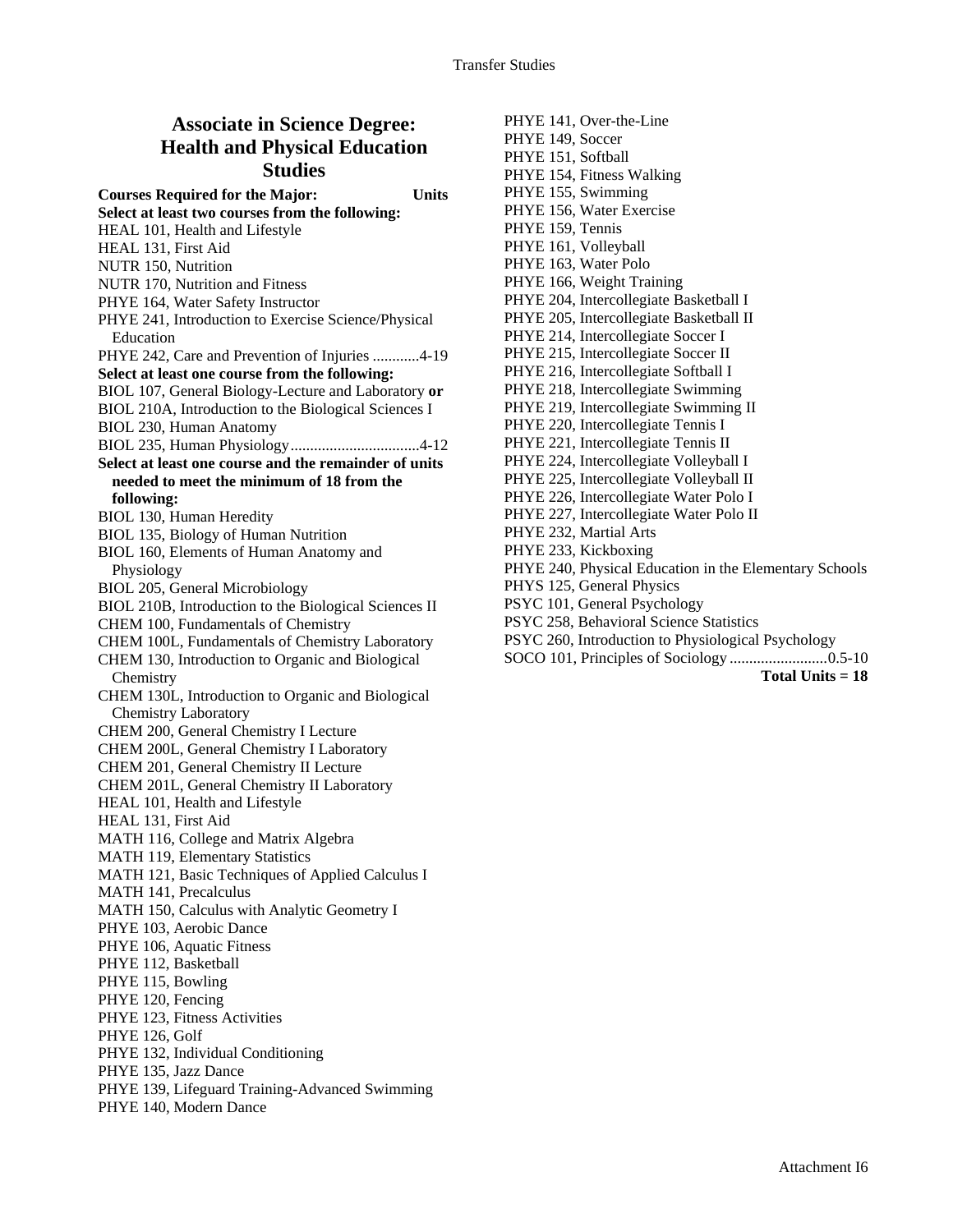## **Associate in Science Degree: Health and Physical Education Studies**

**Courses Required for the Major: Units Select at least two courses from the following:**  HEAL 101, Health and Lifestyle HEAL 131, First Aid NUTR 150, Nutrition NUTR 170, Nutrition and Fitness PHYE 164, Water Safety Instructor PHYE 241, Introduction to Exercise Science/Physical **Education** PHYE 242, Care and Prevention of Injuries ............4-19 **Select at least one course from the following:**  BIOL 107, General Biology-Lecture and Laboratory **or** BIOL 210A, Introduction to the Biological Sciences I BIOL 230, Human Anatomy BIOL 235, Human Physiology.................................4-12 **Select at least one course and the remainder of units needed to meet the minimum of 18 from the following:**  BIOL 130, Human Heredity BIOL 135, Biology of Human Nutrition BIOL 160, Elements of Human Anatomy and Physiology BIOL 205, General Microbiology BIOL 210B, Introduction to the Biological Sciences II CHEM 100, Fundamentals of Chemistry CHEM 100L, Fundamentals of Chemistry Laboratory CHEM 130, Introduction to Organic and Biological **Chemistry** CHEM 130L, Introduction to Organic and Biological Chemistry Laboratory CHEM 200, General Chemistry I Lecture CHEM 200L, General Chemistry I Laboratory CHEM 201, General Chemistry II Lecture CHEM 201L, General Chemistry II Laboratory HEAL 101, Health and Lifestyle HEAL 131, First Aid MATH 116, College and Matrix Algebra MATH 119, Elementary Statistics MATH 121, Basic Techniques of Applied Calculus I MATH 141, Precalculus MATH 150, Calculus with Analytic Geometry I PHYE 103, Aerobic Dance PHYE 106, Aquatic Fitness PHYE 112, Basketball PHYE 115, Bowling PHYE 120, Fencing PHYE 123, Fitness Activities PHYE 126, Golf PHYE 132, Individual Conditioning PHYE 135, Jazz Dance PHYE 139, Lifeguard Training-Advanced Swimming PHYE 140, Modern Dance

PHYE 141, Over-the-Line PHYE 149, Soccer PHYE 151, Softball PHYE 154, Fitness Walking PHYE 155, Swimming PHYE 156, Water Exercise PHYE 159, Tennis PHYE 161, Volleyball PHYE 163, Water Polo PHYE 166, Weight Training PHYE 204, Intercollegiate Basketball I PHYE 205, Intercollegiate Basketball II PHYE 214, Intercollegiate Soccer I PHYE 215, Intercollegiate Soccer II PHYE 216, Intercollegiate Softball I PHYE 218, Intercollegiate Swimming PHYE 219, Intercollegiate Swimming II PHYE 220, Intercollegiate Tennis I PHYE 221, Intercollegiate Tennis II PHYE 224, Intercollegiate Volleyball I PHYE 225, Intercollegiate Volleyball II PHYE 226, Intercollegiate Water Polo I PHYE 227, Intercollegiate Water Polo II PHYE 232, Martial Arts PHYE 233, Kickboxing PHYE 240, Physical Education in the Elementary Schools PHYS 125, General Physics PSYC 101, General Psychology PSYC 258, Behavioral Science Statistics PSYC 260, Introduction to Physiological Psychology

SOCO 101, Principles of Sociology .........................0.5-10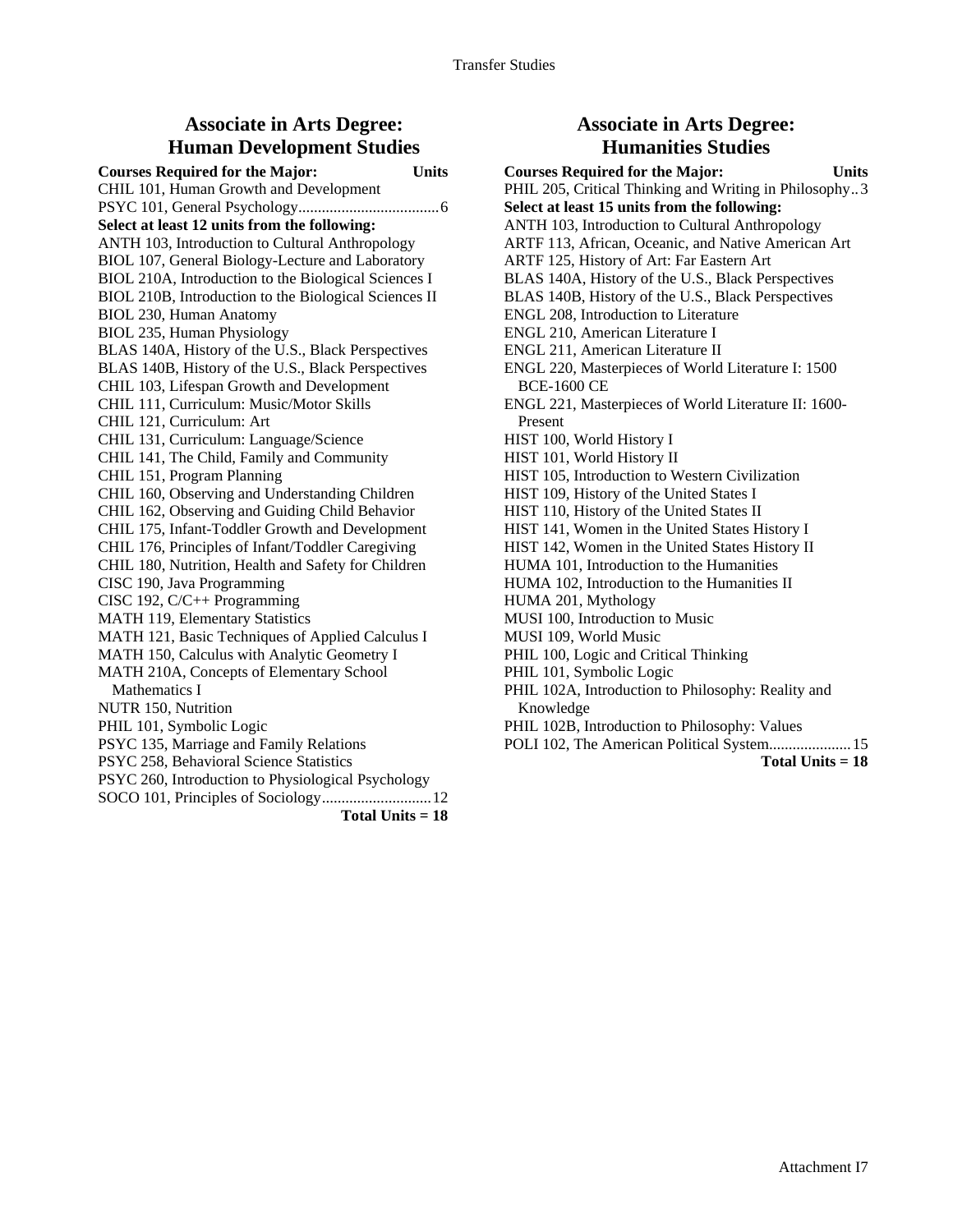#### **Associate in Arts Degree: Human Development Studies**

**Courses Required for the Major: Units**  CHIL 101, Human Growth and Development PSYC 101, General Psychology....................................6 **Select at least 12 units from the following:**  ANTH 103, Introduction to Cultural Anthropology BIOL 107, General Biology-Lecture and Laboratory BIOL 210A, Introduction to the Biological Sciences I BIOL 210B, Introduction to the Biological Sciences II BIOL 230, Human Anatomy BIOL 235, Human Physiology BLAS 140A, History of the U.S., Black Perspectives BLAS 140B, History of the U.S., Black Perspectives CHIL 103, Lifespan Growth and Development CHIL 111, Curriculum: Music/Motor Skills CHIL 121, Curriculum: Art CHIL 131, Curriculum: Language/Science CHIL 141, The Child, Family and Community CHIL 151, Program Planning CHIL 160, Observing and Understanding Children CHIL 162, Observing and Guiding Child Behavior CHIL 175, Infant-Toddler Growth and Development CHIL 176, Principles of Infant/Toddler Caregiving CHIL 180, Nutrition, Health and Safety for Children CISC 190, Java Programming CISC 192, C/C++ Programming MATH 119, Elementary Statistics MATH 121, Basic Techniques of Applied Calculus I MATH 150, Calculus with Analytic Geometry I MATH 210A, Concepts of Elementary School Mathematics I NUTR 150, Nutrition PHIL 101, Symbolic Logic PSYC 135, Marriage and Family Relations PSYC 258, Behavioral Science Statistics PSYC 260, Introduction to Physiological Psychology SOCO 101, Principles of Sociology............................12

**Total Units = 18** 

#### **Associate in Arts Degree: Humanities Studies**

**Courses Required for the Major: Units**  PHIL 205, Critical Thinking and Writing in Philosophy...3 **Select at least 15 units from the following:**  ANTH 103, Introduction to Cultural Anthropology ARTF 113, African, Oceanic, and Native American Art ARTF 125, History of Art: Far Eastern Art BLAS 140A, History of the U.S., Black Perspectives BLAS 140B, History of the U.S., Black Perspectives ENGL 208, Introduction to Literature ENGL 210, American Literature I ENGL 211, American Literature II ENGL 220, Masterpieces of World Literature I: 1500 BCE-1600 CE ENGL 221, Masterpieces of World Literature II: 1600- Present HIST 100, World History I HIST 101, World History II HIST 105, Introduction to Western Civilization HIST 109, History of the United States I HIST 110, History of the United States II HIST 141, Women in the United States History I HIST 142, Women in the United States History II HUMA 101, Introduction to the Humanities HUMA 102, Introduction to the Humanities II HUMA 201, Mythology MUSI 100, Introduction to Music MUSI 109, World Music PHIL 100, Logic and Critical Thinking PHIL 101, Symbolic Logic PHIL 102A, Introduction to Philosophy: Reality and Knowledge PHIL 102B, Introduction to Philosophy: Values POLI 102, The American Political System.....................15 **Total Units = 18**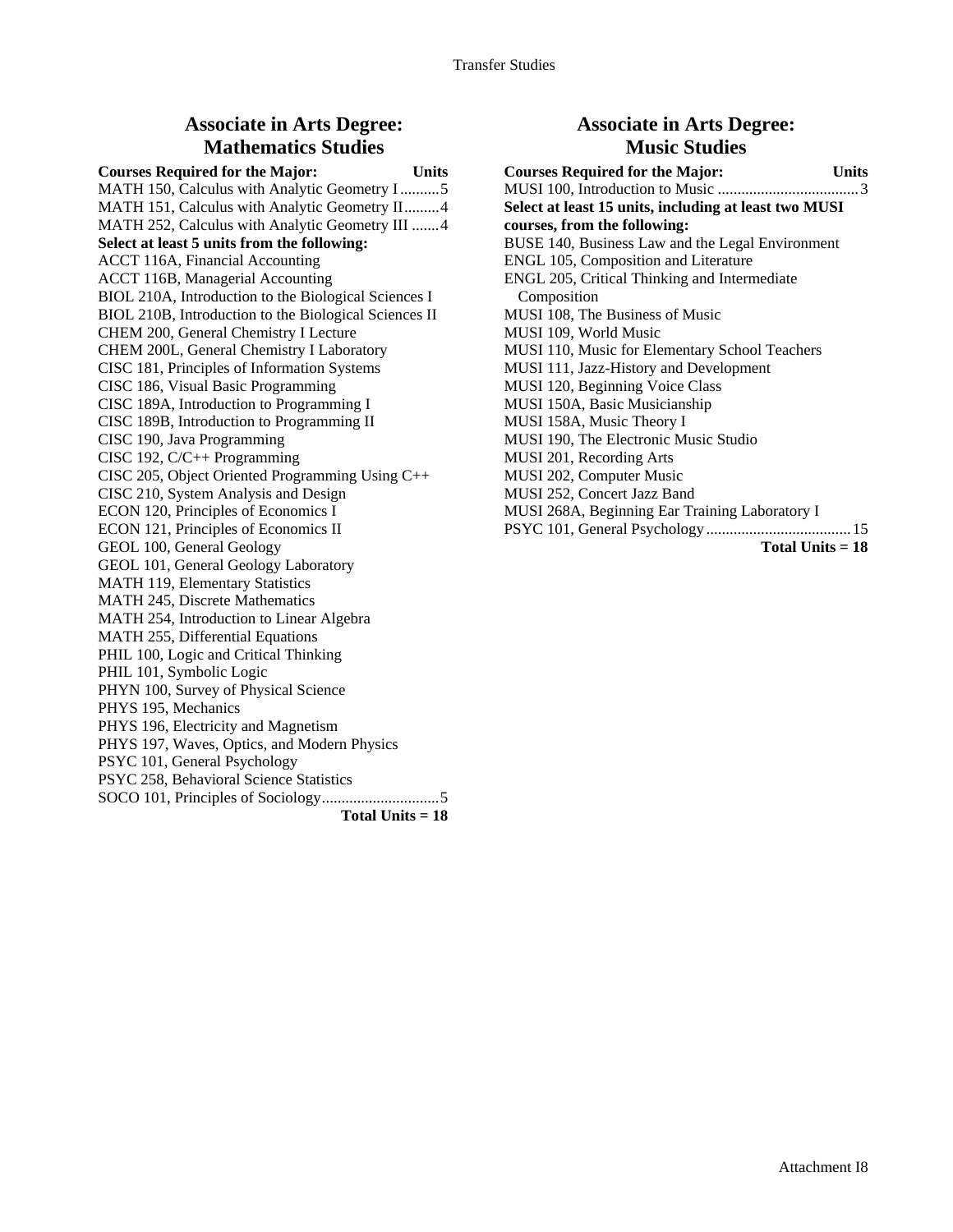#### **Associate in Arts Degree: Mathematics Studies**

**Courses Required for the Major: Units**  MATH 150, Calculus with Analytic Geometry I ..........5 MATH 151, Calculus with Analytic Geometry II.........4 MATH 252, Calculus with Analytic Geometry III .......4 **Select at least 5 units from the following:**  ACCT 116A, Financial Accounting ACCT 116B, Managerial Accounting BIOL 210A, Introduction to the Biological Sciences I BIOL 210B, Introduction to the Biological Sciences II CHEM 200, General Chemistry I Lecture CHEM 200L, General Chemistry I Laboratory CISC 181, Principles of Information Systems CISC 186, Visual Basic Programming CISC 189A, Introduction to Programming I CISC 189B, Introduction to Programming II CISC 190, Java Programming CISC 192, C/C++ Programming CISC 205, Object Oriented Programming Using C++ CISC 210, System Analysis and Design ECON 120, Principles of Economics I ECON 121, Principles of Economics II GEOL 100, General Geology GEOL 101, General Geology Laboratory MATH 119, Elementary Statistics MATH 245, Discrete Mathematics MATH 254, Introduction to Linear Algebra MATH 255, Differential Equations PHIL 100, Logic and Critical Thinking PHIL 101, Symbolic Logic PHYN 100, Survey of Physical Science PHYS 195, Mechanics PHYS 196, Electricity and Magnetism PHYS 197, Waves, Optics, and Modern Physics PSYC 101, General Psychology PSYC 258, Behavioral Science Statistics SOCO 101, Principles of Sociology..............................5 **Total Units = 18**

#### **Associate in Arts Degree: Music Studies**

| <b>Courses Required for the Major:</b><br><b>Units</b> |  |
|--------------------------------------------------------|--|
|                                                        |  |
| Select at least 15 units, including at least two MUSI  |  |
| courses, from the following:                           |  |
| BUSE 140, Business Law and the Legal Environment       |  |
| ENGL 105, Composition and Literature                   |  |
| ENGL 205, Critical Thinking and Intermediate           |  |
| Composition                                            |  |
| MUSI 108, The Business of Music                        |  |
| MUSI 109, World Music                                  |  |
| MUSI 110, Music for Elementary School Teachers         |  |
| MUSI 111, Jazz-History and Development                 |  |
| MUSI 120, Beginning Voice Class                        |  |
| MUSI 150A, Basic Musicianship                          |  |
| MUSI 158A, Music Theory I                              |  |
| MUSI 190, The Electronic Music Studio                  |  |
| MUSI 201, Recording Arts                               |  |
| MUSI 202, Computer Music                               |  |
| MUSI 252, Concert Jazz Band                            |  |
| MUSI 268A, Beginning Ear Training Laboratory I         |  |
|                                                        |  |
| Total Units $= 18$                                     |  |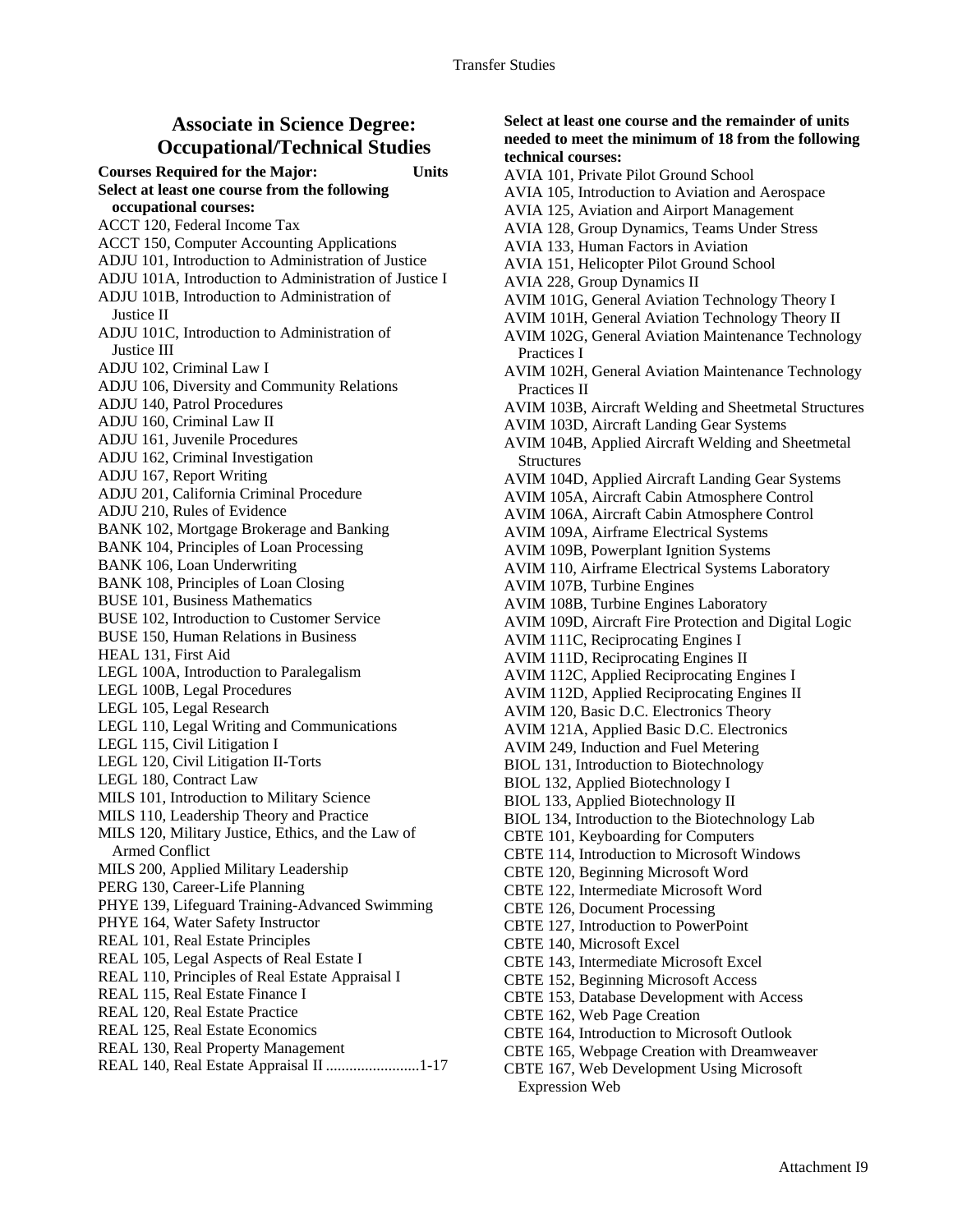#### **Associate in Science Degree: Occupational/Technical Studies**

**Courses Required for the Major: Units Select at least one course from the following occupational courses:**  ACCT 120, Federal Income Tax ACCT 150, Computer Accounting Applications ADJU 101, Introduction to Administration of Justice ADJU 101A, Introduction to Administration of Justice I ADJU 101B, Introduction to Administration of Justice II ADJU 101C, Introduction to Administration of Justice III ADJU 102, Criminal Law I ADJU 106, Diversity and Community Relations ADJU 140, Patrol Procedures ADJU 160, Criminal Law II ADJU 161, Juvenile Procedures ADJU 162, Criminal Investigation ADJU 167, Report Writing ADJU 201, California Criminal Procedure ADJU 210, Rules of Evidence BANK 102, Mortgage Brokerage and Banking BANK 104, Principles of Loan Processing BANK 106, Loan Underwriting BANK 108, Principles of Loan Closing BUSE 101, Business Mathematics BUSE 102, Introduction to Customer Service BUSE 150, Human Relations in Business HEAL 131, First Aid LEGL 100A, Introduction to Paralegalism LEGL 100B, Legal Procedures LEGL 105, Legal Research LEGL 110, Legal Writing and Communications LEGL 115, Civil Litigation I LEGL 120, Civil Litigation II-Torts LEGL 180, Contract Law MILS 101, Introduction to Military Science MILS 110, Leadership Theory and Practice MILS 120, Military Justice, Ethics, and the Law of Armed Conflict MILS 200, Applied Military Leadership PERG 130, Career-Life Planning PHYE 139, Lifeguard Training-Advanced Swimming PHYE 164, Water Safety Instructor REAL 101, Real Estate Principles REAL 105, Legal Aspects of Real Estate I REAL 110, Principles of Real Estate Appraisal I REAL 115, Real Estate Finance I REAL 120, Real Estate Practice REAL 125, Real Estate Economics REAL 130, Real Property Management REAL 140, Real Estate Appraisal II ........................1-17

**Select at least one course and the remainder of units needed to meet the minimum of 18 from the following technical courses:**  AVIA 101, Private Pilot Ground School AVIA 105, Introduction to Aviation and Aerospace AVIA 125, Aviation and Airport Management AVIA 128, Group Dynamics, Teams Under Stress AVIA 133, Human Factors in Aviation AVIA 151, Helicopter Pilot Ground School AVIA 228, Group Dynamics II AVIM 101G, General Aviation Technology Theory I AVIM 101H, General Aviation Technology Theory II AVIM 102G, General Aviation Maintenance Technology Practices I AVIM 102H, General Aviation Maintenance Technology Practices II AVIM 103B, Aircraft Welding and Sheetmetal Structures AVIM 103D, Aircraft Landing Gear Systems AVIM 104B, Applied Aircraft Welding and Sheetmetal Structures AVIM 104D, Applied Aircraft Landing Gear Systems AVIM 105A, Aircraft Cabin Atmosphere Control AVIM 106A, Aircraft Cabin Atmosphere Control AVIM 109A, Airframe Electrical Systems AVIM 109B, Powerplant Ignition Systems AVIM 110, Airframe Electrical Systems Laboratory AVIM 107B, Turbine Engines AVIM 108B, Turbine Engines Laboratory AVIM 109D, Aircraft Fire Protection and Digital Logic AVIM 111C, Reciprocating Engines I AVIM 111D, Reciprocating Engines II AVIM 112C, Applied Reciprocating Engines I AVIM 112D, Applied Reciprocating Engines II AVIM 120, Basic D.C. Electronics Theory AVIM 121A, Applied Basic D.C. Electronics AVIM 249, Induction and Fuel Metering BIOL 131, Introduction to Biotechnology BIOL 132, Applied Biotechnology I BIOL 133, Applied Biotechnology II BIOL 134, Introduction to the Biotechnology Lab CBTE 101, Keyboarding for Computers CBTE 114, Introduction to Microsoft Windows CBTE 120, Beginning Microsoft Word CBTE 122, Intermediate Microsoft Word CBTE 126, Document Processing CBTE 127, Introduction to PowerPoint CBTE 140, Microsoft Excel CBTE 143, Intermediate Microsoft Excel CBTE 152, Beginning Microsoft Access CBTE 153, Database Development with Access CBTE 162, Web Page Creation CBTE 164, Introduction to Microsoft Outlook CBTE 165, Webpage Creation with Dreamweaver CBTE 167, Web Development Using Microsoft Expression Web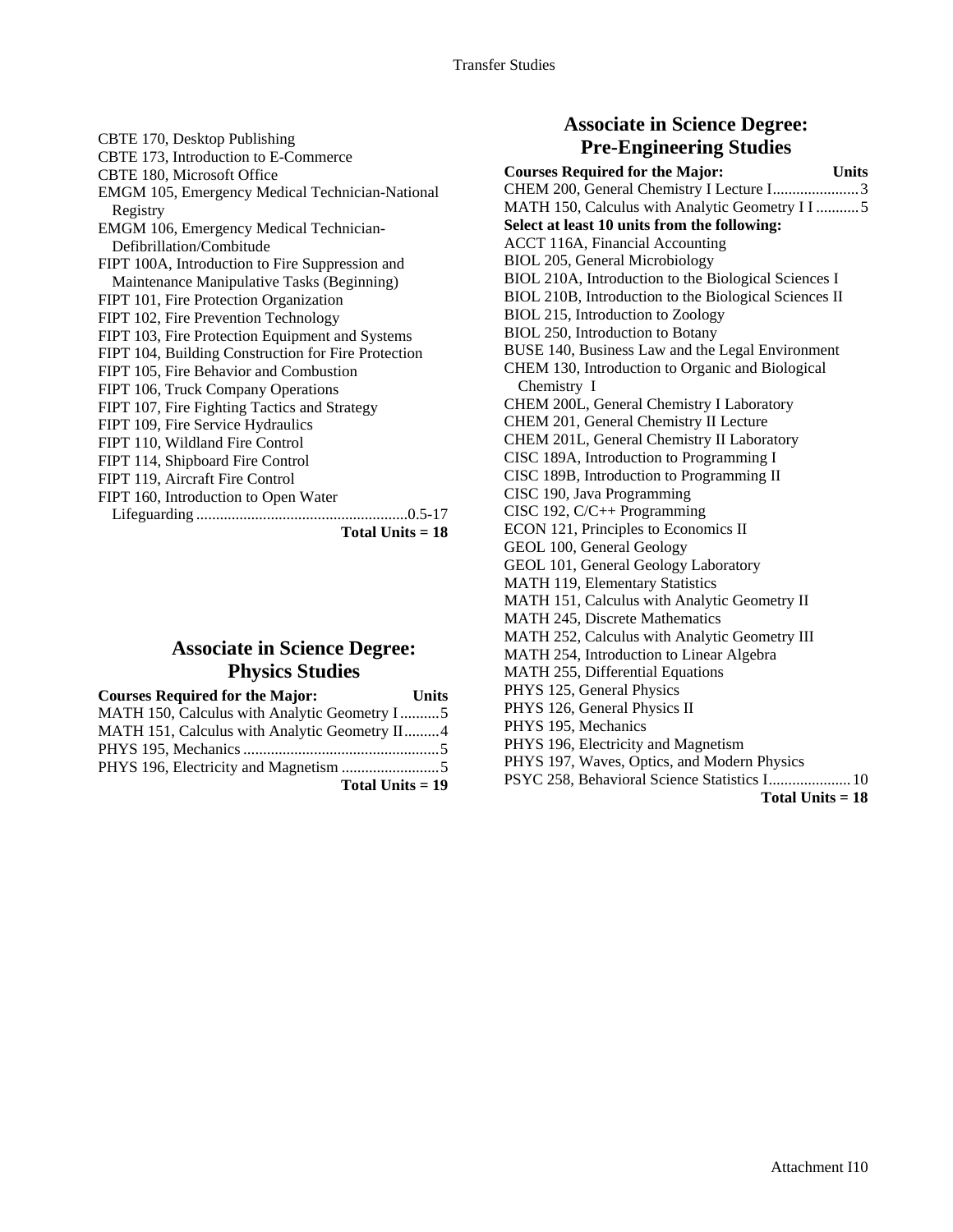CBTE 170, Desktop Publishing CBTE 173, Introduction to E-Commerce CBTE 180, Microsoft Office EMGM 105, Emergency Medical Technician-National Registry EMGM 106, Emergency Medical Technician-Defibrillation/Combitude FIPT 100A, Introduction to Fire Suppression and Maintenance Manipulative Tasks (Beginning) FIPT 101, Fire Protection Organization FIPT 102, Fire Prevention Technology FIPT 103, Fire Protection Equipment and Systems FIPT 104, Building Construction for Fire Protection FIPT 105, Fire Behavior and Combustion FIPT 106, Truck Company Operations FIPT 107, Fire Fighting Tactics and Strategy FIPT 109, Fire Service Hydraulics FIPT 110, Wildland Fire Control FIPT 114, Shipboard Fire Control FIPT 119, Aircraft Fire Control FIPT 160, Introduction to Open Water Lifeguarding ......................................................0.5-17 **Total Units = 18**

## **Associate in Science Degree: Physics Studies**

| <b>Courses Required for the Major:</b>        | Units |
|-----------------------------------------------|-------|
| MATH 150, Calculus with Analytic Geometry I5  |       |
| MATH 151, Calculus with Analytic Geometry II4 |       |
|                                               |       |
|                                               |       |
| Total Units $= 19$                            |       |

#### **Associate in Science Degree: Pre-Engineering Studies**

| <b>Courses Required for the Major:</b>                    | <b>Units</b> |
|-----------------------------------------------------------|--------------|
| CHEM 200, General Chemistry I Lecture I3                  |              |
| MATH 150, Calculus with Analytic Geometry II5             |              |
| Select at least 10 units from the following:              |              |
| <b>ACCT 116A, Financial Accounting</b>                    |              |
| <b>BIOL 205, General Microbiology</b>                     |              |
| BIOL 210A, Introduction to the Biological Sciences I      |              |
| BIOL 210B, Introduction to the Biological Sciences II     |              |
| BIOL 215, Introduction to Zoology                         |              |
| BIOL 250, Introduction to Botany                          |              |
| BUSE 140, Business Law and the Legal Environment          |              |
| CHEM 130, Introduction to Organic and Biological          |              |
| Chemistry I                                               |              |
| CHEM 200L, General Chemistry I Laboratory                 |              |
| CHEM 201, General Chemistry II Lecture                    |              |
| CHEM 201L, General Chemistry II Laboratory                |              |
| CISC 189A, Introduction to Programming I                  |              |
| CISC 189B, Introduction to Programming II                 |              |
| CISC 190, Java Programming                                |              |
| CISC 192, C/C++ Programming                               |              |
| ECON 121, Principles to Economics II                      |              |
| GEOL 100, General Geology                                 |              |
| GEOL 101, General Geology Laboratory                      |              |
| <b>MATH 119, Elementary Statistics</b>                    |              |
| MATH 151, Calculus with Analytic Geometry II              |              |
| <b>MATH 245, Discrete Mathematics</b>                     |              |
| MATH 252, Calculus with Analytic Geometry III             |              |
| MATH 254, Introduction to Linear Algebra                  |              |
| MATH 255, Differential Equations                          |              |
| PHYS 125, General Physics<br>PHYS 126, General Physics II |              |
| PHYS 195, Mechanics                                       |              |
| PHYS 196, Electricity and Magnetism                       |              |
| PHYS 197, Waves, Optics, and Modern Physics               |              |
| PSYC 258, Behavioral Science Statistics I 10              |              |
| Total Units $= 18$                                        |              |
|                                                           |              |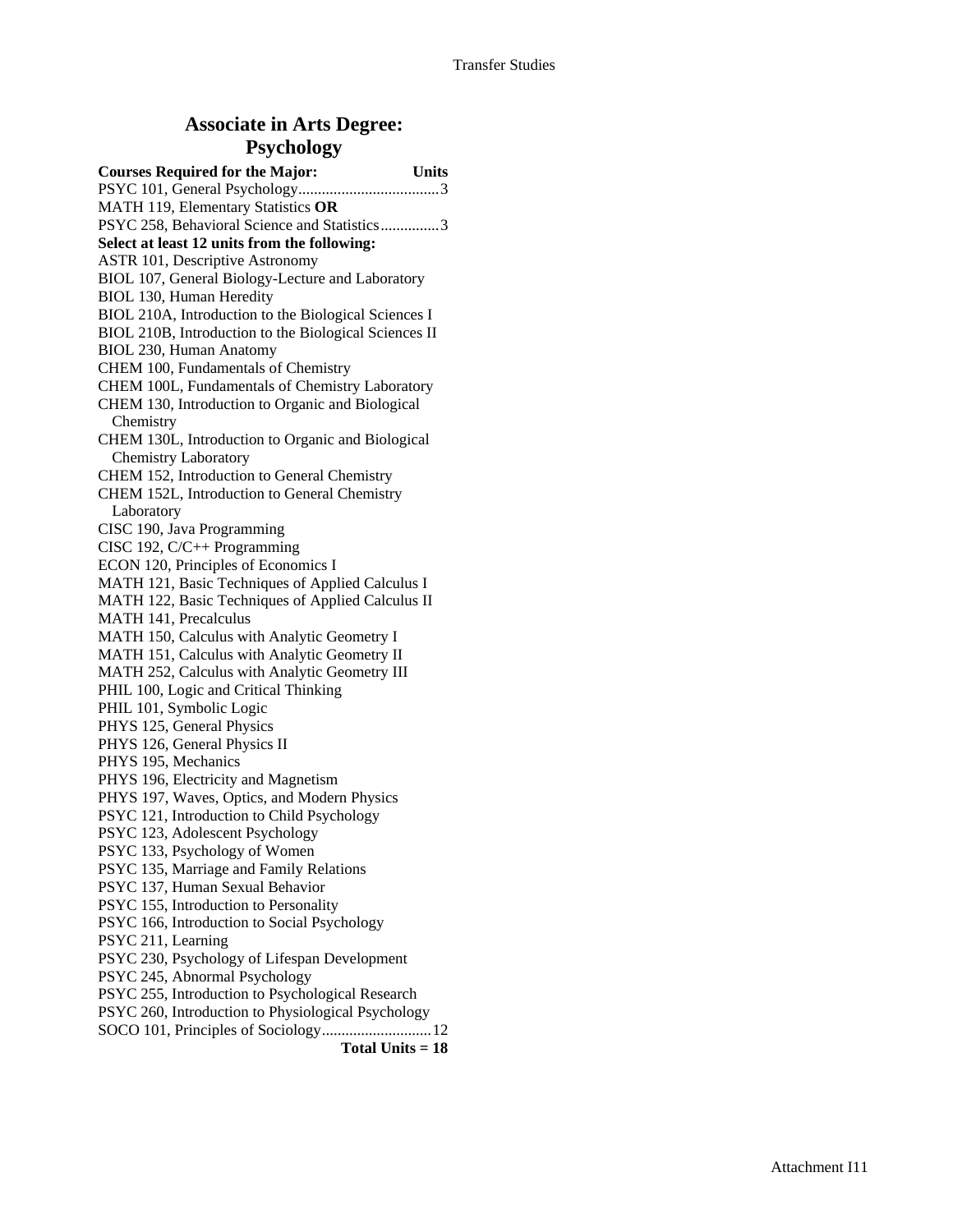## **Associate in Arts Degree: Psychology**

| <b>Courses Required for the Major:</b>                | <b>Units</b> |
|-------------------------------------------------------|--------------|
|                                                       |              |
| MATH 119, Elementary Statistics OR                    |              |
| PSYC 258, Behavioral Science and Statistics3          |              |
| Select at least 12 units from the following:          |              |
| ASTR 101, Descriptive Astronomy                       |              |
| BIOL 107, General Biology-Lecture and Laboratory      |              |
| BIOL 130, Human Heredity                              |              |
| BIOL 210A, Introduction to the Biological Sciences I  |              |
| BIOL 210B, Introduction to the Biological Sciences II |              |
| BIOL 230, Human Anatomy                               |              |
| CHEM 100, Fundamentals of Chemistry                   |              |
| CHEM 100L, Fundamentals of Chemistry Laboratory       |              |
| CHEM 130, Introduction to Organic and Biological      |              |
| Chemistry                                             |              |
| CHEM 130L, Introduction to Organic and Biological     |              |
| <b>Chemistry Laboratory</b>                           |              |
| CHEM 152, Introduction to General Chemistry           |              |
| CHEM 152L, Introduction to General Chemistry          |              |
| Laboratory                                            |              |
| CISC 190, Java Programming                            |              |
| CISC 192, C/C++ Programming                           |              |
| ECON 120, Principles of Economics I                   |              |
| MATH 121, Basic Techniques of Applied Calculus I      |              |
| MATH 122, Basic Techniques of Applied Calculus II     |              |
| MATH 141, Precalculus                                 |              |
| MATH 150, Calculus with Analytic Geometry I           |              |
| MATH 151, Calculus with Analytic Geometry II          |              |
| MATH 252, Calculus with Analytic Geometry III         |              |
| PHIL 100, Logic and Critical Thinking                 |              |
| PHIL 101, Symbolic Logic                              |              |
| PHYS 125, General Physics                             |              |
| PHYS 126, General Physics II                          |              |
| PHYS 195, Mechanics                                   |              |
| PHYS 196, Electricity and Magnetism                   |              |
| PHYS 197, Waves, Optics, and Modern Physics           |              |
| PSYC 121, Introduction to Child Psychology            |              |
| PSYC 123, Adolescent Psychology                       |              |
| PSYC 133, Psychology of Women                         |              |
| PSYC 135, Marriage and Family Relations               |              |
| PSYC 137, Human Sexual Behavior                       |              |
| PSYC 155, Introduction to Personality                 |              |
| PSYC 166, Introduction to Social Psychology           |              |
| PSYC 211, Learning                                    |              |
| PSYC 230, Psychology of Lifespan Development          |              |
| PSYC 245, Abnormal Psychology                         |              |
| PSYC 255, Introduction to Psychological Research      |              |
| PSYC 260, Introduction to Physiological Psychology    |              |
|                                                       |              |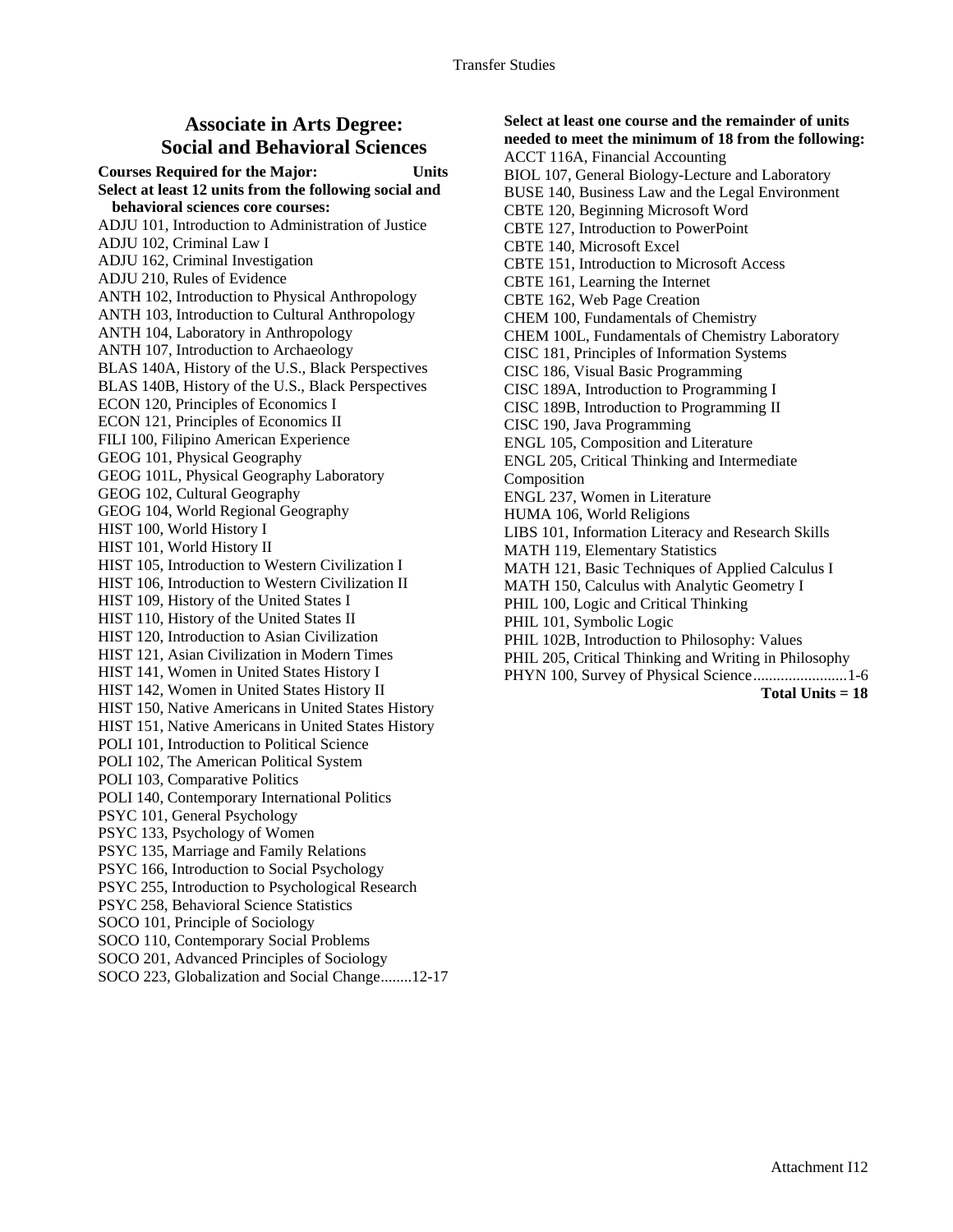#### **Associate in Arts Degree: Social and Behavioral Sciences**

**Courses Required for the Major: Units Select at least 12 units from the following social and behavioral sciences core courses:**  ADJU 101, Introduction to Administration of Justice ADJU 102, Criminal Law I ADJU 162, Criminal Investigation ADJU 210, Rules of Evidence ANTH 102, Introduction to Physical Anthropology ANTH 103, Introduction to Cultural Anthropology ANTH 104, Laboratory in Anthropology ANTH 107, Introduction to Archaeology BLAS 140A, History of the U.S., Black Perspectives BLAS 140B, History of the U.S., Black Perspectives ECON 120, Principles of Economics I ECON 121, Principles of Economics II FILI 100, Filipino American Experience GEOG 101, Physical Geography GEOG 101L, Physical Geography Laboratory GEOG 102, Cultural Geography GEOG 104, World Regional Geography HIST 100, World History I HIST 101, World History II HIST 105, Introduction to Western Civilization I HIST 106, Introduction to Western Civilization II HIST 109, History of the United States I HIST 110, History of the United States II HIST 120, Introduction to Asian Civilization HIST 121, Asian Civilization in Modern Times HIST 141, Women in United States History I HIST 142, Women in United States History II HIST 150, Native Americans in United States History HIST 151, Native Americans in United States History POLI 101, Introduction to Political Science POLI 102, The American Political System POLI 103, Comparative Politics POLI 140, Contemporary International Politics PSYC 101, General Psychology PSYC 133, Psychology of Women PSYC 135, Marriage and Family Relations PSYC 166, Introduction to Social Psychology PSYC 255, Introduction to Psychological Research PSYC 258, Behavioral Science Statistics SOCO 101, Principle of Sociology SOCO 110, Contemporary Social Problems SOCO 201, Advanced Principles of Sociology

SOCO 223, Globalization and Social Change........12-17

#### **Select at least one course and the remainder of units needed to meet the minimum of 18 from the following:**  ACCT 116A, Financial Accounting

BIOL 107, General Biology-Lecture and Laboratory BUSE 140, Business Law and the Legal Environment CBTE 120, Beginning Microsoft Word CBTE 127, Introduction to PowerPoint CBTE 140, Microsoft Excel CBTE 151, Introduction to Microsoft Access CBTE 161, Learning the Internet CBTE 162, Web Page Creation CHEM 100, Fundamentals of Chemistry CHEM 100L, Fundamentals of Chemistry Laboratory CISC 181, Principles of Information Systems CISC 186, Visual Basic Programming CISC 189A, Introduction to Programming I CISC 189B, Introduction to Programming II CISC 190, Java Programming ENGL 105, Composition and Literature ENGL 205, Critical Thinking and Intermediate Composition ENGL 237, Women in Literature HUMA 106, World Religions LIBS 101, Information Literacy and Research Skills MATH 119, Elementary Statistics MATH 121, Basic Techniques of Applied Calculus I MATH 150, Calculus with Analytic Geometry I PHIL 100, Logic and Critical Thinking PHIL 101, Symbolic Logic PHIL 102B, Introduction to Philosophy: Values PHIL 205, Critical Thinking and Writing in Philosophy PHYN 100, Survey of Physical Science........................1-6 **Total Units = 18**